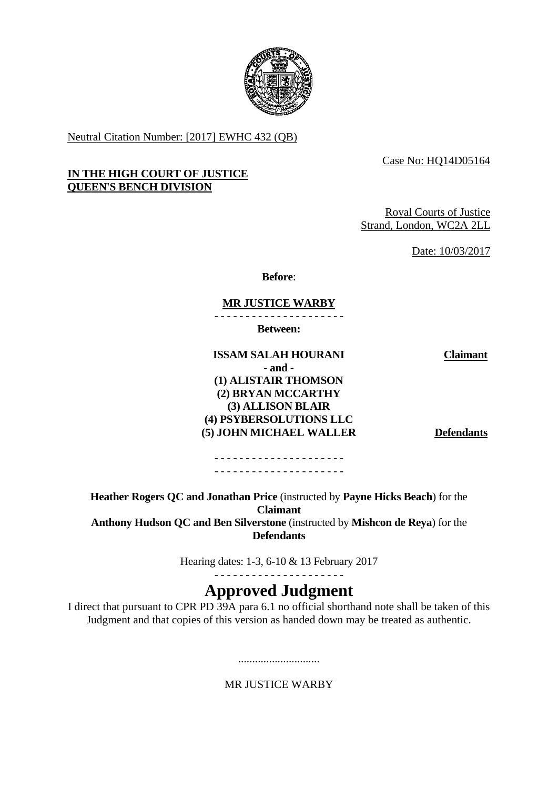

Neutral Citation Number: [2017] EWHC 432 (QB)

Case No: HQ14D05164

#### **IN THE HIGH COURT OF JUSTICE QUEEN'S BENCH DIVISION**

Royal Courts of Justice Strand, London, WC2A 2LL

Date: 10/03/2017

**Before**:

#### - - - - - - - - - - - - - - - - - - - - - **MR JUSTICE WARBY**

**Between:**

### **ISSAM SALAH HOURANI Claimant - and - (1) ALISTAIR THOMSON (2) BRYAN MCCARTHY (3) ALLISON BLAIR (4) PSYBERSOLUTIONS LLC (5) JOHN MICHAEL WALLER Defendants**

- - - - - - - - - - - - - - - - - - - - - - - - - - - - - - - - - - - - - - - - - -

**Heather Rogers QC and Jonathan Price** (instructed by **Payne Hicks Beach**) for the **Claimant Anthony Hudson QC and Ben Silverstone** (instructed by **Mishcon de Reya**) for the **Defendants**

Hearing dates: 1-3, 6-10 & 13 February 2017

- - - - - - - - - - - - - - - - - - - - -

## **Approved Judgment**

I direct that pursuant to CPR PD 39A para 6.1 no official shorthand note shall be taken of this Judgment and that copies of this version as handed down may be treated as authentic.

MR **IUSTICE WARRY** 

.............................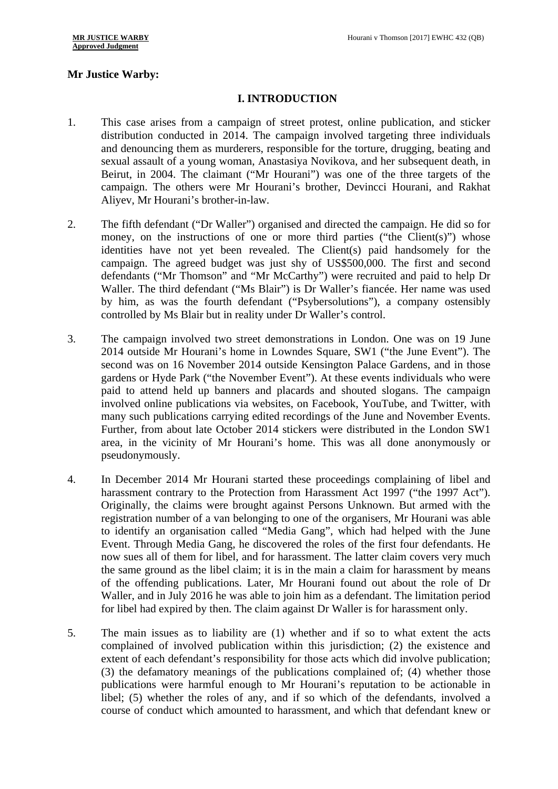# **Mr Justice Warby:<br>
I. INTRODUCTION**

- 1. This case arises from a campaign of street protest, online publication, and sticker distribution conducted in 2014. The campaign involved targeting three individuals and denouncing them as murderers, responsible for the torture, drugging, beating and sexual assault of a young woman, Anastasiya Novikova, and her subsequent death, in Beirut, in 2004. The claimant ("Mr Hourani") was one of the three targets of the campaign. The others were Mr Hourani's brother, Devincci Hourani, and Rakhat Aliyev, Mr Hourani's brother-in-law.
- 2. The fifth defendant ("Dr Waller") organised and directed the campaign. He did so for money, on the instructions of one or more third parties ("the Client(s)") whose identities have not yet been revealed. The Client(s) paid handsomely for the campaign. The agreed budget was just shy of US\$500,000. The first and second defendants ("Mr Thomson" and "Mr McCarthy") were recruited and paid to help Dr Waller. The third defendant ("Ms Blair") is Dr Waller's fiancée. Her name was used by him, as was the fourth defendant ("Psybersolutions"), a company ostensibly controlled by Ms Blair but in reality under Dr Waller's control.
- 3. The campaign involved two street demonstrations in London. One was on 19 June 2014 outside Mr Hourani's home in Lowndes Square, SW1 ("the June Event"). The second was on 16 November 2014 outside Kensington Palace Gardens, and in those gardens or Hyde Park ("the November Event"). At these events individuals who were paid to attend held up banners and placards and shouted slogans. The campaign involved online publications via websites, on Facebook, YouTube, and Twitter, with many such publications carrying edited recordings of the June and November Events. Further, from about late October 2014 stickers were distributed in the London SW1 area, in the vicinity of Mr Hourani's home. This was all done anonymously or pseudonymously.
- 4. In December 2014 Mr Hourani started these proceedings complaining of libel and harassment contrary to the Protection from Harassment Act 1997 ("the 1997 Act"). Originally, the claims were brought against Persons Unknown. But armed with the registration number of a van belonging to one of the organisers, Mr Hourani was able to identify an organisation called "Media Gang", which had helped with the June Event. Through Media Gang, he discovered the roles of the first four defendants. He now sues all of them for libel, and for harassment. The latter claim covers very much the same ground as the libel claim; it is in the main a claim for harassment by means of the offending publications. Later, Mr Hourani found out about the role of Dr Waller, and in July 2016 he was able to join him as a defendant. The limitation period for libel had expired by then. The claim against Dr Waller is for harassment only.
- 5. The main issues as to liability are (1) whether and if so to what extent the acts complained of involved publication within this jurisdiction; (2) the existence and extent of each defendant's responsibility for those acts which did involve publication; (3) the defamatory meanings of the publications complained of; (4) whether those publications were harmful enough to Mr Hourani's reputation to be actionable in libel; (5) whether the roles of any, and if so which of the defendants, involved a course of conduct which amounted to harassment, and which that defendant knew or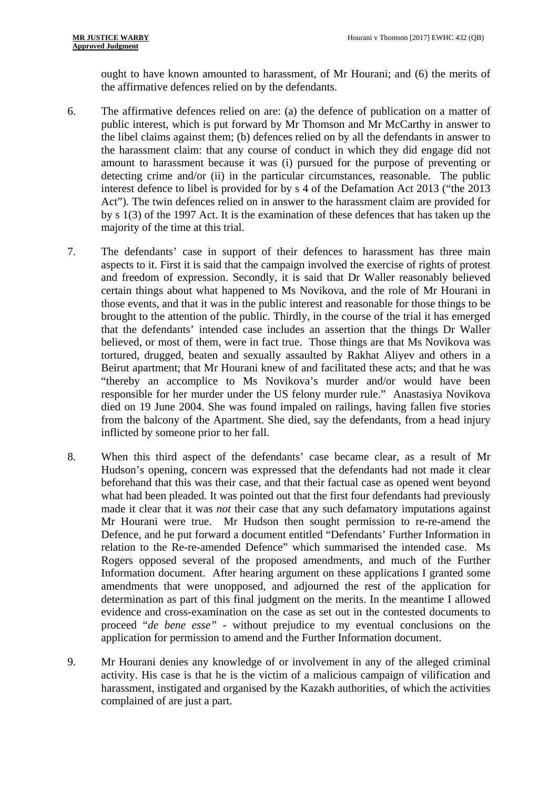ought to have known amounted to harassment, of Mr Hourani; and (6) the merits of the affirmative defences relied on by the defendants.

- 6. The affirmative defences relied on are: (a) the defence of publication on a matter of public interest, which is put forward by Mr Thomson and Mr McCarthy in answer to the libel claims against them; (b) defences relied on by all the defendants in answer to the harassment claim: that any course of conduct in which they did engage did not amount to harassment because it was (i) pursued for the purpose of preventing or detecting crime and/or (ii) in the particular circumstances, reasonable. The public interest defence to libel is provided for by s 4 of the Defamation Act 2013 ("the 2013 Act"). The twin defences relied on in answer to the harassment claim are provided for by s 1(3) of the 1997 Act. It is the examination of these defences that has taken up the majority of the time at this trial.
- 7. The defendants' case in support of their defences to harassment has three main aspects to it. First it is said that the campaign involved the exercise of rights of protest and freedom of expression. Secondly, it is said that Dr Waller reasonably believed certain things about what happened to Ms Novikova, and the role of Mr Hourani in those events, and that it was in the public interest and reasonable for those things to be brought to the attention of the public. Thirdly, in the course of the trial it has emerged that the defendants' intended case includes an assertion that the things Dr Waller believed, or most of them, were in fact true. Those things are that Ms Novikova was tortured, drugged, beaten and sexually assaulted by Rakhat Aliyev and others in a Beirut apartment; that Mr Hourani knew of and facilitated these acts; and that he was "thereby an accomplice to Ms Novikova's murder and/or would have been responsible for her murder under the US felony murder rule." Anastasiya Novikova died on 19 June 2004. She was found impaled on railings, having fallen five stories from the balcony of the Apartment. She died, say the defendants, from a head injury inflicted by someone prior to her fall.
- 8. When this third aspect of the defendants' case became clear, as a result of Mr Hudson's opening, concern was expressed that the defendants had not made it clear beforehand that this was their case, and that their factual case as opened went beyond what had been pleaded. It was pointed out that the first four defendants had previously made it clear that it was *not* their case that any such defamatory imputations against Mr Hourani were true. Mr Hudson then sought permission to re-re-amend the Defence, and he put forward a document entitled "Defendants' Further Information in relation to the Re-re-amended Defence" which summarised the intended case. Ms Rogers opposed several of the proposed amendments, and much of the Further Information document. After hearing argument on these applications I granted some amendments that were unopposed, and adjourned the rest of the application for determination as part of this final judgment on the merits. In the meantime I allowed evidence and cross-examination on the case as set out in the contested documents to proceed "*de bene esse" -* without prejudice to my eventual conclusions on the application for permission to amend and the Further Information document.
- 9. Mr Hourani denies any knowledge of or involvement in any of the alleged criminal activity. His case is that he is the victim of a malicious campaign of vilification and harassment, instigated and organised by the Kazakh authorities, of which the activities complained of are just a part.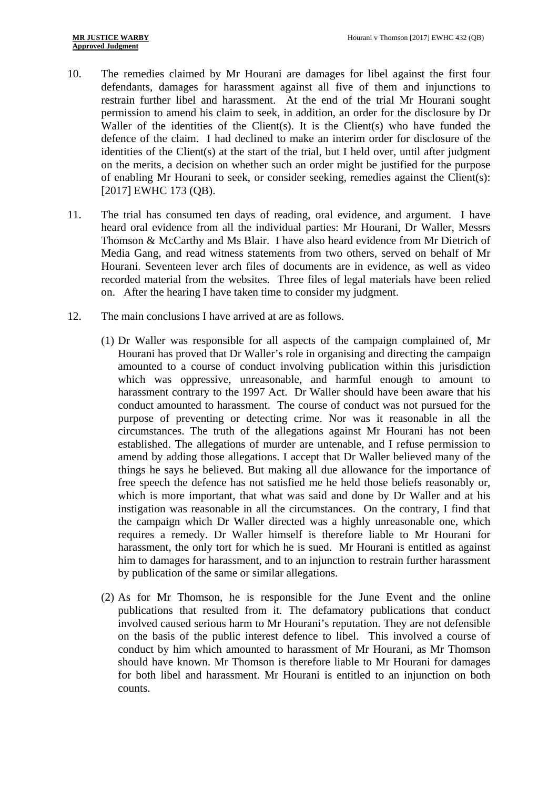- 10. The remedies claimed by Mr Hourani are damages for libel against the first four defendants, damages for harassment against all five of them and injunctions to restrain further libel and harassment. At the end of the trial Mr Hourani sought permission to amend his claim to seek, in addition, an order for the disclosure by Dr Waller of the identities of the Client(s). It is the Client(s) who have funded the defence of the claim. I had declined to make an interim order for disclosure of the identities of the Client(s) at the start of the trial, but I held over, until after judgment on the merits, a decision on whether such an order might be justified for the purpose of enabling Mr Hourani to seek, or consider seeking, remedies against the Client(s): [2017] EWHC 173 (QB).
- 11. The trial has consumed ten days of reading, oral evidence, and argument. I have heard oral evidence from all the individual parties: Mr Hourani, Dr Waller, Messrs Thomson & McCarthy and Ms Blair. I have also heard evidence from Mr Dietrich of Media Gang, and read witness statements from two others, served on behalf of Mr Hourani. Seventeen lever arch files of documents are in evidence, as well as video recorded material from the websites. Three files of legal materials have been relied on. After the hearing I have taken time to consider my judgment.
- 12. The main conclusions I have arrived at are as follows.
	- (1) Dr Waller was responsible for all aspects of the campaign complained of, Mr Hourani has proved that Dr Waller's role in organising and directing the campaign amounted to a course of conduct involving publication within this jurisdiction which was oppressive, unreasonable, and harmful enough to amount to harassment contrary to the 1997 Act. Dr Waller should have been aware that his conduct amounted to harassment. The course of conduct was not pursued for the purpose of preventing or detecting crime. Nor was it reasonable in all the circumstances. The truth of the allegations against Mr Hourani has not been established. The allegations of murder are untenable, and I refuse permission to amend by adding those allegations. I accept that Dr Waller believed many of the things he says he believed. But making all due allowance for the importance of free speech the defence has not satisfied me he held those beliefs reasonably or, which is more important, that what was said and done by Dr Waller and at his instigation was reasonable in all the circumstances. On the contrary, I find that the campaign which Dr Waller directed was a highly unreasonable one, which requires a remedy. Dr Waller himself is therefore liable to Mr Hourani for harassment, the only tort for which he is sued. Mr Hourani is entitled as against him to damages for harassment, and to an injunction to restrain further harassment by publication of the same or similar allegations.
	- (2) As for Mr Thomson, he is responsible for the June Event and the online publications that resulted from it. The defamatory publications that conduct involved caused serious harm to Mr Hourani's reputation. They are not defensible on the basis of the public interest defence to libel. This involved a course of conduct by him which amounted to harassment of Mr Hourani, as Mr Thomson should have known. Mr Thomson is therefore liable to Mr Hourani for damages for both libel and harassment. Mr Hourani is entitled to an injunction on both counts.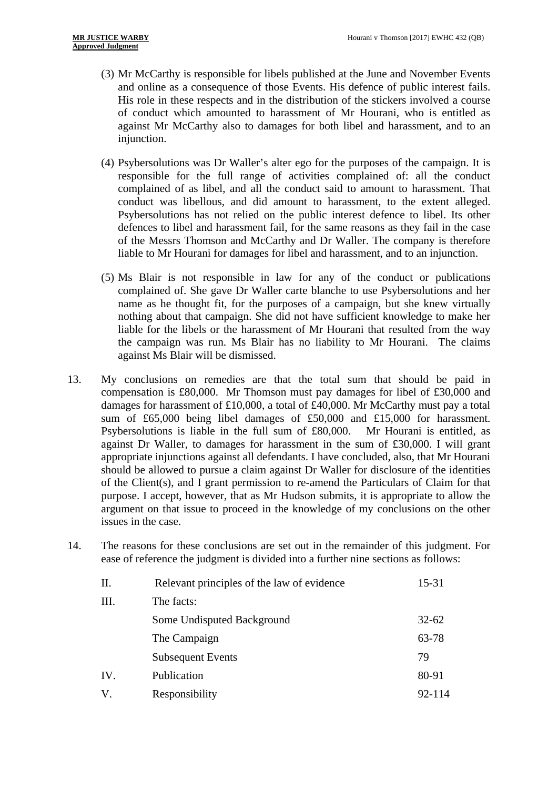- (3) Mr McCarthy is responsible for libels published at the June and November Events and online as a consequence of those Events. His defence of public interest fails. His role in these respects and in the distribution of the stickers involved a course of conduct which amounted to harassment of Mr Hourani, who is entitled as against Mr McCarthy also to damages for both libel and harassment, and to an injunction.
- (4) Psybersolutions was Dr Waller's alter ego for the purposes of the campaign. It is responsible for the full range of activities complained of: all the conduct complained of as libel, and all the conduct said to amount to harassment. That conduct was libellous, and did amount to harassment, to the extent alleged. Psybersolutions has not relied on the public interest defence to libel. Its other defences to libel and harassment fail, for the same reasons as they fail in the case of the Messrs Thomson and McCarthy and Dr Waller. The company is therefore liable to Mr Hourani for damages for libel and harassment, and to an injunction.
- (5) Ms Blair is not responsible in law for any of the conduct or publications complained of. She gave Dr Waller carte blanche to use Psybersolutions and her name as he thought fit, for the purposes of a campaign, but she knew virtually nothing about that campaign. She did not have sufficient knowledge to make her liable for the libels or the harassment of Mr Hourani that resulted from the way the campaign was run. Ms Blair has no liability to Mr Hourani. The claims against Ms Blair will be dismissed.
- 13. My conclusions on remedies are that the total sum that should be paid in compensation is £80,000. Mr Thomson must pay damages for libel of £30,000 and damages for harassment of £10,000, a total of £40,000. Mr McCarthy must pay a total sum of £65,000 being libel damages of £50,000 and £15,000 for harassment. Psybersolutions is liable in the full sum of £80,000. Mr Hourani is entitled, as against Dr Waller, to damages for harassment in the sum of £30,000. I will grant appropriate injunctions against all defendants. I have concluded, also, that Mr Hourani should be allowed to pursue a claim against Dr Waller for disclosure of the identities of the Client(s), and I grant permission to re-amend the Particulars of Claim for that purpose. I accept, however, that as Mr Hudson submits, it is appropriate to allow the argument on that issue to proceed in the knowledge of my conclusions on the other issues in the case.
- 14. The reasons for these conclusions are set out in the remainder of this judgment. For ease of reference the judgment is divided into a further nine sections as follows:

| II. | Relevant principles of the law of evidence | $15 - 31$ |
|-----|--------------------------------------------|-----------|
| Ш.  | The facts:                                 |           |
|     | Some Undisputed Background                 | $32 - 62$ |
|     | The Campaign                               | 63-78     |
|     | <b>Subsequent Events</b>                   | 79        |
| IV. | Publication                                | 80-91     |
| V.  | Responsibility                             | 92-114    |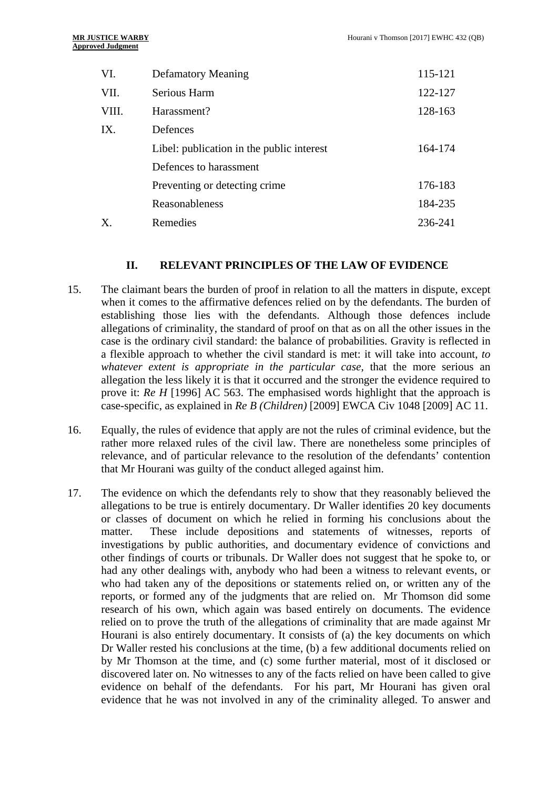| VI.            | <b>Defamatory Meaning</b>                 | 115-121 |
|----------------|-------------------------------------------|---------|
| VII.           | Serious Harm                              | 122-127 |
| VIII.          | Harassment?                               | 128-163 |
| IX.            | Defences                                  |         |
|                | Libel: publication in the public interest | 164-174 |
|                | Defences to harassment                    |         |
|                | Preventing or detecting crime.            | 176-183 |
|                | Reasonableness                            | 184-235 |
| $\mathbf{X}$ . | Remedies                                  | 236-241 |

#### **II. RELEVANT PRINCIPLES OF THE LAW OF EVIDENCE**

- 15. The claimant bears the burden of proof in relation to all the matters in dispute, except when it comes to the affirmative defences relied on by the defendants. The burden of establishing those lies with the defendants. Although those defences include allegations of criminality, the standard of proof on that as on all the other issues in the case is the ordinary civil standard: the balance of probabilities. Gravity is reflected in a flexible approach to whether the civil standard is met: it will take into account, *to whatever extent is appropriate in the particular case*, that the more serious an allegation the less likely it is that it occurred and the stronger the evidence required to prove it: *Re H* [1996] AC 563. The emphasised words highlight that the approach is case-specific, as explained in *Re B (Children)* [2009] EWCA Civ 1048 [2009] AC 11.
- 16. Equally, the rules of evidence that apply are not the rules of criminal evidence, but the rather more relaxed rules of the civil law. There are nonetheless some principles of relevance, and of particular relevance to the resolution of the defendants' contention that Mr Hourani was guilty of the conduct alleged against him.
- 17. The evidence on which the defendants rely to show that they reasonably believed the allegations to be true is entirely documentary. Dr Waller identifies 20 key documents or classes of document on which he relied in forming his conclusions about the matter. These include depositions and statements of witnesses, reports of investigations by public authorities, and documentary evidence of convictions and other findings of courts or tribunals. Dr Waller does not suggest that he spoke to, or had any other dealings with, anybody who had been a witness to relevant events, or who had taken any of the depositions or statements relied on, or written any of the reports, or formed any of the judgments that are relied on. Mr Thomson did some research of his own, which again was based entirely on documents. The evidence relied on to prove the truth of the allegations of criminality that are made against Mr Hourani is also entirely documentary. It consists of (a) the key documents on which Dr Waller rested his conclusions at the time, (b) a few additional documents relied on by Mr Thomson at the time, and (c) some further material, most of it disclosed or discovered later on. No witnesses to any of the facts relied on have been called to give evidence on behalf of the defendants. For his part, Mr Hourani has given oral evidence that he was not involved in any of the criminality alleged. To answer and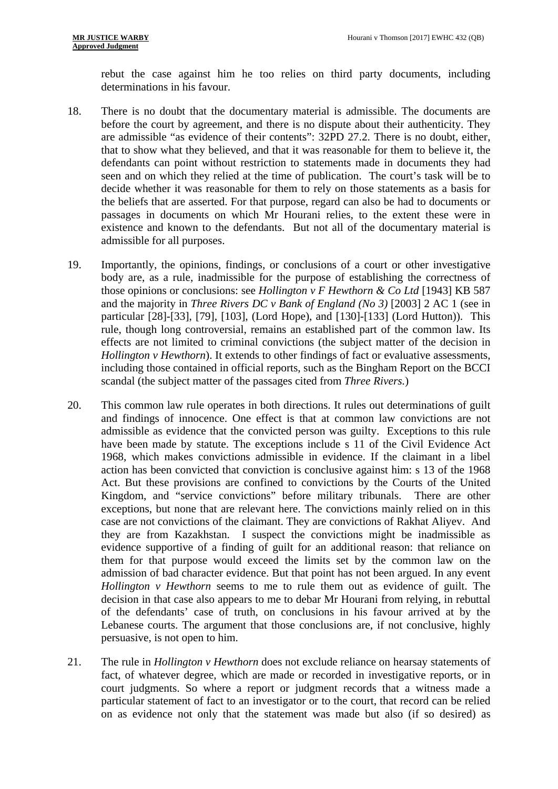rebut the case against him he too relies on third party documents, including determinations in his favour.

- 18. There is no doubt that the documentary material is admissible. The documents are before the court by agreement, and there is no dispute about their authenticity. They are admissible "as evidence of their contents": 32PD 27.2. There is no doubt, either, that to show what they believed, and that it was reasonable for them to believe it, the defendants can point without restriction to statements made in documents they had seen and on which they relied at the time of publication. The court's task will be to decide whether it was reasonable for them to rely on those statements as a basis for the beliefs that are asserted. For that purpose, regard can also be had to documents or passages in documents on which Mr Hourani relies, to the extent these were in existence and known to the defendants. But not all of the documentary material is admissible for all purposes.
- 19. Importantly, the opinions, findings, or conclusions of a court or other investigative body are, as a rule, inadmissible for the purpose of establishing the correctness of those opinions or conclusions: see *Hollington v F Hewthorn & Co Ltd* [1943] KB 587 and the majority in *Three Rivers DC v Bank of England (No 3)* [2003] 2 AC 1 (see in particular [28]-[33], [79], [103], (Lord Hope), and [130]-[133] (Lord Hutton)). This rule, though long controversial, remains an established part of the common law. Its effects are not limited to criminal convictions (the subject matter of the decision in *Hollington v Hewthorn*). It extends to other findings of fact or evaluative assessments, including those contained in official reports, such as the Bingham Report on the BCCI scandal (the subject matter of the passages cited from *Three Rivers.*)
- 20. This common law rule operates in both directions. It rules out determinations of guilt and findings of innocence. One effect is that at common law convictions are not admissible as evidence that the convicted person was guilty. Exceptions to this rule have been made by statute. The exceptions include s 11 of the Civil Evidence Act 1968, which makes convictions admissible in evidence. If the claimant in a libel action has been convicted that conviction is conclusive against him: s 13 of the 1968 Act. But these provisions are confined to convictions by the Courts of the United Kingdom, and "service convictions" before military tribunals. There are other exceptions, but none that are relevant here. The convictions mainly relied on in this case are not convictions of the claimant. They are convictions of Rakhat Aliyev. And they are from Kazakhstan. I suspect the convictions might be inadmissible as evidence supportive of a finding of guilt for an additional reason: that reliance on them for that purpose would exceed the limits set by the common law on the admission of bad character evidence. But that point has not been argued. In any event *Hollington v Hewthorn* seems to me to rule them out as evidence of guilt. The decision in that case also appears to me to debar Mr Hourani from relying, in rebuttal of the defendants' case of truth, on conclusions in his favour arrived at by the Lebanese courts. The argument that those conclusions are, if not conclusive, highly persuasive, is not open to him.
- 21. The rule in *Hollington v Hewthorn* does not exclude reliance on hearsay statements of fact, of whatever degree, which are made or recorded in investigative reports, or in court judgments. So where a report or judgment records that a witness made a particular statement of fact to an investigator or to the court, that record can be relied on as evidence not only that the statement was made but also (if so desired) as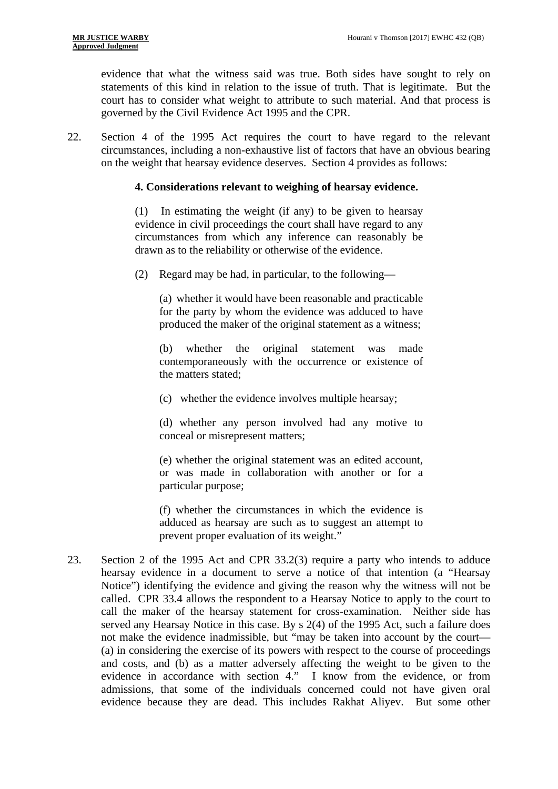evidence that what the witness said was true. Both sides have sought to rely on statements of this kind in relation to the issue of truth. That is legitimate. But the court has to consider what weight to attribute to such material. And that process is governed by the Civil Evidence Act 1995 and the CPR.

22. Section 4 of the 1995 Act requires the court to have regard to the relevant circumstances, including a non-exhaustive list of factors that have an obvious bearing on the weight that hearsay evidence deserves. Section 4 provides as follows:

#### **4. Considerations relevant to weighing of hearsay evidence.**

(1) In estimating the weight (if any) to be given to hearsay evidence in civil proceedings the court shall have regard to any circumstances from which any inference can reasonably be drawn as to the reliability or otherwise of the evidence.

(2) Regard may be had, in particular, to the following—

produced the maker of the original statement as a witness;<br>(b) whether the original statement was made (a) whether it would have been reasonable and practicable for the party by whom the evidence was adduced to have

contemporaneously with the occurrence or existence of the matters stated;

(c) whether the evidence involves multiple hearsay;

(d) whether any person involved had any motive to conceal or misrepresent matters;

(e) whether the original statement was an edited account, or was made in collaboration with another or for a particular purpose;

(f) whether the circumstances in which the evidence is adduced as hearsay are such as to suggest an attempt to prevent proper evaluation of its weight."

23. Section 2 of the 1995 Act and CPR 33.2(3) require a party who intends to adduce hearsay evidence in a document to serve a notice of that intention (a "Hearsay Notice") identifying the evidence and giving the reason why the witness will not be called. CPR 33.4 allows the respondent to a Hearsay Notice to apply to the court to call the maker of the hearsay statement for cross-examination. Neither side has served any Hearsay Notice in this case. By s 2(4) of the 1995 Act, such a failure does not make the evidence inadmissible, but "may be taken into account by the court— (a) in considering the exercise of its powers with respect to the course of proceedings and costs, and (b) as a matter adversely affecting the weight to be given to the evidence in accordance with section 4." I know from the evidence, or from admissions, that some of the individuals concerned could not have given oral evidence because they are dead. This includes Rakhat Aliyev. But some other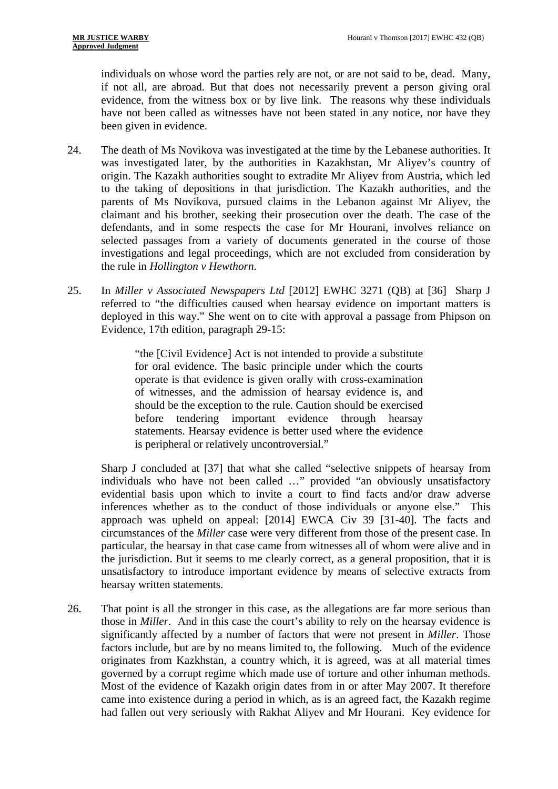individuals on whose word the parties rely are not, or are not said to be, dead. Many, if not all, are abroad. But that does not necessarily prevent a person giving oral evidence, from the witness box or by live link. The reasons why these individuals have not been called as witnesses have not been stated in any notice, nor have they been given in evidence.

- 24. The death of Ms Novikova was investigated at the time by the Lebanese authorities. It was investigated later, by the authorities in Kazakhstan, Mr Aliyev's country of origin. The Kazakh authorities sought to extradite Mr Aliyev from Austria, which led to the taking of depositions in that jurisdiction. The Kazakh authorities, and the parents of Ms Novikova, pursued claims in the Lebanon against Mr Aliyev, the claimant and his brother, seeking their prosecution over the death. The case of the defendants, and in some respects the case for Mr Hourani, involves reliance on selected passages from a variety of documents generated in the course of those investigations and legal proceedings, which are not excluded from consideration by the rule in *Hollington v Hewthorn*.
- 25. In *Miller v Associated Newspapers Ltd* [2012] EWHC 3271 (QB) at [36] Sharp J referred to "the difficulties caused when hearsay evidence on important matters is deployed in this way." She went on to cite with approval a passage from Phipson on Evidence, 17th edition, paragraph 29-15:

"the [Civil Evidence] Act is not intended to provide a substitute for oral evidence. The basic principle under which the courts operate is that evidence is given orally with cross-examination of witnesses, and the admission of hearsay evidence is, and should be the exception to the rule. Caution should be exercised before tendering important evidence through hearsay statements. Hearsay evidence is better used where the evidence is peripheral or relatively uncontroversial."

Sharp J concluded at [37] that what she called "selective snippets of hearsay from individuals who have not been called …" provided "an obviously unsatisfactory evidential basis upon which to invite a court to find facts and/or draw adverse inferences whether as to the conduct of those individuals or anyone else." This approach was upheld on appeal: [2014] EWCA Civ 39 [31-40]. The facts and circumstances of the *Miller* case were very different from those of the present case. In particular, the hearsay in that case came from witnesses all of whom were alive and in the jurisdiction. But it seems to me clearly correct, as a general proposition, that it is unsatisfactory to introduce important evidence by means of selective extracts from hearsay written statements.

26. That point is all the stronger in this case, as the allegations are far more serious than those in *Miller*. And in this case the court's ability to rely on the hearsay evidence is significantly affected by a number of factors that were not present in *Miller*. Those factors include, but are by no means limited to, the following. Much of the evidence originates from Kazkhstan, a country which, it is agreed, was at all material times governed by a corrupt regime which made use of torture and other inhuman methods. Most of the evidence of Kazakh origin dates from in or after May 2007. It therefore came into existence during a period in which, as is an agreed fact, the Kazakh regime had fallen out very seriously with Rakhat Aliyev and Mr Hourani. Key evidence for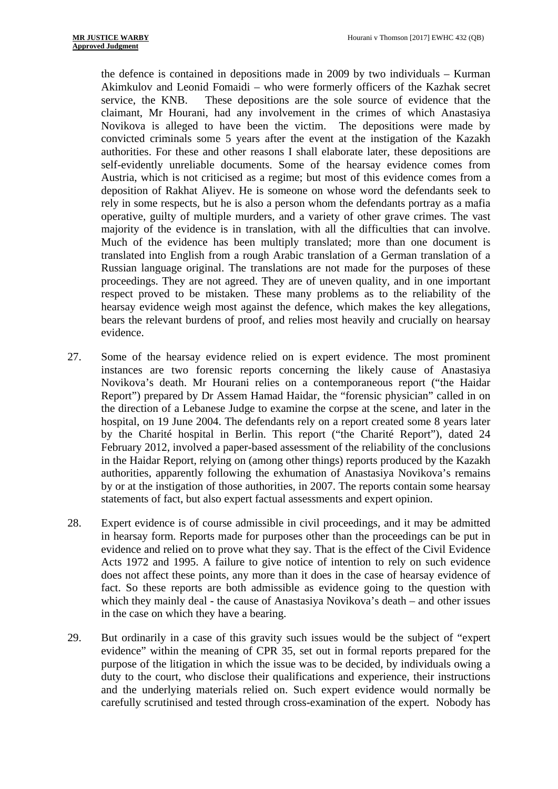the defence is contained in depositions made in 2009 by two individuals – Kurman Akimkulov and Leonid Fomaidi – who were formerly officers of the Kazhak secret service, the KNB. These depositions are the sole source of evidence that the claimant, Mr Hourani, had any involvement in the crimes of which Anastasiya Novikova is alleged to have been the victim. The depositions were made by convicted criminals some 5 years after the event at the instigation of the Kazakh authorities. For these and other reasons I shall elaborate later, these depositions are self-evidently unreliable documents. Some of the hearsay evidence comes from Austria, which is not criticised as a regime; but most of this evidence comes from a deposition of Rakhat Aliyev. He is someone on whose word the defendants seek to rely in some respects, but he is also a person whom the defendants portray as a mafia operative, guilty of multiple murders, and a variety of other grave crimes. The vast majority of the evidence is in translation, with all the difficulties that can involve. Much of the evidence has been multiply translated; more than one document is translated into English from a rough Arabic translation of a German translation of a Russian language original. The translations are not made for the purposes of these proceedings. They are not agreed. They are of uneven quality, and in one important respect proved to be mistaken. These many problems as to the reliability of the hearsay evidence weigh most against the defence, which makes the key allegations, bears the relevant burdens of proof, and relies most heavily and crucially on hearsay evidence.

- 27. Some of the hearsay evidence relied on is expert evidence. The most prominent instances are two forensic reports concerning the likely cause of Anastasiya Novikova's death. Mr Hourani relies on a contemporaneous report ("the Haidar Report") prepared by Dr Assem Hamad Haidar, the "forensic physician" called in on the direction of a Lebanese Judge to examine the corpse at the scene, and later in the hospital, on 19 June 2004. The defendants rely on a report created some 8 years later by the Charité hospital in Berlin. This report ("the Charité Report"), dated 24 February 2012, involved a paper-based assessment of the reliability of the conclusions in the Haidar Report, relying on (among other things) reports produced by the Kazakh authorities, apparently following the exhumation of Anastasiya Novikova's remains by or at the instigation of those authorities, in 2007. The reports contain some hearsay statements of fact, but also expert factual assessments and expert opinion.
- 28. Expert evidence is of course admissible in civil proceedings, and it may be admitted in hearsay form. Reports made for purposes other than the proceedings can be put in evidence and relied on to prove what they say. That is the effect of the Civil Evidence Acts 1972 and 1995. A failure to give notice of intention to rely on such evidence does not affect these points, any more than it does in the case of hearsay evidence of fact. So these reports are both admissible as evidence going to the question with which they mainly deal - the cause of Anastasiya Novikova's death – and other issues in the case on which they have a bearing.
- 29. But ordinarily in a case of this gravity such issues would be the subject of "expert evidence" within the meaning of CPR 35, set out in formal reports prepared for the purpose of the litigation in which the issue was to be decided, by individuals owing a duty to the court, who disclose their qualifications and experience, their instructions and the underlying materials relied on. Such expert evidence would normally be carefully scrutinised and tested through cross-examination of the expert. Nobody has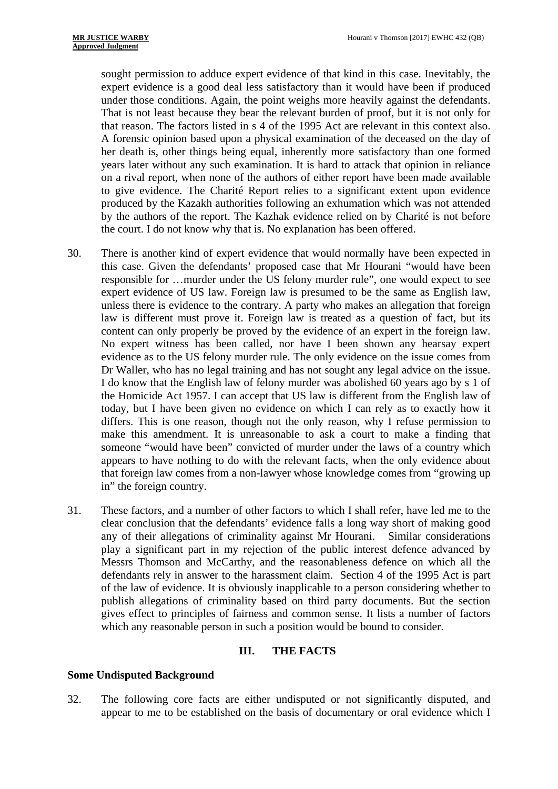that reason. The factors listed in s 4 of the 1995 Act are relevant in this context also. sought permission to adduce expert evidence of that kind in this case. Inevitably, the expert evidence is a good deal less satisfactory than it would have been if produced under those conditions. Again, the point weighs more heavily against the defendants. That is not least because they bear the relevant burden of proof, but it is not only for A forensic opinion based upon a physical examination of the deceased on the day of her death is, other things being equal, inherently more satisfactory than one formed years later without any such examination. It is hard to attack that opinion in reliance on a rival report, when none of the authors of either report have been made available to give evidence. The Charité Report relies to a significant extent upon evidence produced by the Kazakh authorities following an exhumation which was not attended by the authors of the report. The Kazhak evidence relied on by Charité is not before the court. I do not know why that is. No explanation has been offered.

- 30. There is another kind of expert evidence that would normally have been expected in this case. Given the defendants' proposed case that Mr Hourani "would have been responsible for …murder under the US felony murder rule", one would expect to see expert evidence of US law. Foreign law is presumed to be the same as English law, unless there is evidence to the contrary. A party who makes an allegation that foreign law is different must prove it. Foreign law is treated as a question of fact, but its content can only properly be proved by the evidence of an expert in the foreign law. No expert witness has been called, nor have I been shown any hearsay expert evidence as to the US felony murder rule. The only evidence on the issue comes from Dr Waller, who has no legal training and has not sought any legal advice on the issue. I do know that the English law of felony murder was abolished 60 years ago by s 1 of the Homicide Act 1957. I can accept that US law is different from the English law of today, but I have been given no evidence on which I can rely as to exactly how it differs. This is one reason, though not the only reason, why I refuse permission to make this amendment. It is unreasonable to ask a court to make a finding that someone "would have been" convicted of murder under the laws of a country which appears to have nothing to do with the relevant facts, when the only evidence about that foreign law comes from a non-lawyer whose knowledge comes from "growing up in" the foreign country.
- 31. These factors, and a number of other factors to which I shall refer, have led me to the clear conclusion that the defendants' evidence falls a long way short of making good any of their allegations of criminality against Mr Hourani. Similar considerations play a significant part in my rejection of the public interest defence advanced by Messrs Thomson and McCarthy, and the reasonableness defence on which all the defendants rely in answer to the harassment claim. Section 4 of the 1995 Act is part of the law of evidence. It is obviously inapplicable to a person considering whether to publish allegations of criminality based on third party documents. But the section gives effect to principles of fairness and common sense. It lists a number of factors which any reasonable person in such a position would be bound to consider.

#### **III. THE FACTS**

#### **Some Undisputed Background**

32. The following core facts are either undisputed or not significantly disputed, and appear to me to be established on the basis of documentary or oral evidence which I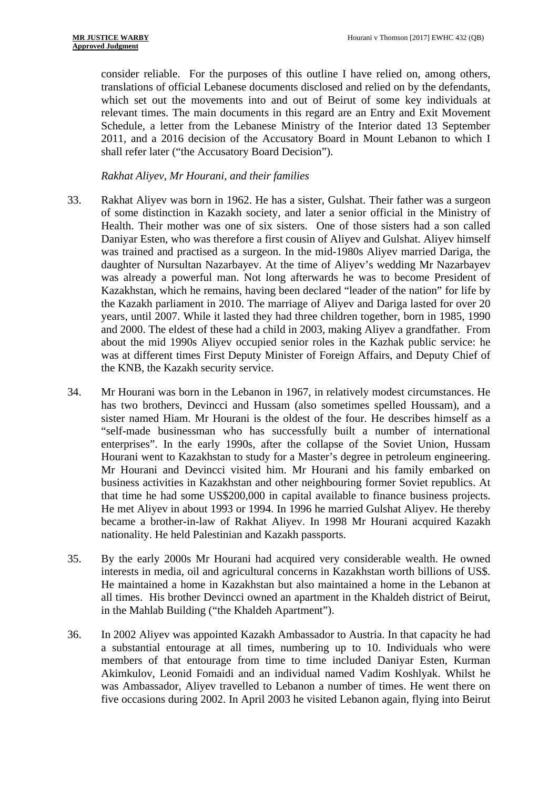consider reliable. For the purposes of this outline I have relied on, among others, translations of official Lebanese documents disclosed and relied on by the defendants, which set out the movements into and out of Beirut of some key individuals at relevant times. The main documents in this regard are an Entry and Exit Movement Schedule, a letter from the Lebanese Ministry of the Interior dated 13 September 2011, and a 2016 decision of the Accusatory Board in Mount Lebanon to which I shall refer later ("the Accusatory Board Decision").

*Rakhat Aliyev, Mr Hourani, and their families* 

- 33. Rakhat Aliyev was born in 1962. He has a sister, Gulshat. Their father was a surgeon of some distinction in Kazakh society, and later a senior official in the Ministry of Health. Their mother was one of six sisters. One of those sisters had a son called Daniyar Esten, who was therefore a first cousin of Aliyev and Gulshat. Aliyev himself was trained and practised as a surgeon. In the mid-1980s Aliyev married Dariga, the daughter of Nursultan Nazarbayev. At the time of Aliyev's wedding Mr Nazarbayev was already a powerful man. Not long afterwards he was to become President of Kazakhstan, which he remains, having been declared "leader of the nation" for life by the Kazakh parliament in 2010. The marriage of Aliyev and Dariga lasted for over 20 years, until 2007. While it lasted they had three children together, born in 1985, 1990 and 2000. The eldest of these had a child in 2003, making Aliyev a grandfather. From about the mid 1990s Aliyev occupied senior roles in the Kazhak public service: he was at different times First Deputy Minister of Foreign Affairs, and Deputy Chief of the KNB, the Kazakh security service.
- 34. Mr Hourani was born in the Lebanon in 1967, in relatively modest circumstances. He has two brothers, Devincci and Hussam (also sometimes spelled Houssam), and a sister named Hiam. Mr Hourani is the oldest of the four. He describes himself as a "self-made businessman who has successfully built a number of international enterprises". In the early 1990s, after the collapse of the Soviet Union, Hussam Hourani went to Kazakhstan to study for a Master's degree in petroleum engineering. Mr Hourani and Devincci visited him. Mr Hourani and his family embarked on business activities in Kazakhstan and other neighbouring former Soviet republics. At that time he had some US\$200,000 in capital available to finance business projects. He met Aliyev in about 1993 or 1994. In 1996 he married Gulshat Aliyev. He thereby became a brother-in-law of Rakhat Aliyev. In 1998 Mr Hourani acquired Kazakh nationality. He held Palestinian and Kazakh passports.
- 35. By the early 2000s Mr Hourani had acquired very considerable wealth. He owned interests in media, oil and agricultural concerns in Kazakhstan worth billions of US\$. He maintained a home in Kazakhstan but also maintained a home in the Lebanon at all times. His brother Devincci owned an apartment in the Khaldeh district of Beirut, in the Mahlab Building ("the Khaldeh Apartment").
- 36. In 2002 Aliyev was appointed Kazakh Ambassador to Austria. In that capacity he had a substantial entourage at all times, numbering up to 10. Individuals who were members of that entourage from time to time included Daniyar Esten, Kurman Akimkulov, Leonid Fomaidi and an individual named Vadim Koshlyak. Whilst he was Ambassador, Aliyev travelled to Lebanon a number of times. He went there on five occasions during 2002. In April 2003 he visited Lebanon again, flying into Beirut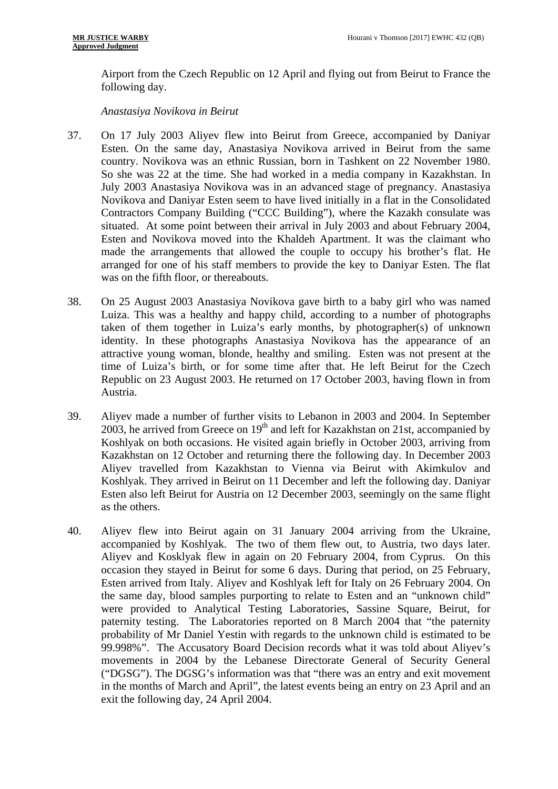Airport from the Czech Republic on 12 April and flying out from Beirut to France the following day.

*Anastasiya Novikova in Beirut* 

- 37. On 17 July 2003 Aliyev flew into Beirut from Greece, accompanied by Daniyar Esten. On the same day, Anastasiya Novikova arrived in Beirut from the same country. Novikova was an ethnic Russian, born in Tashkent on 22 November 1980. So she was 22 at the time. She had worked in a media company in Kazakhstan. In July 2003 Anastasiya Novikova was in an advanced stage of pregnancy. Anastasiya Novikova and Daniyar Esten seem to have lived initially in a flat in the Consolidated Contractors Company Building ("CCC Building"), where the Kazakh consulate was situated. At some point between their arrival in July 2003 and about February 2004, Esten and Novikova moved into the Khaldeh Apartment. It was the claimant who made the arrangements that allowed the couple to occupy his brother's flat. He arranged for one of his staff members to provide the key to Daniyar Esten. The flat was on the fifth floor, or thereabouts.
- 38. On 25 August 2003 Anastasiya Novikova gave birth to a baby girl who was named Luiza. This was a healthy and happy child, according to a number of photographs taken of them together in Luiza's early months, by photographer(s) of unknown identity. In these photographs Anastasiya Novikova has the appearance of an attractive young woman, blonde, healthy and smiling. Esten was not present at the time of Luiza's birth, or for some time after that. He left Beirut for the Czech Republic on 23 August 2003. He returned on 17 October 2003, having flown in from Austria.
- 39. Aliyev made a number of further visits to Lebanon in 2003 and 2004. In September 2003, he arrived from Greece on  $19<sup>th</sup>$  and left for Kazakhstan on 21st, accompanied by Koshlyak on both occasions. He visited again briefly in October 2003, arriving from Kazakhstan on 12 October and returning there the following day. In December 2003 Aliyev travelled from Kazakhstan to Vienna via Beirut with Akimkulov and Koshlyak. They arrived in Beirut on 11 December and left the following day. Daniyar Esten also left Beirut for Austria on 12 December 2003, seemingly on the same flight as the others.
- 40. Aliyev flew into Beirut again on 31 January 2004 arriving from the Ukraine, accompanied by Koshlyak. The two of them flew out, to Austria, two days later. Aliyev and Kosklyak flew in again on 20 February 2004, from Cyprus. On this occasion they stayed in Beirut for some 6 days. During that period, on 25 February, Esten arrived from Italy. Aliyev and Koshlyak left for Italy on 26 February 2004. On the same day, blood samples purporting to relate to Esten and an "unknown child" were provided to Analytical Testing Laboratories, Sassine Square, Beirut, for paternity testing. The Laboratories reported on 8 March 2004 that "the paternity probability of Mr Daniel Yestin with regards to the unknown child is estimated to be 99.998%". The Accusatory Board Decision records what it was told about Aliyev's movements in 2004 by the Lebanese Directorate General of Security General ("DGSG"). The DGSG's information was that "there was an entry and exit movement in the months of March and April", the latest events being an entry on 23 April and an exit the following day, 24 April 2004.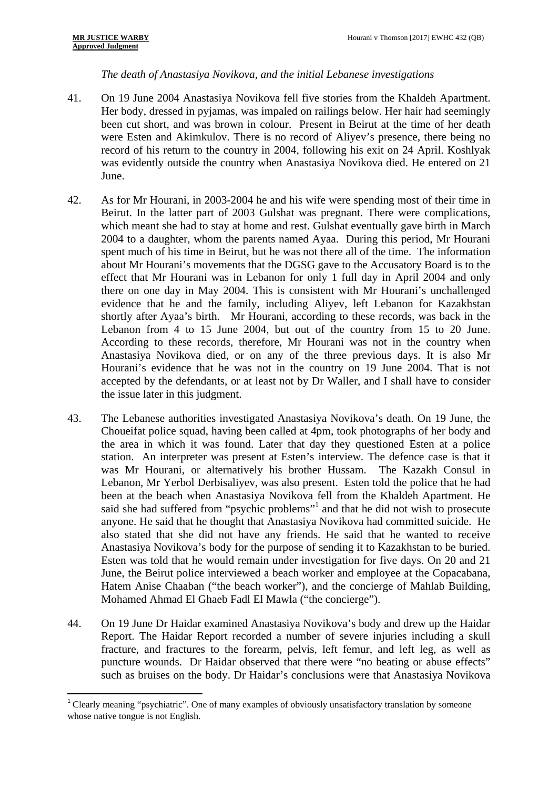1

#### *The death of Anastasiya Novikova, and the initial Lebanese investigations*

- 41. On 19 June 2004 Anastasiya Novikova fell five stories from the Khaldeh Apartment. Her body, dressed in pyjamas, was impaled on railings below. Her hair had seemingly been cut short, and was brown in colour. Present in Beirut at the time of her death were Esten and Akimkulov. There is no record of Aliyev's presence, there being no record of his return to the country in 2004, following his exit on 24 April. Koshlyak was evidently outside the country when Anastasiya Novikova died. He entered on 21 June.
- 42. As for Mr Hourani, in 2003-2004 he and his wife were spending most of their time in Beirut. In the latter part of 2003 Gulshat was pregnant. There were complications, which meant she had to stay at home and rest. Gulshat eventually gave birth in March 2004 to a daughter, whom the parents named Ayaa. During this period, Mr Hourani spent much of his time in Beirut, but he was not there all of the time. The information about Mr Hourani's movements that the DGSG gave to the Accusatory Board is to the effect that Mr Hourani was in Lebanon for only 1 full day in April 2004 and only there on one day in May 2004. This is consistent with Mr Hourani's unchallenged evidence that he and the family, including Aliyev, left Lebanon for Kazakhstan shortly after Ayaa's birth. Mr Hourani, according to these records, was back in the Lebanon from 4 to 15 June 2004, but out of the country from 15 to 20 June. According to these records, therefore, Mr Hourani was not in the country when Anastasiya Novikova died, or on any of the three previous days. It is also Mr Hourani's evidence that he was not in the country on 19 June 2004. That is not accepted by the defendants, or at least not by Dr Waller, and I shall have to consider the issue later in this judgment.
- 43. The Lebanese authorities investigated Anastasiya Novikova's death. On 19 June, the Choueifat police squad, having been called at 4pm, took photographs of her body and the area in which it was found. Later that day they questioned Esten at a police station. An interpreter was present at Esten's interview. The defence case is that it was Mr Hourani, or alternatively his brother Hussam. The Kazakh Consul in Lebanon, Mr Yerbol Derbisaliyev, was also present. Esten told the police that he had been at the beach when Anastasiya Novikova fell from the Khaldeh Apartment. He said she had suffered from "psychic problems"<sup>1</sup> and that he did not wish to prosecute anyone. He said that he thought that Anastasiya Novikova had committed suicide. He also stated that she did not have any friends. He said that he wanted to receive Anastasiya Novikova's body for the purpose of sending it to Kazakhstan to be buried. Esten was told that he would remain under investigation for five days. On 20 and 21 June, the Beirut police interviewed a beach worker and employee at the Copacabana, Hatem Anise Chaaban ("the beach worker"), and the concierge of Mahlab Building, Mohamed Ahmad El Ghaeb Fadl El Mawla ("the concierge").
- 44. On 19 June Dr Haidar examined Anastasiya Novikova's body and drew up the Haidar Report. The Haidar Report recorded a number of severe injuries including a skull fracture, and fractures to the forearm, pelvis, left femur, and left leg, as well as puncture wounds. Dr Haidar observed that there were "no beating or abuse effects" such as bruises on the body. Dr Haidar's conclusions were that Anastasiya Novikova

 $1$  Clearly meaning "psychiatric". One of many examples of obviously unsatisfactory translation by someone whose native tongue is not English.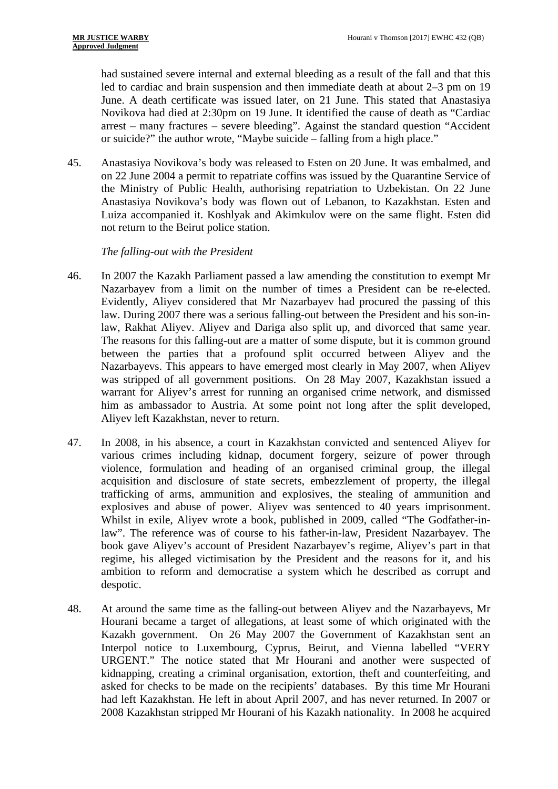had sustained severe internal and external bleeding as a result of the fall and that this led to cardiac and brain suspension and then immediate death at about 2–3 pm on 19 June. A death certificate was issued later, on 21 June. This stated that Anastasiya Novikova had died at 2:30pm on 19 June. It identified the cause of death as "Cardiac arrest – many fractures – severe bleeding". Against the standard question "Accident or suicide?" the author wrote, "Maybe suicide – falling from a high place."

45. Anastasiya Novikova's body was released to Esten on 20 June. It was embalmed, and on 22 June 2004 a permit to repatriate coffins was issued by the Quarantine Service of the Ministry of Public Health, authorising repatriation to Uzbekistan. On 22 June Anastasiya Novikova's body was flown out of Lebanon, to Kazakhstan. Esten and Luiza accompanied it. Koshlyak and Akimkulov were on the same flight. Esten did not return to the Beirut police station.

#### *The falling-out with the President*

- 46. In 2007 the Kazakh Parliament passed a law amending the constitution to exempt Mr Nazarbayev from a limit on the number of times a President can be re-elected. Evidently, Aliyev considered that Mr Nazarbayev had procured the passing of this law. During 2007 there was a serious falling-out between the President and his son-inlaw, Rakhat Aliyev. Aliyev and Dariga also split up, and divorced that same year. The reasons for this falling-out are a matter of some dispute, but it is common ground between the parties that a profound split occurred between Aliyev and the Nazarbayevs. This appears to have emerged most clearly in May 2007, when Aliyev was stripped of all government positions. On 28 May 2007, Kazakhstan issued a warrant for Aliyev's arrest for running an organised crime network, and dismissed him as ambassador to Austria. At some point not long after the split developed, Aliyev left Kazakhstan, never to return.
- 47. In 2008, in his absence, a court in Kazakhstan convicted and sentenced Aliyev for various crimes including kidnap, document forgery, seizure of power through violence, formulation and heading of an organised criminal group, the illegal acquisition and disclosure of state secrets, embezzlement of property, the illegal trafficking of arms, ammunition and explosives, the stealing of ammunition and explosives and abuse of power. Aliyev was sentenced to 40 years imprisonment. Whilst in exile, Aliyev wrote a book, published in 2009, called "The Godfather-inlaw". The reference was of course to his father-in-law, President Nazarbayev. The book gave Aliyev's account of President Nazarbayev's regime, Aliyev's part in that regime, his alleged victimisation by the President and the reasons for it, and his ambition to reform and democratise a system which he described as corrupt and despotic.
- 48. At around the same time as the falling-out between Aliyev and the Nazarbayevs, Mr Hourani became a target of allegations, at least some of which originated with the Kazakh government. On 26 May 2007 the Government of Kazakhstan sent an Interpol notice to Luxembourg, Cyprus, Beirut, and Vienna labelled "VERY URGENT." The notice stated that Mr Hourani and another were suspected of kidnapping, creating a criminal organisation, extortion, theft and counterfeiting, and asked for checks to be made on the recipients' databases. By this time Mr Hourani had left Kazakhstan. He left in about April 2007, and has never returned. In 2007 or 2008 Kazakhstan stripped Mr Hourani of his Kazakh nationality. In 2008 he acquired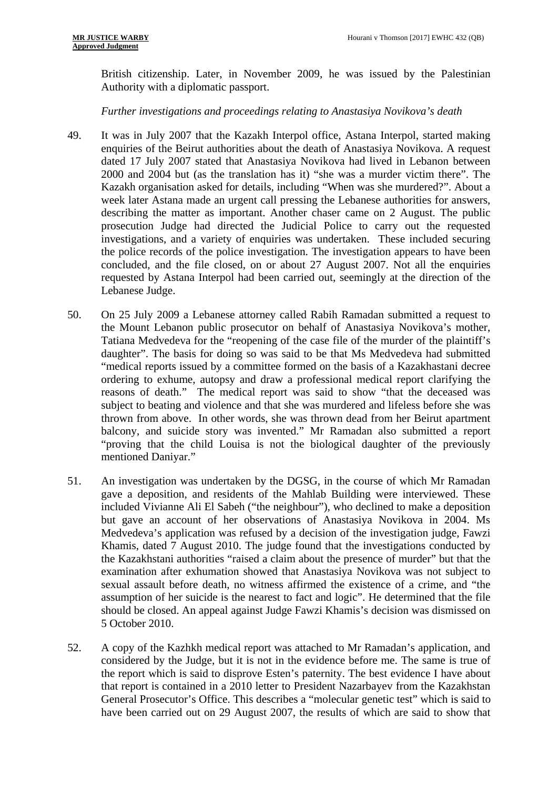British citizenship. Later, in November 2009, he was issued by the Palestinian Authority with a diplomatic passport.

#### *Further investigations and proceedings relating to Anastasiya Novikova's death*

- 49. It was in July 2007 that the Kazakh Interpol office, Astana Interpol, started making enquiries of the Beirut authorities about the death of Anastasiya Novikova. A request dated 17 July 2007 stated that Anastasiya Novikova had lived in Lebanon between 2000 and 2004 but (as the translation has it) "she was a murder victim there". The Kazakh organisation asked for details, including "When was she murdered?". About a week later Astana made an urgent call pressing the Lebanese authorities for answers, describing the matter as important. Another chaser came on 2 August. The public prosecution Judge had directed the Judicial Police to carry out the requested investigations, and a variety of enquiries was undertaken. These included securing the police records of the police investigation. The investigation appears to have been concluded, and the file closed, on or about 27 August 2007. Not all the enquiries requested by Astana Interpol had been carried out, seemingly at the direction of the Lebanese Judge.
- 50. On 25 July 2009 a Lebanese attorney called Rabih Ramadan submitted a request to the Mount Lebanon public prosecutor on behalf of Anastasiya Novikova's mother, Tatiana Medvedeva for the "reopening of the case file of the murder of the plaintiff's daughter". The basis for doing so was said to be that Ms Medvedeva had submitted "medical reports issued by a committee formed on the basis of a Kazakhastani decree ordering to exhume, autopsy and draw a professional medical report clarifying the reasons of death." The medical report was said to show "that the deceased was subject to beating and violence and that she was murdered and lifeless before she was thrown from above. In other words, she was thrown dead from her Beirut apartment balcony, and suicide story was invented." Mr Ramadan also submitted a report "proving that the child Louisa is not the biological daughter of the previously mentioned Daniyar."
- 51. An investigation was undertaken by the DGSG, in the course of which Mr Ramadan gave a deposition, and residents of the Mahlab Building were interviewed. These included Vivianne Ali El Sabeh ("the neighbour"), who declined to make a deposition but gave an account of her observations of Anastasiya Novikova in 2004. Ms Medvedeva's application was refused by a decision of the investigation judge, Fawzi Khamis, dated 7 August 2010. The judge found that the investigations conducted by the Kazakhstani authorities "raised a claim about the presence of murder" but that the examination after exhumation showed that Anastasiya Novikova was not subject to sexual assault before death, no witness affirmed the existence of a crime, and "the assumption of her suicide is the nearest to fact and logic". He determined that the file should be closed. An appeal against Judge Fawzi Khamis's decision was dismissed on 5 October 2010.
- 52. A copy of the Kazhkh medical report was attached to Mr Ramadan's application, and considered by the Judge, but it is not in the evidence before me. The same is true of the report which is said to disprove Esten's paternity. The best evidence I have about that report is contained in a 2010 letter to President Nazarbayev from the Kazakhstan General Prosecutor's Office. This describes a "molecular genetic test" which is said to have been carried out on 29 August 2007, the results of which are said to show that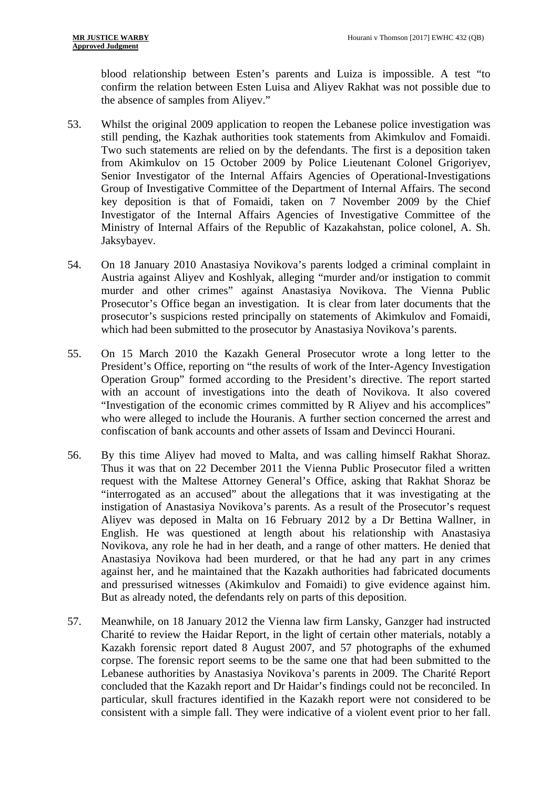the absence of samples from Aliyev." blood relationship between Esten's parents and Luiza is impossible. A test "to confirm the relation between Esten Luisa and Aliyev Rakhat was not possible due to

- 53. Whilst the original 2009 application to reopen the Lebanese police investigation was still pending, the Kazhak authorities took statements from Akimkulov and Fomaidi. Two such statements are relied on by the defendants. The first is a deposition taken from Akimkulov on 15 October 2009 by Police Lieutenant Colonel Grigoriyev, Senior Investigator of the Internal Affairs Agencies of Operational-Investigations Group of Investigative Committee of the Department of Internal Affairs. The second key deposition is that of Fomaidi, taken on 7 November 2009 by the Chief Investigator of the Internal Affairs Agencies of Investigative Committee of the Ministry of Internal Affairs of the Republic of Kazakahstan, police colonel, A. Sh. Jaksybayev.
- 54. On 18 January 2010 Anastasiya Novikova's parents lodged a criminal complaint in Austria against Aliyev and Koshlyak, alleging "murder and/or instigation to commit murder and other crimes" against Anastasiya Novikova. The Vienna Public Prosecutor's Office began an investigation. It is clear from later documents that the prosecutor's suspicions rested principally on statements of Akimkulov and Fomaidi, which had been submitted to the prosecutor by Anastasiya Novikova's parents.
- 55. On 15 March 2010 the Kazakh General Prosecutor wrote a long letter to the President's Office, reporting on "the results of work of the Inter-Agency Investigation Operation Group" formed according to the President's directive. The report started with an account of investigations into the death of Novikova. It also covered "Investigation of the economic crimes committed by R Aliyev and his accomplices" who were alleged to include the Houranis. A further section concerned the arrest and confiscation of bank accounts and other assets of Issam and Devincci Hourani.
- 56. By this time Aliyev had moved to Malta, and was calling himself Rakhat Shoraz. Thus it was that on 22 December 2011 the Vienna Public Prosecutor filed a written request with the Maltese Attorney General's Office, asking that Rakhat Shoraz be "interrogated as an accused" about the allegations that it was investigating at the instigation of Anastasiya Novikova's parents. As a result of the Prosecutor's request Aliyev was deposed in Malta on 16 February 2012 by a Dr Bettina Wallner, in English. He was questioned at length about his relationship with Anastasiya Novikova, any role he had in her death, and a range of other matters. He denied that Anastasiya Novikova had been murdered, or that he had any part in any crimes against her, and he maintained that the Kazakh authorities had fabricated documents and pressurised witnesses (Akimkulov and Fomaidi) to give evidence against him. But as already noted, the defendants rely on parts of this deposition.
- 57. Meanwhile, on 18 January 2012 the Vienna law firm Lansky, Ganzger had instructed Charité to review the Haidar Report, in the light of certain other materials, notably a Kazakh forensic report dated 8 August 2007, and 57 photographs of the exhumed corpse. The forensic report seems to be the same one that had been submitted to the Lebanese authorities by Anastasiya Novikova's parents in 2009. The Charité Report concluded that the Kazakh report and Dr Haidar's findings could not be reconciled. In particular, skull fractures identified in the Kazakh report were not considered to be consistent with a simple fall. They were indicative of a violent event prior to her fall.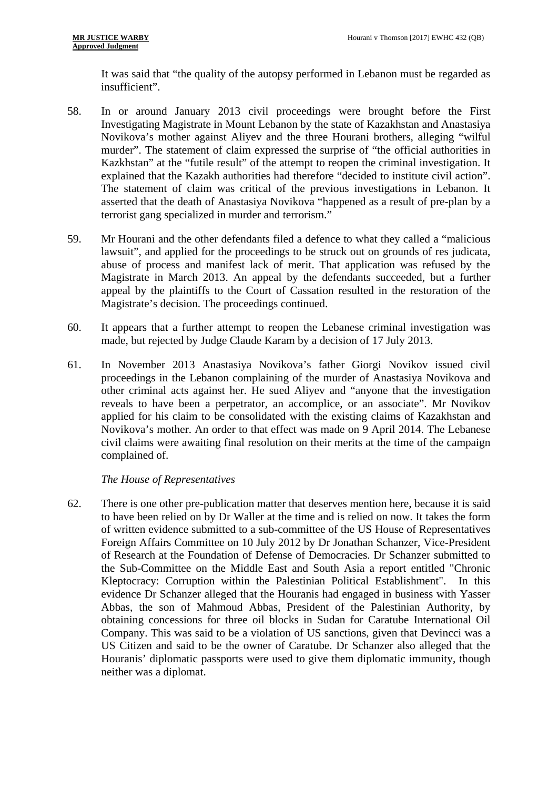It was said that "the quality of the autopsy performed in Lebanon must be regarded as insufficient".

- 58. In or around January 2013 civil proceedings were brought before the First Investigating Magistrate in Mount Lebanon by the state of Kazakhstan and Anastasiya Novikova's mother against Aliyev and the three Hourani brothers, alleging "wilful murder". The statement of claim expressed the surprise of "the official authorities in Kazkhstan" at the "futile result" of the attempt to reopen the criminal investigation. It explained that the Kazakh authorities had therefore "decided to institute civil action". The statement of claim was critical of the previous investigations in Lebanon. It asserted that the death of Anastasiya Novikova "happened as a result of pre-plan by a terrorist gang specialized in murder and terrorism."
- 59. Mr Hourani and the other defendants filed a defence to what they called a "malicious lawsuit", and applied for the proceedings to be struck out on grounds of res judicata, abuse of process and manifest lack of merit. That application was refused by the Magistrate in March 2013. An appeal by the defendants succeeded, but a further appeal by the plaintiffs to the Court of Cassation resulted in the restoration of the Magistrate's decision. The proceedings continued.
- 60. It appears that a further attempt to reopen the Lebanese criminal investigation was made, but rejected by Judge Claude Karam by a decision of 17 July 2013.
- 61. In November 2013 Anastasiya Novikova's father Giorgi Novikov issued civil proceedings in the Lebanon complaining of the murder of Anastasiya Novikova and other criminal acts against her. He sued Aliyev and "anyone that the investigation reveals to have been a perpetrator, an accomplice, or an associate". Mr Novikov applied for his claim to be consolidated with the existing claims of Kazakhstan and Novikova's mother. An order to that effect was made on 9 April 2014. The Lebanese civil claims were awaiting final resolution on their merits at the time of the campaign complained of.

#### *The House of Representatives*

62. There is one other pre-publication matter that deserves mention here, because it is said to have been relied on by Dr Waller at the time and is relied on now. It takes the form of written evidence submitted to a sub-committee of the US House of Representatives Foreign Affairs Committee on 10 July 2012 by Dr Jonathan Schanzer, Vice-President of Research at the Foundation of Defense of Democracies. Dr Schanzer submitted to the Sub-Committee on the Middle East and South Asia a report entitled "Chronic Kleptocracy: Corruption within the Palestinian Political Establishment". In this evidence Dr Schanzer alleged that the Houranis had engaged in business with Yasser Abbas, the son of Mahmoud Abbas, President of the Palestinian Authority, by obtaining concessions for three oil blocks in Sudan for Caratube International Oil Company. This was said to be a violation of US sanctions, given that Devincci was a US Citizen and said to be the owner of Caratube. Dr Schanzer also alleged that the Houranis' diplomatic passports were used to give them diplomatic immunity, though neither was a diplomat.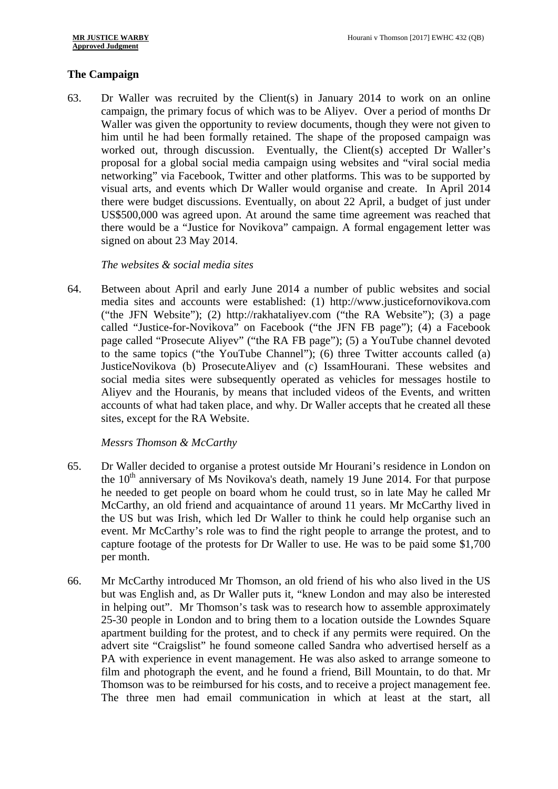#### **The Campaign**

63. Dr Waller was recruited by the Client(s) in January 2014 to work on an online campaign, the primary focus of which was to be Aliyev. Over a period of months Dr Waller was given the opportunity to review documents, though they were not given to him until he had been formally retained. The shape of the proposed campaign was worked out, through discussion. Eventually, the Client(s) accepted Dr Waller's proposal for a global social media campaign using websites and "viral social media networking" via Facebook, Twitter and other platforms. This was to be supported by visual arts, and events which Dr Waller would organise and create. In April 2014 there were budget discussions. Eventually, on about 22 April, a budget of just under US\$500,000 was agreed upon. At around the same time agreement was reached that there would be a "Justice for Novikova" campaign. A formal engagement letter was signed on about 23 May 2014.

#### *The websites & social media sites*

64. Between about April and early June 2014 a number of public websites and social media sites and accounts were established: (1) http://www.justicefornovikova.com ("the JFN Website"); (2) http://rakhataliyev.com ("the RA Website"); (3) a page called "Justice-for-Novikova" on Facebook ("the JFN FB page"); (4) a Facebook page called "Prosecute Aliyev" ("the RA FB page"); (5) a YouTube channel devoted to the same topics ("the YouTube Channel"); (6) three Twitter accounts called (a) JusticeNovikova (b) ProsecuteAliyev and (c) IssamHourani. These websites and social media sites were subsequently operated as vehicles for messages hostile to Aliyev and the Houranis, by means that included videos of the Events, and written accounts of what had taken place, and why. Dr Waller accepts that he created all these sites, except for the RA Website.

#### *Messrs Thomson & McCarthy*

- 65. Dr Waller decided to organise a protest outside Mr Hourani's residence in London on the  $10<sup>th</sup>$  anniversary of Ms Novikova's death, namely 19 June 2014. For that purpose he needed to get people on board whom he could trust, so in late May he called Mr McCarthy, an old friend and acquaintance of around 11 years. Mr McCarthy lived in the US but was Irish, which led Dr Waller to think he could help organise such an event. Mr McCarthy's role was to find the right people to arrange the protest, and to capture footage of the protests for Dr Waller to use. He was to be paid some \$1,700 per month.
- 66. Mr McCarthy introduced Mr Thomson, an old friend of his who also lived in the US but was English and, as Dr Waller puts it, "knew London and may also be interested in helping out". Mr Thomson's task was to research how to assemble approximately 25-30 people in London and to bring them to a location outside the Lowndes Square apartment building for the protest, and to check if any permits were required. On the advert site "Craigslist" he found someone called Sandra who advertised herself as a PA with experience in event management. He was also asked to arrange someone to film and photograph the event, and he found a friend, Bill Mountain, to do that. Mr Thomson was to be reimbursed for his costs, and to receive a project management fee. The three men had email communication in which at least at the start, all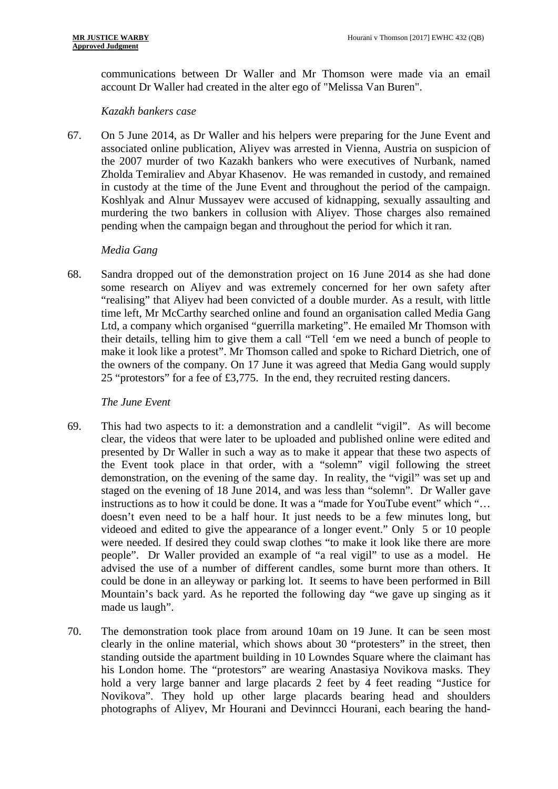communications between Dr Waller and Mr Thomson were made via an email account Dr Waller had created in the alter ego of "Melissa Van Buren".

#### *Kazakh bankers case*

67. On 5 June 2014, as Dr Waller and his helpers were preparing for the June Event and associated online publication, Aliyev was arrested in Vienna, Austria on suspicion of the 2007 murder of two Kazakh bankers who were executives of Nurbank, named Zholda Temiraliev and Abyar Khasenov. He was remanded in custody, and remained in custody at the time of the June Event and throughout the period of the campaign. Koshlyak and Alnur Mussayev were accused of kidnapping, sexually assaulting and murdering the two bankers in collusion with Aliyev. Those charges also remained pending when the campaign began and throughout the period for which it ran.

#### *Media Gang*

68. Sandra dropped out of the demonstration project on 16 June 2014 as she had done some research on Aliyev and was extremely concerned for her own safety after "realising" that Aliyev had been convicted of a double murder. As a result, with little time left, Mr McCarthy searched online and found an organisation called Media Gang Ltd, a company which organised "guerrilla marketing". He emailed Mr Thomson with their details, telling him to give them a call "Tell 'em we need a bunch of people to make it look like a protest". Mr Thomson called and spoke to Richard Dietrich, one of the owners of the company. On 17 June it was agreed that Media Gang would supply 25 "protestors" for a fee of £3,775. In the end, they recruited resting dancers.

#### *The June Event*

- 69. This had two aspects to it: a demonstration and a candlelit "vigil". As will become clear, the videos that were later to be uploaded and published online were edited and presented by Dr Waller in such a way as to make it appear that these two aspects of the Event took place in that order, with a "solemn" vigil following the street demonstration, on the evening of the same day. In reality, the "vigil" was set up and staged on the evening of 18 June 2014, and was less than "solemn". Dr Waller gave instructions as to how it could be done. It was a "made for YouTube event" which "… doesn't even need to be a half hour. It just needs to be a few minutes long, but videoed and edited to give the appearance of a longer event." Only 5 or 10 people were needed. If desired they could swap clothes "to make it look like there are more people". Dr Waller provided an example of "a real vigil" to use as a model. He advised the use of a number of different candles, some burnt more than others. It could be done in an alleyway or parking lot. It seems to have been performed in Bill Mountain's back yard. As he reported the following day "we gave up singing as it made us laugh".
- 70. The demonstration took place from around 10am on 19 June. It can be seen most clearly in the online material, which shows about 30 "protesters" in the street, then standing outside the apartment building in 10 Lowndes Square where the claimant has his London home. The "protestors" are wearing Anastasiya Novikova masks. They hold a very large banner and large placards 2 feet by 4 feet reading "Justice for Novikova". They hold up other large placards bearing head and shoulders photographs of Aliyev, Mr Hourani and Devinncci Hourani, each bearing the hand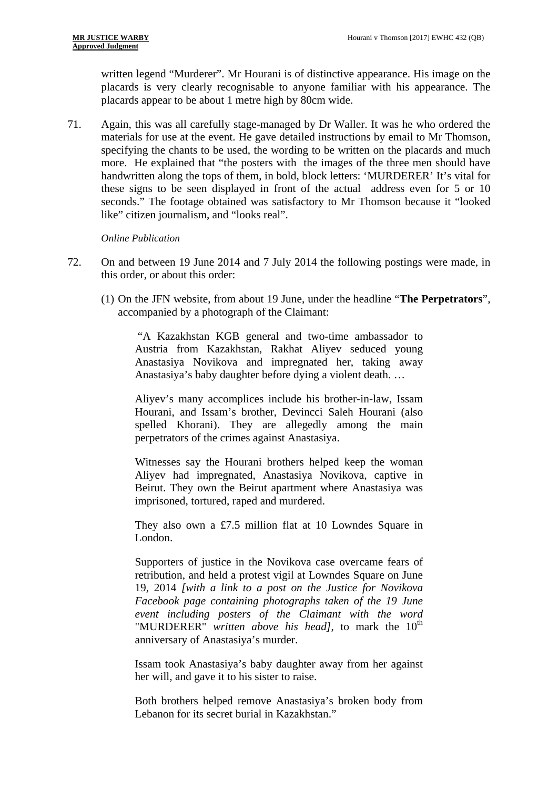written legend "Murderer". Mr Hourani is of distinctive appearance. His image on the placards is very clearly recognisable to anyone familiar with his appearance. The placards appear to be about 1 metre high by 80cm wide.

71. Again, this was all carefully stage-managed by Dr Waller. It was he who ordered the materials for use at the event. He gave detailed instructions by email to Mr Thomson, specifying the chants to be used, the wording to be written on the placards and much more. He explained that "the posters with the images of the three men should have handwritten along the tops of them, in bold, block letters: 'MURDERER' It's vital for these signs to be seen displayed in front of the actual address even for 5 or 10 seconds." The footage obtained was satisfactory to Mr Thomson because it "looked like" citizen journalism, and "looks real".

#### *Online Publication*

- 72. On and between 19 June 2014 and 7 July 2014 the following postings were made, in this order, or about this order:
	- (1) On the JFN website, from about 19 June, under the headline "**The Perpetrators**", accompanied by a photograph of the Claimant:

"A Kazakhstan KGB general and two-time ambassador to Austria from Kazakhstan, Rakhat Aliyev seduced young Anastasiya Novikova and impregnated her, taking away Anastasiya's baby daughter before dying a violent death. …

Aliyev's many accomplices include his brother-in-law, Issam Hourani, and Issam's brother, Devincci Saleh Hourani (also spelled Khorani). They are allegedly among the main perpetrators of the crimes against Anastasiya.

Witnesses say the Hourani brothers helped keep the woman Aliyev had impregnated, Anastasiya Novikova, captive in Beirut. They own the Beirut apartment where Anastasiya was imprisoned, tortured, raped and murdered.

They also own a £7.5 million flat at 10 Lowndes Square in London.

Supporters of justice in the Novikova case overcame fears of retribution, and held a protest vigil at Lowndes Square on June 19, 2014 *[with a link to a post on the Justice for Novikova Facebook page containing photographs taken of the 19 June event including posters of the Claimant with the word*  "MURDERER" *written above his head*], to mark the 10<sup>th</sup> anniversary of Anastasiya's murder.

Issam took Anastasiya's baby daughter away from her against her will, and gave it to his sister to raise.

Both brothers helped remove Anastasiya's broken body from Lebanon for its secret burial in Kazakhstan."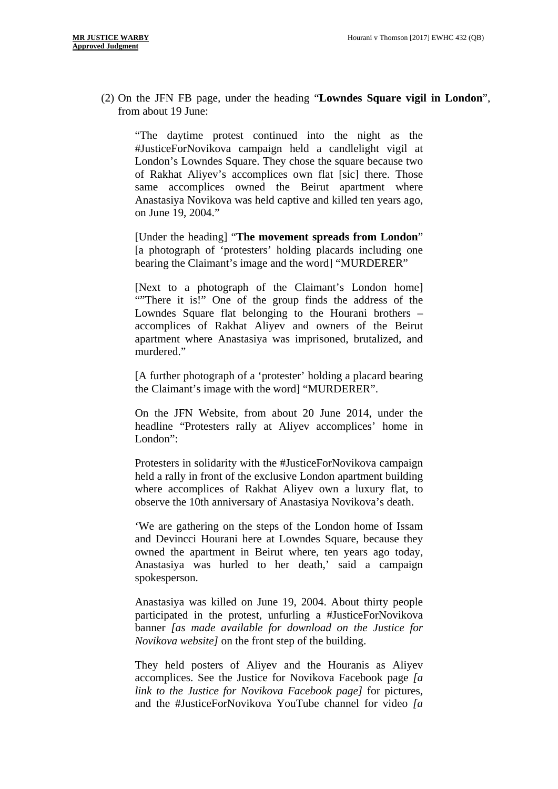(2) On the JFN FB page*,* under the heading "**Lowndes Square vigil in London**", from about 19 June:

"The daytime protest continued into the night as the #JusticeForNovikova campaign held a candlelight vigil at London's Lowndes Square. They chose the square because two of Rakhat Aliyev's accomplices own flat [sic] there. Those same accomplices owned the Beirut apartment where Anastasiya Novikova was held captive and killed ten years ago, on June 19, 2004."

[Under the heading] "**The movement spreads from London**" [a photograph of 'protesters' holding placards including one bearing the Claimant's image and the word] "MURDERER"

[Next to a photograph of the Claimant's London home] "There it is!" One of the group finds the address of the Lowndes Square flat belonging to the Hourani brothers – accomplices of Rakhat Aliyev and owners of the Beirut apartment where Anastasiya was imprisoned, brutalized, and murdered."

[A further photograph of a 'protester' holding a placard bearing the Claimant's image with the word] "MURDERER".

On the JFN Website, from about 20 June 2014, under the headline "Protesters rally at Aliyev accomplices' home in London":

Protesters in solidarity with the #JusticeForNovikova campaign held a rally in front of the exclusive London apartment building where accomplices of Rakhat Aliyev own a luxury flat, to observe the 10th anniversary of Anastasiya Novikova's death.

'We are gathering on the steps of the London home of Issam and Devincci Hourani here at Lowndes Square, because they owned the apartment in Beirut where, ten years ago today, Anastasiya was hurled to her death,' said a campaign spokesperson.

Anastasiya was killed on June 19, 2004. About thirty people participated in the protest, unfurling a #JusticeForNovikova banner *[as made available for download on the Justice for Novikova website]* on the front step of the building.

They held posters of Aliyev and the Houranis as Aliyev accomplices. See the Justice for Novikova Facebook page *[a link to the Justice for Novikova Facebook page]* for pictures, and the #JusticeForNovikova YouTube channel for video *[a*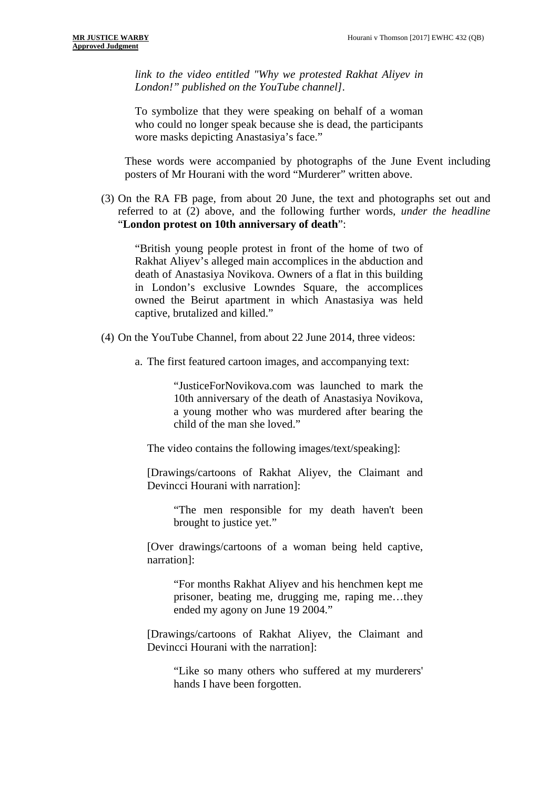*link to the video entitled "Why we protested Rakhat Aliyev in London!" published on the YouTube channel]*.

To symbolize that they were speaking on behalf of a woman who could no longer speak because she is dead, the participants wore masks depicting Anastasiya's face."

These words were accompanied by photographs of the June Event including posters of Mr Hourani with the word "Murderer" written above.

(3) On the RA FB page, from about 20 June, the text and photographs set out and referred to at (2) above, and the following further words, *under the headline*  "**London protest on 10th anniversary of death**":

"British young people protest in front of the home of two of Rakhat Aliyev's alleged main accomplices in the abduction and death of Anastasiya Novikova. Owners of a flat in this building in London's exclusive Lowndes Square, the accomplices owned the Beirut apartment in which Anastasiya was held captive, brutalized and killed."

- (4) On the YouTube Channel, from about 22 June 2014, three videos:
	- a. The first featured cartoon images, and accompanying text:

"JusticeForNovikova.com was launched to mark the 10th anniversary of the death of Anastasiya Novikova, a young mother who was murdered after bearing the child of the man she loved."

The video contains the following images/text/speaking]:

[Drawings/cartoons of Rakhat Aliyev, the Claimant and Devincci Hourani with narration]:

"The men responsible for my death haven't been brought to justice yet."

[Over drawings/cartoons of a woman being held captive, narration]:

"For months Rakhat Aliyev and his henchmen kept me prisoner, beating me, drugging me, raping me…they ended my agony on June 19 2004."

[Drawings/cartoons of Rakhat Aliyev, the Claimant and Devincci Hourani with the narration]:

"Like so many others who suffered at my murderers' hands I have been forgotten.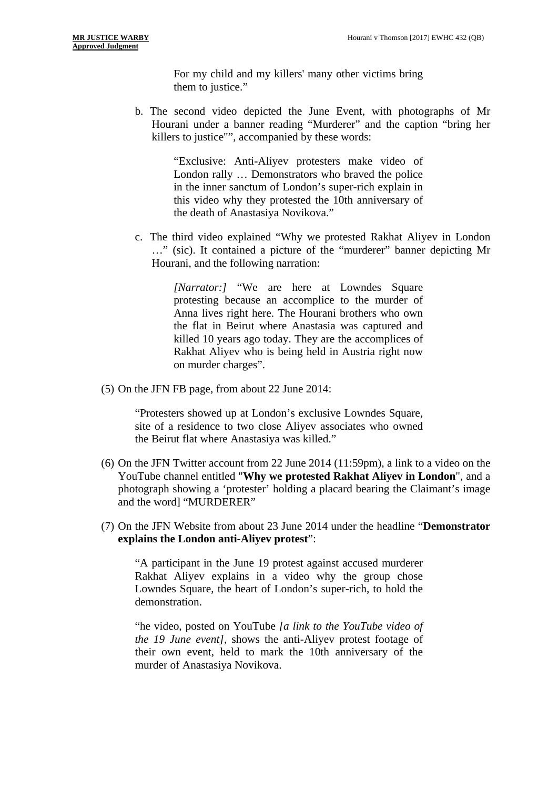For my child and my killers' many other victims bring them to justice."

b. The second video depicted the June Event, with photographs of Mr Hourani under a banner reading "Murderer" and the caption "bring her killers to justice"", accompanied by these words:

> "Exclusive: Anti-Aliyev protesters make video of London rally … Demonstrators who braved the police in the inner sanctum of London's super-rich explain in this video why they protested the 10th anniversary of the death of Anastasiya Novikova."

c. The third video explained "Why we protested Rakhat Aliyev in London …" (sic). It contained a picture of the "murderer" banner depicting Mr Hourani, and the following narration:

> *[Narrator:]* "We are here at Lowndes Square protesting because an accomplice to the murder of Anna lives right here. The Hourani brothers who own the flat in Beirut where Anastasia was captured and killed 10 years ago today. They are the accomplices of Rakhat Aliyev who is being held in Austria right now on murder charges".

(5) On the JFN FB page, from about 22 June 2014:

"Protesters showed up at London's exclusive Lowndes Square, site of a residence to two close Aliyev associates who owned the Beirut flat where Anastasiya was killed."

- (6) On the JFN Twitter account from 22 June 2014 (11:59pm), a link to a video on the YouTube channel entitled "**Why we protested Rakhat Aliyev in London**", and a photograph showing a 'protester' holding a placard bearing the Claimant's image and the word] "MURDERER"
- (7) On the JFN Website from about 23 June 2014 under the headline "**Demonstrator explains the London anti-Aliyev protest**":

"A participant in the June 19 protest against accused murderer Rakhat Aliyev explains in a video why the group chose Lowndes Square, the heart of London's super-rich, to hold the demonstration.

"he video, posted on YouTube *[a link to the YouTube video of the 19 June event]*, shows the anti-Aliyev protest footage of their own event, held to mark the 10th anniversary of the murder of Anastasiya Novikova.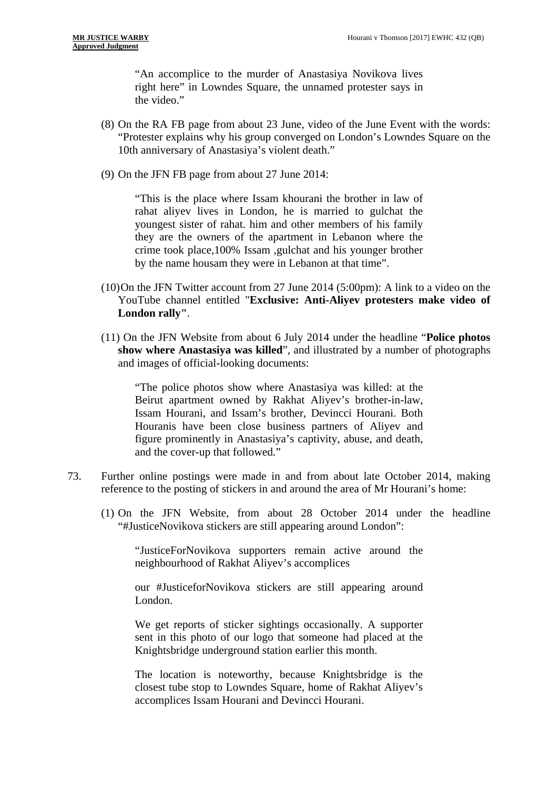"An accomplice to the murder of Anastasiya Novikova lives right here" in Lowndes Square, the unnamed protester says in the video."

- (8) On the RA FB page from about 23 June, video of the June Event with the words: "Protester explains why his group converged on London's Lowndes Square on the 10th anniversary of Anastasiya's violent death."
- (9) On the JFN FB page from about 27 June 2014:

"This is the place where Issam khourani the brother in law of rahat aliyev lives in London, he is married to gulchat the youngest sister of rahat. him and other members of his family they are the owners of the apartment in Lebanon where the crime took place,100% Issam ,gulchat and his younger brother by the name housam they were in Lebanon at that time".

- (10)On the JFN Twitter account from 27 June 2014 (5:00pm): A link to a video on the YouTube channel entitled "**Exclusive: Anti-Aliyev protesters make video of London rally"**.
- (11) On the JFN Website from about 6 July 2014 under the headline "**Police photos show where Anastasiya was killed**", and illustrated by a number of photographs and images of official-looking documents:

"The police photos show where Anastasiya was killed: at the Beirut apartment owned by Rakhat Aliyev's brother-in-law, Issam Hourani, and Issam's brother, Devincci Hourani. Both Houranis have been close business partners of Aliyev and figure prominently in Anastasiya's captivity, abuse, and death, and the cover-up that followed."

- 73. Further online postings were made in and from about late October 2014, making reference to the posting of stickers in and around the area of Mr Hourani's home:
	- (1) On the JFN Website, from about 28 October 2014 under the headline "#JusticeNovikova stickers are still appearing around London":

"JusticeForNovikova supporters remain active around the neighbourhood of Rakhat Aliyev's accomplices

our #JusticeforNovikova stickers are still appearing around London.

We get reports of sticker sightings occasionally. A supporter sent in this photo of our logo that someone had placed at the Knightsbridge underground station earlier this month.

The location is noteworthy, because Knightsbridge is the closest tube stop to Lowndes Square, home of Rakhat Aliyev's accomplices Issam Hourani and Devincci Hourani.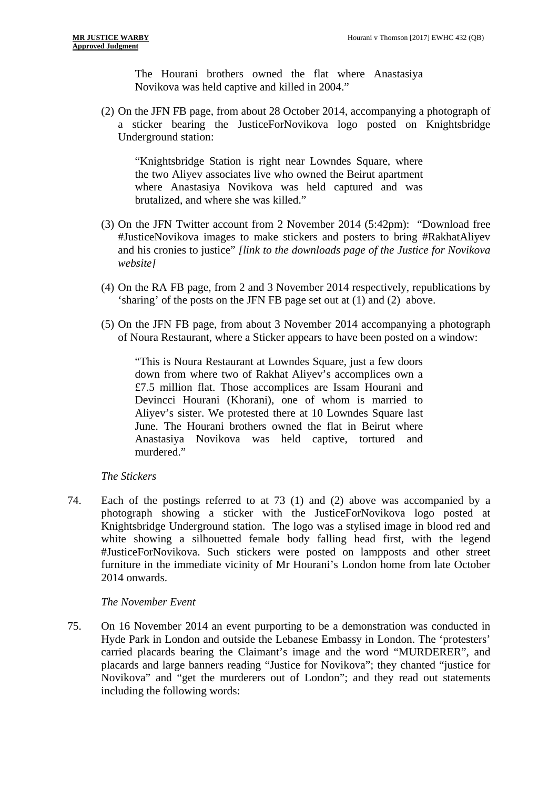The Hourani brothers owned the flat where Anastasiya Novikova was held captive and killed in 2004."

(2) On the JFN FB page, from about 28 October 2014, accompanying a photograph of a sticker bearing the JusticeForNovikova logo posted on Knightsbridge Underground station:

"Knightsbridge Station is right near Lowndes Square, where the two Aliyev associates live who owned the Beirut apartment where Anastasiya Novikova was held captured and was brutalized, and where she was killed."

- (3) On the JFN Twitter account from 2 November 2014 (5:42pm): "Download free #JusticeNovikova images to make stickers and posters to bring #RakhatAliyev and his cronies to justice" *[link to the downloads page of the Justice for Novikova website]*
- (4) On the RA FB page, from 2 and 3 November 2014 respectively, republications by 'sharing' of the posts on the JFN FB page set out at (1) and (2) above.
- (5) On the JFN FB page, from about 3 November 2014 accompanying a photograph of Noura Restaurant, where a Sticker appears to have been posted on a window:

"This is Noura Restaurant at Lowndes Square, just a few doors down from where two of Rakhat Aliyev's accomplices own a £7.5 million flat. Those accomplices are Issam Hourani and Devincci Hourani (Khorani), one of whom is married to Aliyev's sister. We protested there at 10 Lowndes Square last June. The Hourani brothers owned the flat in Beirut where Anastasiya Novikova was held captive, tortured and murdered."

#### *The Stickers*

74. Each of the postings referred to at 73 (1) and (2) above was accompanied by a photograph showing a sticker with the JusticeForNovikova logo posted at Knightsbridge Underground station. The logo was a stylised image in blood red and white showing a silhouetted female body falling head first, with the legend #JusticeForNovikova. Such stickers were posted on lampposts and other street furniture in the immediate vicinity of Mr Hourani's London home from late October 2014 onwards.

#### *The November Event*

75. On 16 November 2014 an event purporting to be a demonstration was conducted in Hyde Park in London and outside the Lebanese Embassy in London. The 'protesters' carried placards bearing the Claimant's image and the word "MURDERER", and placards and large banners reading "Justice for Novikova"; they chanted "justice for Novikova" and "get the murderers out of London"; and they read out statements including the following words: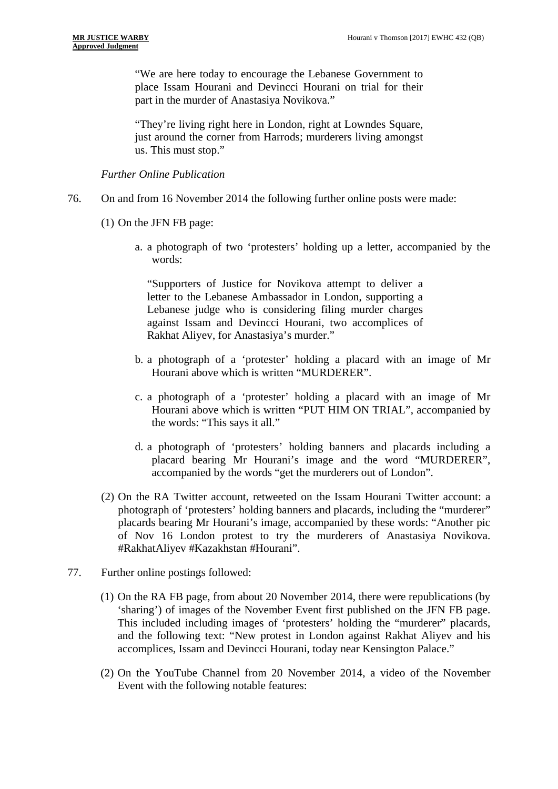"We are here today to encourage the Lebanese Government to place Issam Hourani and Devincci Hourani on trial for their part in the murder of Anastasiya Novikova."

"They're living right here in London, right at Lowndes Square, just around the corner from Harrods; murderers living amongst us. This must stop."

*Further Online Publication* 

- 76. On and from 16 November 2014 the following further online posts were made:
	- (1) On the JFN FB page:
		- a. a photograph of two 'protesters' holding up a letter, accompanied by the words:

"Supporters of Justice for Novikova attempt to deliver a letter to the Lebanese Ambassador in London, supporting a Lebanese judge who is considering filing murder charges against Issam and Devincci Hourani, two accomplices of Rakhat Aliyev, for Anastasiya's murder."

- b. a photograph of a 'protester' holding a placard with an image of Mr Hourani above which is written "MURDERER".
- c. a photograph of a 'protester' holding a placard with an image of Mr Hourani above which is written "PUT HIM ON TRIAL", accompanied by the words: "This says it all."
- d. a photograph of 'protesters' holding banners and placards including a placard bearing Mr Hourani's image and the word "MURDERER", accompanied by the words "get the murderers out of London".
- (2) On the RA Twitter account, retweeted on the Issam Hourani Twitter account: a photograph of 'protesters' holding banners and placards, including the "murderer" placards bearing Mr Hourani's image, accompanied by these words: "Another pic of Nov 16 London protest to try the murderers of Anastasiya Novikova. #RakhatAliyev #Kazakhstan #Hourani".
- 77. Further online postings followed:
	- (1) On the RA FB page, from about 20 November 2014, there were republications (by 'sharing') of images of the November Event first published on the JFN FB page. This included including images of 'protesters' holding the "murderer" placards, and the following text: "New protest in London against Rakhat Aliyev and his accomplices, Issam and Devincci Hourani, today near Kensington Palace."
	- (2) On the YouTube Channel from 20 November 2014, a video of the November Event with the following notable features: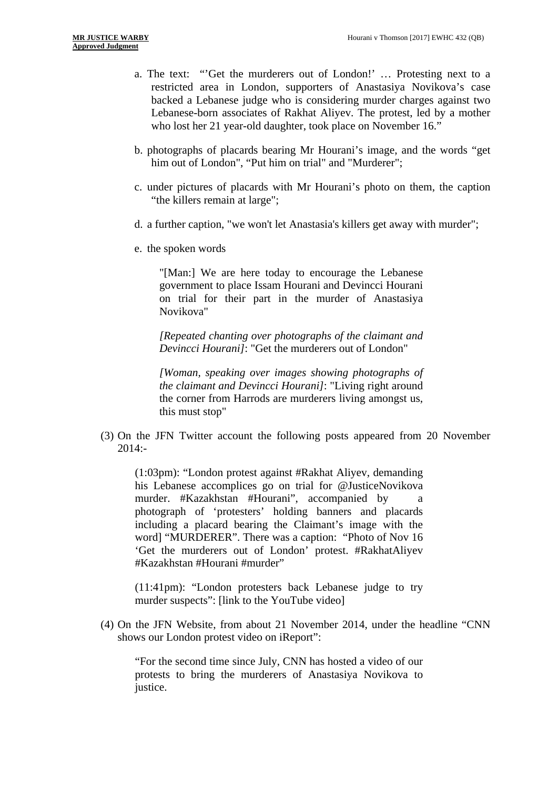- a. The text: "'Get the murderers out of London!' … Protesting next to a restricted area in London, supporters of Anastasiya Novikova's case backed a Lebanese judge who is considering murder charges against two Lebanese-born associates of Rakhat Aliyev. The protest, led by a mother who lost her 21 year-old daughter, took place on November 16."
- b. photographs of placards bearing Mr Hourani's image, and the words "get him out of London", "Put him on trial" and "Murderer";
- c. under pictures of placards with Mr Hourani's photo on them, the caption "the killers remain at large";
- d. a further caption, "we won't let Anastasia's killers get away with murder";
- e. the spoken words

"[Man:] We are here today to encourage the Lebanese government to place Issam Hourani and Devincci Hourani on trial for their part in the murder of Anastasiya Novikova"

*[Repeated chanting over photographs of the claimant and Devincci Hourani]*: "Get the murderers out of London"

*[Woman, speaking over images showing photographs of the claimant and Devincci Hourani]*: "Living right around the corner from Harrods are murderers living amongst us, this must stop"

(3) On the JFN Twitter account the following posts appeared from 20 November 2014:-

(1:03pm): "London protest against #Rakhat Aliyev, demanding his Lebanese accomplices go on trial for @JusticeNovikova murder. #Kazakhstan #Hourani", accompanied by photograph of 'protesters' holding banners and placards including a placard bearing the Claimant's image with the word] "MURDERER". There was a caption: "Photo of Nov 16 'Get the murderers out of London' protest. #RakhatAliyev #Kazakhstan #Hourani #murder"

(11:41pm): "London protesters back Lebanese judge to try murder suspects": [link to the YouTube video]

(4) On the JFN Website, from about 21 November 2014, under the headline "CNN shows our London protest video on iReport":

"For the second time since July, CNN has hosted a video of our protests to bring the murderers of Anastasiya Novikova to justice.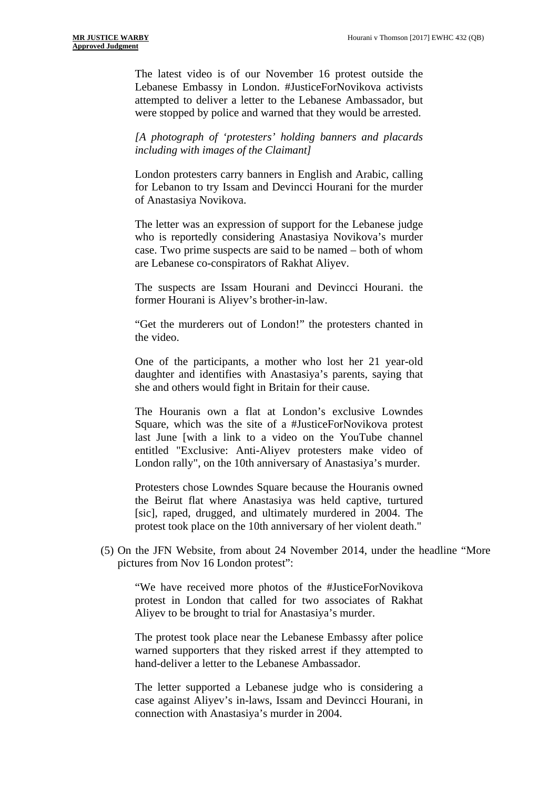The latest video is of our November 16 protest outside the Lebanese Embassy in London. #JusticeForNovikova activists attempted to deliver a letter to the Lebanese Ambassador, but were stopped by police and warned that they would be arrested.

*[A photograph of 'protesters' holding banners and placards including with images of the Claimant]* 

London protesters carry banners in English and Arabic, calling for Lebanon to try Issam and Devincci Hourani for the murder of Anastasiya Novikova.

The letter was an expression of support for the Lebanese judge who is reportedly considering Anastasiya Novikova's murder case. Two prime suspects are said to be named – both of whom are Lebanese co-conspirators of Rakhat Aliyev.

The suspects are Issam Hourani and Devincci Hourani. the former Hourani is Aliyev's brother-in-law.

"Get the murderers out of London!" the protesters chanted in the video.

One of the participants, a mother who lost her 21 year-old daughter and identifies with Anastasiya's parents, saying that she and others would fight in Britain for their cause.

The Houranis own a flat at London's exclusive Lowndes Square, which was the site of a #JusticeForNovikova protest last June [with a link to a video on the YouTube channel entitled "Exclusive: Anti-Aliyev protesters make video of London rally", on the 10th anniversary of Anastasiya's murder.

Protesters chose Lowndes Square because the Houranis owned the Beirut flat where Anastasiya was held captive, turtured [sic], raped, drugged, and ultimately murdered in 2004. The protest took place on the 10th anniversary of her violent death."

(5) On the JFN Website, from about 24 November 2014, under the headline "More pictures from Nov 16 London protest":

"We have received more photos of the #JusticeForNovikova protest in London that called for two associates of Rakhat Aliyev to be brought to trial for Anastasiya's murder.

The protest took place near the Lebanese Embassy after police warned supporters that they risked arrest if they attempted to hand-deliver a letter to the Lebanese Ambassador.

The letter supported a Lebanese judge who is considering a case against Aliyev's in-laws, Issam and Devincci Hourani, in connection with Anastasiya's murder in 2004.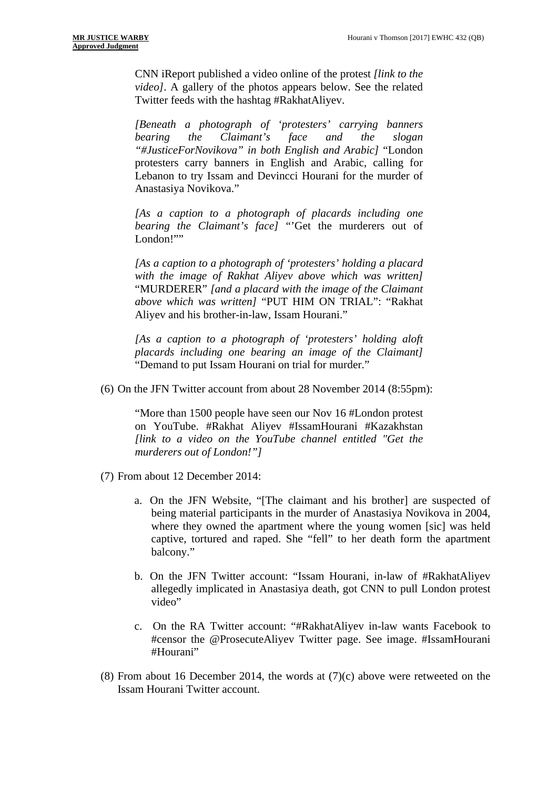CNN iReport published a video online of the protest *[link to the video]*. A gallery of the photos appears below. See the related Twitter feeds with the hashtag #RakhatAliyev.

*[Beneath a photograph of 'protesters' carrying banners bearing the Claimant's face and the slogan "#JusticeForNovikova" in both English and Arabic]* "London protesters carry banners in English and Arabic, calling for Lebanon to try Issam and Devincci Hourani for the murder of Anastasiya Novikova."

*[As a caption to a photograph of placards including one bearing the Claimant's face]* "Get the murderers out of London!""

*[As a caption to a photograph of 'protesters' holding a placard with the image of Rakhat Aliyev above which was written]*  "MURDERER" *[and a placard with the image of the Claimant above which was written]* "PUT HIM ON TRIAL": "Rakhat Aliyev and his brother-in-law, Issam Hourani."

*[As a caption to a photograph of 'protesters' holding aloft placards including one bearing an image of the Claimant]*  "Demand to put Issam Hourani on trial for murder."

(6) On the JFN Twitter account from about 28 November 2014 (8:55pm):

"More than 1500 people have seen our Nov 16 #London protest on YouTube. #Rakhat Aliyev #IssamHourani #Kazakhstan *[link to a video on the YouTube channel entitled "Get the murderers out of London!"]* 

(7) From about 12 December 2014:

- a. On the JFN Website, "[The claimant and his brother] are suspected of being material participants in the murder of Anastasiya Novikova in 2004, where they owned the apartment where the young women [sic] was held captive, tortured and raped. She "fell" to her death form the apartment balcony."
- b. On the JFN Twitter account: "Issam Hourani, in-law of #RakhatAliyev allegedly implicated in Anastasiya death, got CNN to pull London protest video"
- c. On the RA Twitter account: "#RakhatAliyev in-law wants Facebook to #censor the @ProsecuteAliyev Twitter page. See image. #IssamHourani #Hourani"
- (8) From about 16 December 2014, the words at (7)(c) above were retweeted on the Issam Hourani Twitter account.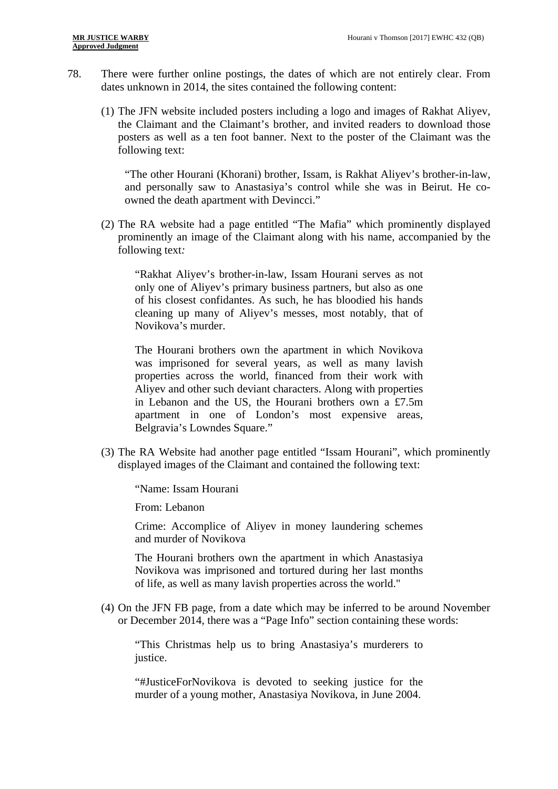- 78. There were further online postings, the dates of which are not entirely clear. From dates unknown in 2014, the sites contained the following content:
	- (1) The JFN website included posters including a logo and images of Rakhat Aliyev, the Claimant and the Claimant's brother, and invited readers to download those posters as well as a ten foot banner. Next to the poster of the Claimant was the following text:

"The other Hourani (Khorani) brother, Issam, is Rakhat Aliyev's brother-in-law, and personally saw to Anastasiya's control while she was in Beirut. He coowned the death apartment with Devincci."

(2) The RA website had a page entitled "The Mafia" which prominently displayed prominently an image of the Claimant along with his name, accompanied by the following text*:* 

"Rakhat Aliyev's brother-in-law, Issam Hourani serves as not only one of Aliyev's primary business partners, but also as one of his closest confidantes. As such, he has bloodied his hands cleaning up many of Aliyev's messes, most notably, that of Novikova's murder.

The Hourani brothers own the apartment in which Novikova was imprisoned for several years, as well as many lavish properties across the world, financed from their work with Aliyev and other such deviant characters. Along with properties in Lebanon and the US, the Hourani brothers own a £7.5m apartment in one of London's most expensive areas, Belgravia's Lowndes Square."

(3) The RA Website had another page entitled "Issam Hourani", which prominently displayed images of the Claimant and contained the following text:

"Name: Issam Hourani

From: Lebanon

Crime: Accomplice of Aliyev in money laundering schemes and murder of Novikova

The Hourani brothers own the apartment in which Anastasiya Novikova was imprisoned and tortured during her last months of life, as well as many lavish properties across the world."

(4) On the JFN FB page, from a date which may be inferred to be around November or December 2014, there was a "Page Info" section containing these words:

"This Christmas help us to bring Anastasiya's murderers to justice.

"#JusticeForNovikova is devoted to seeking justice for the murder of a young mother, Anastasiya Novikova, in June 2004.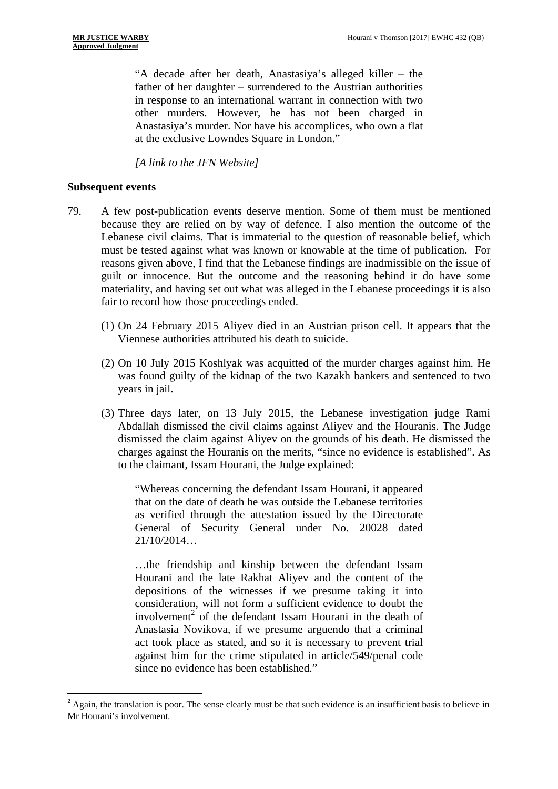"A decade after her death, Anastasiya's alleged killer – the father of her daughter – surrendered to the Austrian authorities in response to an international warrant in connection with two other murders. However, he has not been charged in Anastasiya's murder. Nor have his accomplices, who own a flat at the exclusive Lowndes Square in London."

*[A link to the JFN Website]* 

#### **Subsequent events**

1

- 79. A few post-publication events deserve mention. Some of them must be mentioned because they are relied on by way of defence. I also mention the outcome of the Lebanese civil claims. That is immaterial to the question of reasonable belief, which must be tested against what was known or knowable at the time of publication. For reasons given above, I find that the Lebanese findings are inadmissible on the issue of guilt or innocence. But the outcome and the reasoning behind it do have some materiality, and having set out what was alleged in the Lebanese proceedings it is also fair to record how those proceedings ended.
	- (1) On 24 February 2015 Aliyev died in an Austrian prison cell. It appears that the Viennese authorities attributed his death to suicide.
	- vears in jail. (2) On 10 July 2015 Koshlyak was acquitted of the murder charges against him. He was found guilty of the kidnap of the two Kazakh bankers and sentenced to two
	- (3) Three days later, on 13 July 2015, the Lebanese investigation judge Rami Abdallah dismissed the civil claims against Aliyev and the Houranis. The Judge dismissed the claim against Aliyev on the grounds of his death. He dismissed the charges against the Houranis on the merits, "since no evidence is established". As to the claimant, Issam Hourani, the Judge explained:

"Whereas concerning the defendant Issam Hourani, it appeared that on the date of death he was outside the Lebanese territories as verified through the attestation issued by the Directorate General of Security General under No. 20028 dated  $21/10/2014...$ 

…the friendship and kinship between the defendant Issam Hourani and the late Rakhat Aliyev and the content of the depositions of the witnesses if we presume taking it into consideration, will not form a sufficient evidence to doubt the involvement<sup>2</sup> of the defendant Issam Hourani in the death of Anastasia Novikova, if we presume arguendo that a criminal act took place as stated, and so it is necessary to prevent trial against him for the crime stipulated in article/549/penal code since no evidence has been established."

 $2 \text{ Again, the translation is poor.}$  The sense clearly must be that such evidence is an insufficient basis to believe in Mr Hourani's involvement.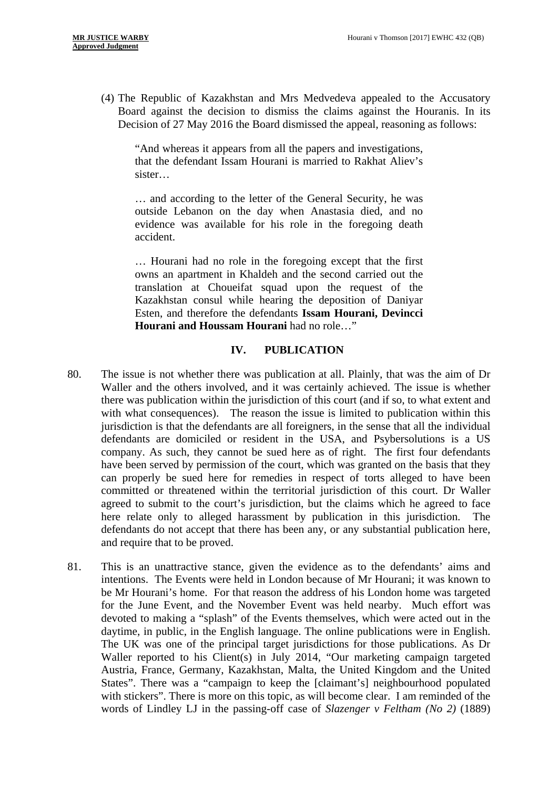(4) The Republic of Kazakhstan and Mrs Medvedeva appealed to the Accusatory Board against the decision to dismiss the claims against the Houranis. In its Decision of 27 May 2016 the Board dismissed the appeal, reasoning as follows:

"And whereas it appears from all the papers and investigations, that the defendant Issam Hourani is married to Rakhat Aliev's sister…

… and according to the letter of the General Security, he was outside Lebanon on the day when Anastasia died, and no evidence was available for his role in the foregoing death accident.

… Hourani had no role in the foregoing except that the first owns an apartment in Khaldeh and the second carried out the translation at Choueifat squad upon the request of the Kazakhstan consul while hearing the deposition of Daniyar Esten, and therefore the defendants **Issam Hourani, Devincci Hourani and Houssam Hourani** had no role…"

#### **IV. PUBLICATION**

- 80. The issue is not whether there was publication at all. Plainly, that was the aim of Dr Waller and the others involved, and it was certainly achieved. The issue is whether there was publication within the jurisdiction of this court (and if so, to what extent and with what consequences). The reason the issue is limited to publication within this jurisdiction is that the defendants are all foreigners, in the sense that all the individual defendants are domiciled or resident in the USA, and Psybersolutions is a US company. As such, they cannot be sued here as of right. The first four defendants have been served by permission of the court, which was granted on the basis that they can properly be sued here for remedies in respect of torts alleged to have been committed or threatened within the territorial jurisdiction of this court. Dr Waller agreed to submit to the court's jurisdiction, but the claims which he agreed to face here relate only to alleged harassment by publication in this jurisdiction. The defendants do not accept that there has been any, or any substantial publication here, and require that to be proved.
- 81. This is an unattractive stance, given the evidence as to the defendants' aims and intentions. The Events were held in London because of Mr Hourani; it was known to be Mr Hourani's home. For that reason the address of his London home was targeted for the June Event, and the November Event was held nearby. Much effort was devoted to making a "splash" of the Events themselves, which were acted out in the daytime, in public, in the English language. The online publications were in English. The UK was one of the principal target jurisdictions for those publications. As Dr Waller reported to his Client(s) in July 2014, "Our marketing campaign targeted Austria, France, Germany, Kazakhstan, Malta, the United Kingdom and the United States". There was a "campaign to keep the [claimant's] neighbourhood populated with stickers". There is more on this topic, as will become clear. I am reminded of the words of Lindley LJ in the passing-off case of *Slazenger v Feltham (No 2)* (1889)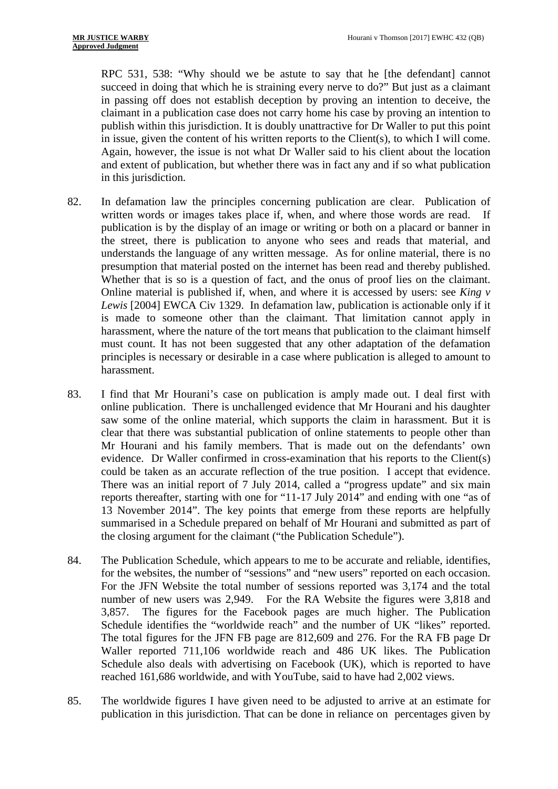RPC 531, 538: "Why should we be astute to say that he [the defendant] cannot succeed in doing that which he is straining every nerve to do?" But just as a claimant in passing off does not establish deception by proving an intention to deceive, the claimant in a publication case does not carry home his case by proving an intention to publish within this jurisdiction. It is doubly unattractive for Dr Waller to put this point in issue, given the content of his written reports to the Client(s), to which I will come. Again, however, the issue is not what Dr Waller said to his client about the location and extent of publication, but whether there was in fact any and if so what publication in this jurisdiction.

- 82. In defamation law the principles concerning publication are clear. Publication of written words or images takes place if, when, and where those words are read. If publication is by the display of an image or writing or both on a placard or banner in the street, there is publication to anyone who sees and reads that material, and understands the language of any written message. As for online material, there is no presumption that material posted on the internet has been read and thereby published. Whether that is so is a question of fact, and the onus of proof lies on the claimant. Online material is published if, when, and where it is accessed by users: see *King v Lewis* [2004] EWCA Civ 1329. In defamation law, publication is actionable only if it is made to someone other than the claimant. That limitation cannot apply in harassment, where the nature of the tort means that publication to the claimant himself must count. It has not been suggested that any other adaptation of the defamation principles is necessary or desirable in a case where publication is alleged to amount to harassment.
- 83. I find that Mr Hourani's case on publication is amply made out. I deal first with online publication. There is unchallenged evidence that Mr Hourani and his daughter saw some of the online material, which supports the claim in harassment. But it is clear that there was substantial publication of online statements to people other than Mr Hourani and his family members. That is made out on the defendants' own evidence. Dr Waller confirmed in cross-examination that his reports to the Client(s) could be taken as an accurate reflection of the true position. I accept that evidence. There was an initial report of 7 July 2014, called a "progress update" and six main reports thereafter, starting with one for "11-17 July 2014" and ending with one "as of 13 November 2014". The key points that emerge from these reports are helpfully summarised in a Schedule prepared on behalf of Mr Hourani and submitted as part of the closing argument for the claimant ("the Publication Schedule").
- 84. The Publication Schedule, which appears to me to be accurate and reliable, identifies, for the websites, the number of "sessions" and "new users" reported on each occasion. For the JFN Website the total number of sessions reported was 3,174 and the total number of new users was 2,949. For the RA Website the figures were 3,818 and 3,857. The figures for the Facebook pages are much higher. The Publication Schedule identifies the "worldwide reach" and the number of UK "likes" reported. The total figures for the JFN FB page are 812,609 and 276. For the RA FB page Dr Waller reported 711,106 worldwide reach and 486 UK likes. The Publication Schedule also deals with advertising on Facebook (UK), which is reported to have reached 161,686 worldwide, and with YouTube, said to have had 2,002 views.
- 85. The worldwide figures I have given need to be adjusted to arrive at an estimate for publication in this jurisdiction. That can be done in reliance on percentages given by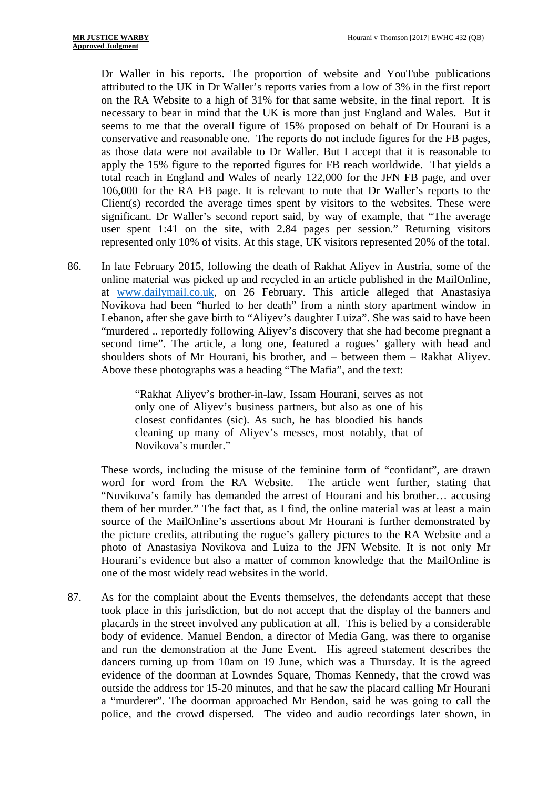Dr Waller in his reports. The proportion of website and YouTube publications attributed to the UK in Dr Waller's reports varies from a low of 3% in the first report on the RA Website to a high of 31% for that same website, in the final report. It is necessary to bear in mind that the UK is more than just England and Wales. But it seems to me that the overall figure of 15% proposed on behalf of Dr Hourani is a conservative and reasonable one. The reports do not include figures for the FB pages, as those data were not available to Dr Waller. But I accept that it is reasonable to apply the 15% figure to the reported figures for FB reach worldwide. That yields a total reach in England and Wales of nearly 122,000 for the JFN FB page, and over 106,000 for the RA FB page. It is relevant to note that Dr Waller's reports to the Client(s) recorded the average times spent by visitors to the websites. These were significant. Dr Waller's second report said, by way of example, that "The average user spent 1:41 on the site, with 2.84 pages per session." Returning visitors represented only 10% of visits. At this stage, UK visitors represented 20% of the total.

86. In late February 2015, following the death of Rakhat Aliyev in Austria, some of the online material was picked up and recycled in an article published in the MailOnline, at www.dailymail.co.uk, on 26 February. This article alleged that Anastasiya Novikova had been "hurled to her death" from a ninth story apartment window in Lebanon, after she gave birth to "Aliyev's daughter Luiza". She was said to have been "murdered .. reportedly following Aliyev's discovery that she had become pregnant a second time". The article, a long one, featured a rogues' gallery with head and shoulders shots of Mr Hourani, his brother, and – between them – Rakhat Aliyev. Above these photographs was a heading "The Mafia", and the text:

> "Rakhat Aliyev's brother-in-law, Issam Hourani, serves as not only one of Aliyev's business partners, but also as one of his closest confidantes (sic). As such, he has bloodied his hands cleaning up many of Aliyev's messes, most notably, that of Novikova's murder."

These words, including the misuse of the feminine form of "confidant", are drawn word for word from the RA Website. The article went further, stating that "Novikova's family has demanded the arrest of Hourani and his brother… accusing them of her murder." The fact that, as I find, the online material was at least a main source of the MailOnline's assertions about Mr Hourani is further demonstrated by the picture credits, attributing the rogue's gallery pictures to the RA Website and a photo of Anastasiya Novikova and Luiza to the JFN Website. It is not only Mr Hourani's evidence but also a matter of common knowledge that the MailOnline is one of the most widely read websites in the world.

87. As for the complaint about the Events themselves, the defendants accept that these took place in this jurisdiction, but do not accept that the display of the banners and placards in the street involved any publication at all. This is belied by a considerable body of evidence. Manuel Bendon, a director of Media Gang, was there to organise and run the demonstration at the June Event. His agreed statement describes the dancers turning up from 10am on 19 June, which was a Thursday. It is the agreed evidence of the doorman at Lowndes Square, Thomas Kennedy, that the crowd was outside the address for 15-20 minutes, and that he saw the placard calling Mr Hourani a "murderer". The doorman approached Mr Bendon, said he was going to call the police, and the crowd dispersed. The video and audio recordings later shown, in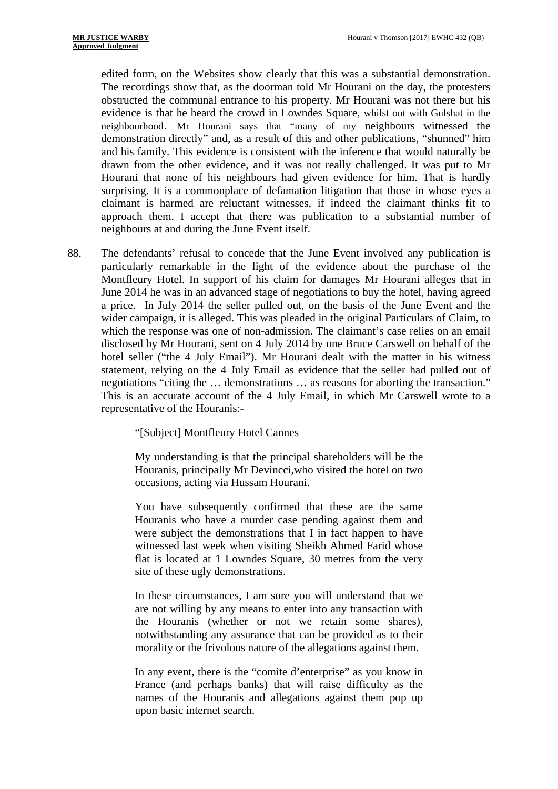edited form, on the Websites show clearly that this was a substantial demonstration. The recordings show that, as the doorman told Mr Hourani on the day, the protesters obstructed the communal entrance to his property. Mr Hourani was not there but his evidence is that he heard the crowd in Lowndes Square, whilst out with Gulshat in the neighbourhood. Mr Hourani says that "many of my neighbours witnessed the demonstration directly" and, as a result of this and other publications, "shunned" him and his family. This evidence is consistent with the inference that would naturally be drawn from the other evidence, and it was not really challenged. It was put to Mr Hourani that none of his neighbours had given evidence for him. That is hardly surprising. It is a commonplace of defamation litigation that those in whose eyes a claimant is harmed are reluctant witnesses, if indeed the claimant thinks fit to approach them. I accept that there was publication to a substantial number of neighbours at and during the June Event itself.

88. The defendants' refusal to concede that the June Event involved any publication is particularly remarkable in the light of the evidence about the purchase of the Montfleury Hotel. In support of his claim for damages Mr Hourani alleges that in June 2014 he was in an advanced stage of negotiations to buy the hotel, having agreed a price. In July 2014 the seller pulled out, on the basis of the June Event and the wider campaign, it is alleged. This was pleaded in the original Particulars of Claim, to which the response was one of non-admission. The claimant's case relies on an email disclosed by Mr Hourani, sent on 4 July 2014 by one Bruce Carswell on behalf of the hotel seller ("the 4 July Email"). Mr Hourani dealt with the matter in his witness statement, relying on the 4 July Email as evidence that the seller had pulled out of negotiations "citing the … demonstrations … as reasons for aborting the transaction." This is an accurate account of the 4 July Email, in which Mr Carswell wrote to a representative of the Houranis:-

"[Subject] Montfleury Hotel Cannes

My understanding is that the principal shareholders will be the Houranis, principally Mr Devincci,who visited the hotel on two occasions, acting via Hussam Hourani.

You have subsequently confirmed that these are the same Houranis who have a murder case pending against them and were subject the demonstrations that I in fact happen to have witnessed last week when visiting Sheikh Ahmed Farid whose flat is located at 1 Lowndes Square, 30 metres from the very site of these ugly demonstrations.

In these circumstances, I am sure you will understand that we are not willing by any means to enter into any transaction with the Houranis (whether or not we retain some shares), notwithstanding any assurance that can be provided as to their morality or the frivolous nature of the allegations against them.

In any event, there is the "comite d'enterprise" as you know in France (and perhaps banks) that will raise difficulty as the names of the Houranis and allegations against them pop up upon basic internet search.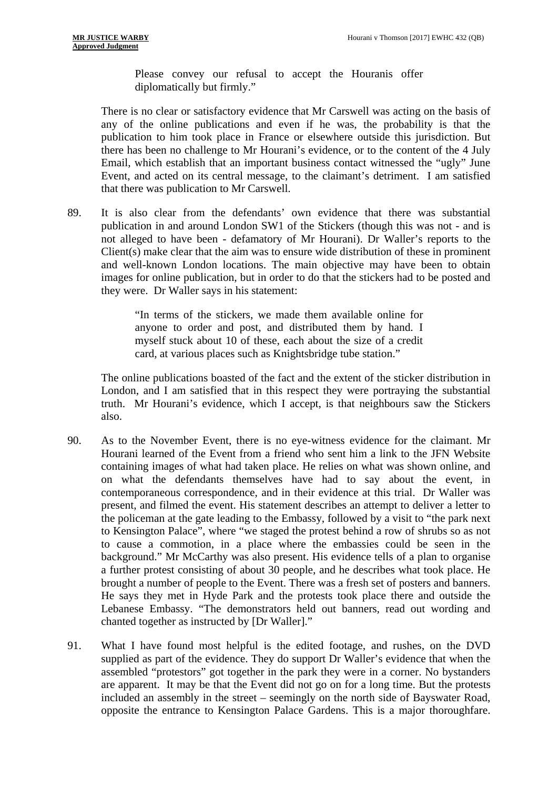Please convey our refusal to accept the Houranis offer diplomatically but firmly."

There is no clear or satisfactory evidence that Mr Carswell was acting on the basis of any of the online publications and even if he was, the probability is that the publication to him took place in France or elsewhere outside this jurisdiction. But there has been no challenge to Mr Hourani's evidence, or to the content of the 4 July Email, which establish that an important business contact witnessed the "ugly" June Event, and acted on its central message, to the claimant's detriment. I am satisfied that there was publication to Mr Carswell.

89. It is also clear from the defendants' own evidence that there was substantial publication in and around London SW1 of the Stickers (though this was not - and is not alleged to have been - defamatory of Mr Hourani). Dr Waller's reports to the Client(s) make clear that the aim was to ensure wide distribution of these in prominent and well-known London locations. The main objective may have been to obtain images for online publication, but in order to do that the stickers had to be posted and they were. Dr Waller says in his statement:

> "In terms of the stickers, we made them available online for anyone to order and post, and distributed them by hand. I myself stuck about 10 of these, each about the size of a credit card, at various places such as Knightsbridge tube station."

The online publications boasted of the fact and the extent of the sticker distribution in London, and I am satisfied that in this respect they were portraying the substantial truth. Mr Hourani's evidence, which I accept, is that neighbours saw the Stickers also.

- 90. As to the November Event, there is no eye-witness evidence for the claimant. Mr Hourani learned of the Event from a friend who sent him a link to the JFN Website containing images of what had taken place. He relies on what was shown online, and on what the defendants themselves have had to say about the event, in contemporaneous correspondence, and in their evidence at this trial. Dr Waller was present, and filmed the event. His statement describes an attempt to deliver a letter to the policeman at the gate leading to the Embassy, followed by a visit to "the park next to Kensington Palace", where "we staged the protest behind a row of shrubs so as not to cause a commotion, in a place where the embassies could be seen in the background." Mr McCarthy was also present. His evidence tells of a plan to organise a further protest consisting of about 30 people, and he describes what took place. He brought a number of people to the Event. There was a fresh set of posters and banners. He says they met in Hyde Park and the protests took place there and outside the Lebanese Embassy. "The demonstrators held out banners, read out wording and chanted together as instructed by [Dr Waller]."
- 91. What I have found most helpful is the edited footage, and rushes, on the DVD supplied as part of the evidence. They do support Dr Waller's evidence that when the assembled "protestors" got together in the park they were in a corner. No bystanders are apparent. It may be that the Event did not go on for a long time. But the protests included an assembly in the street – seemingly on the north side of Bayswater Road, opposite the entrance to Kensington Palace Gardens. This is a major thoroughfare.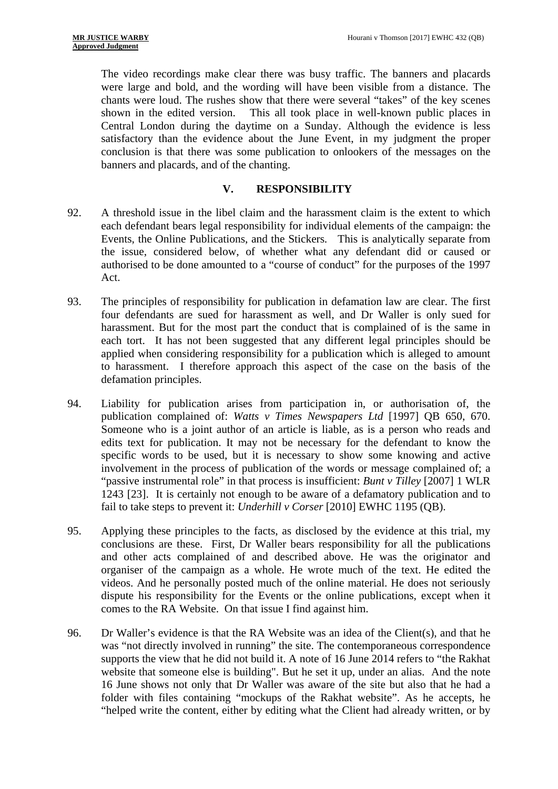The video recordings make clear there was busy traffic. The banners and placards were large and bold, and the wording will have been visible from a distance. The chants were loud. The rushes show that there were several "takes" of the key scenes shown in the edited version. This all took place in well-known public places in Central London during the daytime on a Sunday. Although the evidence is less satisfactory than the evidence about the June Event, in my judgment the proper conclusion is that there was some publication to onlookers of the messages on the banners and placards, and of the chanting.

# **V. RESPONSIBILITY**

- 92. A threshold issue in the libel claim and the harassment claim is the extent to which each defendant bears legal responsibility for individual elements of the campaign: the Events, the Online Publications, and the Stickers. This is analytically separate from the issue, considered below, of whether what any defendant did or caused or authorised to be done amounted to a "course of conduct" for the purposes of the 1997 Act.
- 93. The principles of responsibility for publication in defamation law are clear. The first four defendants are sued for harassment as well, and Dr Waller is only sued for harassment. But for the most part the conduct that is complained of is the same in each tort. It has not been suggested that any different legal principles should be applied when considering responsibility for a publication which is alleged to amount to harassment. I therefore approach this aspect of the case on the basis of the defamation principles.
- 94. Liability for publication arises from participation in, or authorisation of, the publication complained of: *Watts v Times Newspapers Ltd* [1997] QB 650, 670. Someone who is a joint author of an article is liable, as is a person who reads and edits text for publication. It may not be necessary for the defendant to know the specific words to be used, but it is necessary to show some knowing and active involvement in the process of publication of the words or message complained of; a "passive instrumental role" in that process is insufficient: *Bunt v Tilley* [2007] 1 WLR 1243 [23]. It is certainly not enough to be aware of a defamatory publication and to fail to take steps to prevent it: *Underhill v Corser* [2010] EWHC 1195 (QB).
- comes to the RA Website. On that issue I find against him. 95. Applying these principles to the facts, as disclosed by the evidence at this trial, my conclusions are these. First, Dr Waller bears responsibility for all the publications and other acts complained of and described above. He was the originator and organiser of the campaign as a whole. He wrote much of the text. He edited the videos. And he personally posted much of the online material. He does not seriously dispute his responsibility for the Events or the online publications, except when it
- 96. Dr Waller's evidence is that the RA Website was an idea of the Client(s), and that he was "not directly involved in running" the site. The contemporaneous correspondence supports the view that he did not build it. A note of 16 June 2014 refers to "the Rakhat website that someone else is building". But he set it up, under an alias. And the note 16 June shows not only that Dr Waller was aware of the site but also that he had a folder with files containing "mockups of the Rakhat website". As he accepts, he "helped write the content, either by editing what the Client had already written, or by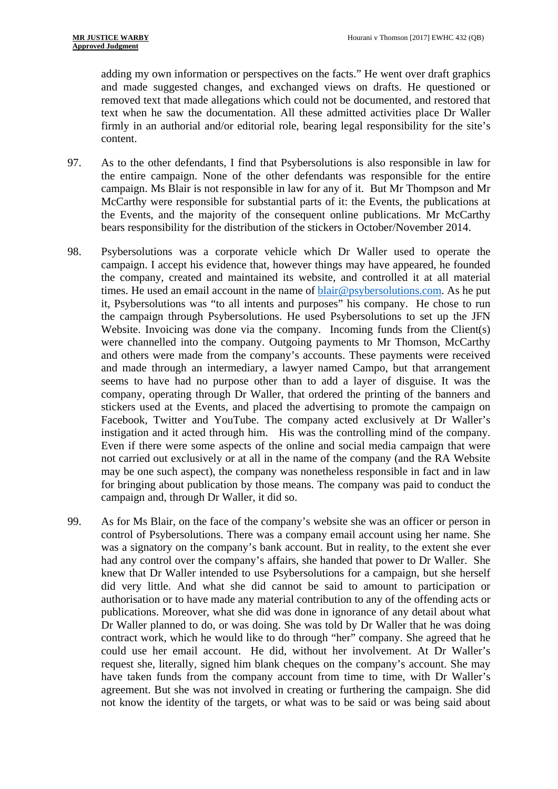adding my own information or perspectives on the facts." He went over draft graphics and made suggested changes, and exchanged views on drafts. He questioned or removed text that made allegations which could not be documented, and restored that text when he saw the documentation. All these admitted activities place Dr Waller firmly in an authorial and/or editorial role, bearing legal responsibility for the site's content.

- 97. As to the other defendants, I find that Psybersolutions is also responsible in law for the entire campaign. None of the other defendants was responsible for the entire campaign. Ms Blair is not responsible in law for any of it. But Mr Thompson and Mr McCarthy were responsible for substantial parts of it: the Events, the publications at the Events, and the majority of the consequent online publications. Mr McCarthy bears responsibility for the distribution of the stickers in October/November 2014.
- 98. Psybersolutions was a corporate vehicle which Dr Waller used to operate the campaign. I accept his evidence that, however things may have appeared, he founded the company, created and maintained its website, and controlled it at all material times. He used an email account in the name of  $\text{blair@psy }$  bersolutions.com. As he put it, Psybersolutions was "to all intents and purposes" his company. He chose to run the campaign through Psybersolutions. He used Psybersolutions to set up the JFN Website. Invoicing was done via the company. Incoming funds from the Client(s) were channelled into the company. Outgoing payments to Mr Thomson, McCarthy and others were made from the company's accounts. These payments were received and made through an intermediary, a lawyer named Campo, but that arrangement seems to have had no purpose other than to add a layer of disguise. It was the company, operating through Dr Waller, that ordered the printing of the banners and stickers used at the Events, and placed the advertising to promote the campaign on Facebook, Twitter and YouTube. The company acted exclusively at Dr Waller's instigation and it acted through him. His was the controlling mind of the company. Even if there were some aspects of the online and social media campaign that were not carried out exclusively or at all in the name of the company (and the RA Website may be one such aspect), the company was nonetheless responsible in fact and in law for bringing about publication by those means. The company was paid to conduct the campaign and, through Dr Waller, it did so.
- 99. As for Ms Blair, on the face of the company's website she was an officer or person in control of Psybersolutions. There was a company email account using her name. She was a signatory on the company's bank account. But in reality, to the extent she ever had any control over the company's affairs, she handed that power to Dr Waller. She knew that Dr Waller intended to use Psybersolutions for a campaign, but she herself did very little. And what she did cannot be said to amount to participation or authorisation or to have made any material contribution to any of the offending acts or publications. Moreover, what she did was done in ignorance of any detail about what Dr Waller planned to do, or was doing. She was told by Dr Waller that he was doing contract work, which he would like to do through "her" company. She agreed that he could use her email account. He did, without her involvement. At Dr Waller's request she, literally, signed him blank cheques on the company's account. She may have taken funds from the company account from time to time, with Dr Waller's agreement. But she was not involved in creating or furthering the campaign. She did not know the identity of the targets, or what was to be said or was being said about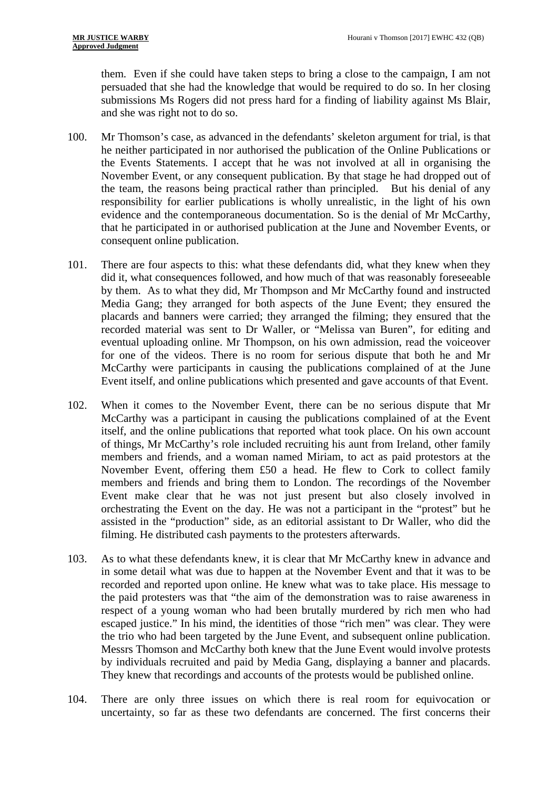them. Even if she could have taken steps to bring a close to the campaign, I am not persuaded that she had the knowledge that would be required to do so. In her closing submissions Ms Rogers did not press hard for a finding of liability against Ms Blair, and she was right not to do so.

- 100. Mr Thomson's case, as advanced in the defendants' skeleton argument for trial, is that he neither participated in nor authorised the publication of the Online Publications or the Events Statements. I accept that he was not involved at all in organising the November Event, or any consequent publication. By that stage he had dropped out of the team, the reasons being practical rather than principled. But his denial of any responsibility for earlier publications is wholly unrealistic, in the light of his own evidence and the contemporaneous documentation. So is the denial of Mr McCarthy, that he participated in or authorised publication at the June and November Events, or consequent online publication.
- 101. There are four aspects to this: what these defendants did, what they knew when they did it, what consequences followed, and how much of that was reasonably foreseeable by them. As to what they did, Mr Thompson and Mr McCarthy found and instructed Media Gang; they arranged for both aspects of the June Event; they ensured the placards and banners were carried; they arranged the filming; they ensured that the recorded material was sent to Dr Waller, or "Melissa van Buren", for editing and eventual uploading online. Mr Thompson, on his own admission, read the voiceover for one of the videos. There is no room for serious dispute that both he and Mr McCarthy were participants in causing the publications complained of at the June Event itself, and online publications which presented and gave accounts of that Event.
- 102. When it comes to the November Event, there can be no serious dispute that Mr McCarthy was a participant in causing the publications complained of at the Event itself, and the online publications that reported what took place. On his own account of things, Mr McCarthy's role included recruiting his aunt from Ireland, other family members and friends, and a woman named Miriam, to act as paid protestors at the November Event, offering them £50 a head. He flew to Cork to collect family members and friends and bring them to London. The recordings of the November Event make clear that he was not just present but also closely involved in orchestrating the Event on the day. He was not a participant in the "protest" but he assisted in the "production" side, as an editorial assistant to Dr Waller, who did the filming. He distributed cash payments to the protesters afterwards.
- 103. As to what these defendants knew, it is clear that Mr McCarthy knew in advance and in some detail what was due to happen at the November Event and that it was to be recorded and reported upon online. He knew what was to take place. His message to the paid protesters was that "the aim of the demonstration was to raise awareness in respect of a young woman who had been brutally murdered by rich men who had escaped justice." In his mind, the identities of those "rich men" was clear. They were the trio who had been targeted by the June Event, and subsequent online publication. Messrs Thomson and McCarthy both knew that the June Event would involve protests by individuals recruited and paid by Media Gang, displaying a banner and placards. They knew that recordings and accounts of the protests would be published online.
- 104. There are only three issues on which there is real room for equivocation or uncertainty, so far as these two defendants are concerned. The first concerns their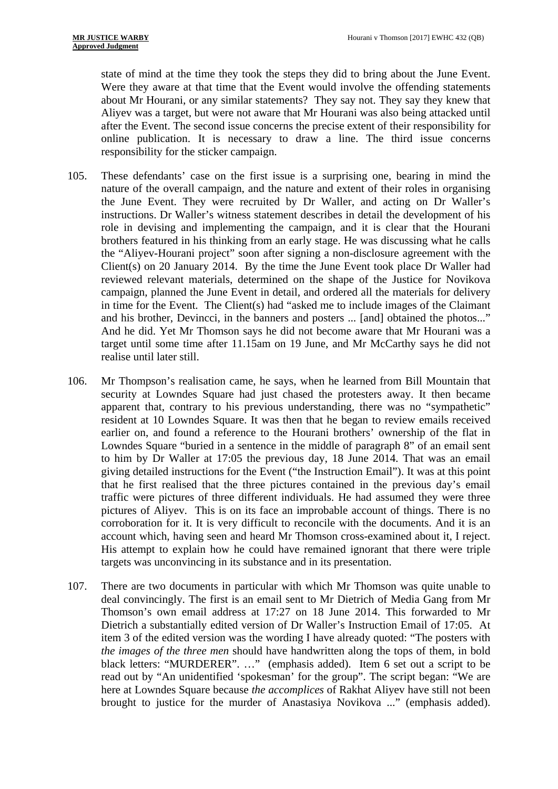state of mind at the time they took the steps they did to bring about the June Event. Were they aware at that time that the Event would involve the offending statements about Mr Hourani, or any similar statements? They say not. They say they knew that Aliyev was a target, but were not aware that Mr Hourani was also being attacked until after the Event. The second issue concerns the precise extent of their responsibility for online publication. It is necessary to draw a line. The third issue concerns responsibility for the sticker campaign.

- 105. These defendants' case on the first issue is a surprising one, bearing in mind the nature of the overall campaign, and the nature and extent of their roles in organising the June Event. They were recruited by Dr Waller, and acting on Dr Waller's instructions. Dr Waller's witness statement describes in detail the development of his role in devising and implementing the campaign, and it is clear that the Hourani brothers featured in his thinking from an early stage. He was discussing what he calls the "Aliyev-Hourani project" soon after signing a non-disclosure agreement with the Client(s) on 20 January 2014. By the time the June Event took place Dr Waller had reviewed relevant materials, determined on the shape of the Justice for Novikova campaign, planned the June Event in detail, and ordered all the materials for delivery in time for the Event. The Client(s) had "asked me to include images of the Claimant and his brother, Devincci, in the banners and posters ... [and] obtained the photos..." And he did. Yet Mr Thomson says he did not become aware that Mr Hourani was a target until some time after 11.15am on 19 June, and Mr McCarthy says he did not realise until later still.
- 106. Mr Thompson's realisation came, he says, when he learned from Bill Mountain that security at Lowndes Square had just chased the protesters away. It then became apparent that, contrary to his previous understanding, there was no "sympathetic" resident at 10 Lowndes Square. It was then that he began to review emails received earlier on, and found a reference to the Hourani brothers' ownership of the flat in Lowndes Square "buried in a sentence in the middle of paragraph 8" of an email sent to him by Dr Waller at 17:05 the previous day, 18 June 2014. That was an email giving detailed instructions for the Event ("the Instruction Email"). It was at this point that he first realised that the three pictures contained in the previous day's email traffic were pictures of three different individuals. He had assumed they were three pictures of Aliyev. This is on its face an improbable account of things. There is no corroboration for it. It is very difficult to reconcile with the documents. And it is an account which, having seen and heard Mr Thomson cross-examined about it, I reject. His attempt to explain how he could have remained ignorant that there were triple targets was unconvincing in its substance and in its presentation.
- 107. There are two documents in particular with which Mr Thomson was quite unable to deal convincingly. The first is an email sent to Mr Dietrich of Media Gang from Mr Thomson's own email address at 17:27 on 18 June 2014. This forwarded to Mr Dietrich a substantially edited version of Dr Waller's Instruction Email of 17:05. At item 3 of the edited version was the wording I have already quoted: "The posters with *the images of the three men* should have handwritten along the tops of them, in bold black letters: "MURDERER". …" (emphasis added). Item 6 set out a script to be read out by "An unidentified 'spokesman' for the group". The script began: "We are here at Lowndes Square because *the accomplices* of Rakhat Aliyev have still not been brought to justice for the murder of Anastasiya Novikova ..." (emphasis added).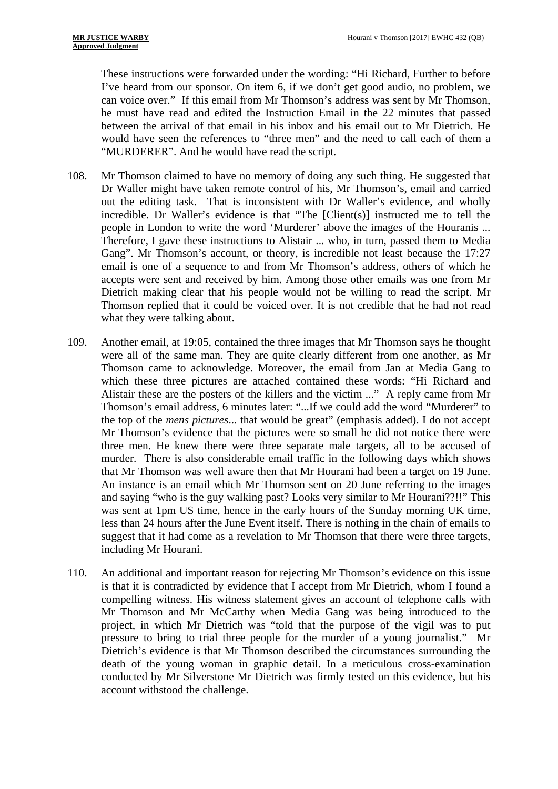These instructions were forwarded under the wording: "Hi Richard, Further to before I've heard from our sponsor. On item 6, if we don't get good audio, no problem, we can voice over." If this email from Mr Thomson's address was sent by Mr Thomson, he must have read and edited the Instruction Email in the 22 minutes that passed between the arrival of that email in his inbox and his email out to Mr Dietrich. He would have seen the references to "three men" and the need to call each of them a "MURDERER". And he would have read the script.

- 108. Mr Thomson claimed to have no memory of doing any such thing. He suggested that Dr Waller might have taken remote control of his, Mr Thomson's, email and carried out the editing task. That is inconsistent with Dr Waller's evidence, and wholly incredible. Dr Waller's evidence is that "The [Client(s)] instructed me to tell the people in London to write the word 'Murderer' above the images of the Houranis ... Therefore, I gave these instructions to Alistair ... who, in turn, passed them to Media Gang". Mr Thomson's account, or theory, is incredible not least because the 17:27 email is one of a sequence to and from Mr Thomson's address, others of which he accepts were sent and received by him. Among those other emails was one from Mr Dietrich making clear that his people would not be willing to read the script. Mr Thomson replied that it could be voiced over. It is not credible that he had not read what they were talking about.
- 109. Another email, at 19:05, contained the three images that Mr Thomson says he thought were all of the same man. They are quite clearly different from one another, as Mr Thomson came to acknowledge. Moreover, the email from Jan at Media Gang to which these three pictures are attached contained these words: "Hi Richard and Alistair these are the posters of the killers and the victim ..." A reply came from Mr Thomson's email address, 6 minutes later: "...If we could add the word "Murderer" to the top of the *mens pictures*... that would be great" (emphasis added). I do not accept Mr Thomson's evidence that the pictures were so small he did not notice there were three men. He knew there were three separate male targets, all to be accused of murder. There is also considerable email traffic in the following days which shows that Mr Thomson was well aware then that Mr Hourani had been a target on 19 June. An instance is an email which Mr Thomson sent on 20 June referring to the images and saying "who is the guy walking past? Looks very similar to Mr Hourani??!!" This was sent at 1pm US time, hence in the early hours of the Sunday morning UK time, less than 24 hours after the June Event itself. There is nothing in the chain of emails to suggest that it had come as a revelation to Mr Thomson that there were three targets, including Mr Hourani.
- 110. An additional and important reason for rejecting Mr Thomson's evidence on this issue is that it is contradicted by evidence that I accept from Mr Dietrich, whom I found a compelling witness. His witness statement gives an account of telephone calls with Mr Thomson and Mr McCarthy when Media Gang was being introduced to the project, in which Mr Dietrich was "told that the purpose of the vigil was to put pressure to bring to trial three people for the murder of a young journalist." Mr Dietrich's evidence is that Mr Thomson described the circumstances surrounding the death of the young woman in graphic detail. In a meticulous cross-examination conducted by Mr Silverstone Mr Dietrich was firmly tested on this evidence, but his account withstood the challenge.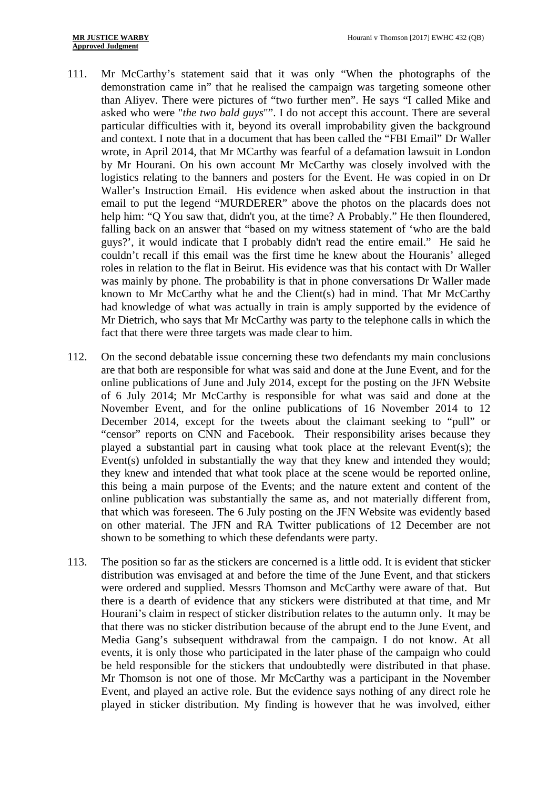- 111. Mr McCarthy's statement said that it was only "When the photographs of the demonstration came in" that he realised the campaign was targeting someone other than Aliyev. There were pictures of "two further men". He says "I called Mike and asked who were "*the two bald guys*"". I do not accept this account. There are several particular difficulties with it, beyond its overall improbability given the background and context. I note that in a document that has been called the "FBI Email" Dr Waller wrote, in April 2014, that Mr MCarthy was fearful of a defamation lawsuit in London by Mr Hourani. On his own account Mr McCarthy was closely involved with the logistics relating to the banners and posters for the Event. He was copied in on Dr Waller's Instruction Email. His evidence when asked about the instruction in that email to put the legend "MURDERER" above the photos on the placards does not help him: "Q You saw that, didn't you, at the time? A Probably." He then floundered, falling back on an answer that "based on my witness statement of 'who are the bald guys?', it would indicate that I probably didn't read the entire email." He said he couldn't recall if this email was the first time he knew about the Houranis' alleged roles in relation to the flat in Beirut. His evidence was that his contact with Dr Waller was mainly by phone. The probability is that in phone conversations Dr Waller made known to Mr McCarthy what he and the Client(s) had in mind. That Mr McCarthy had knowledge of what was actually in train is amply supported by the evidence of Mr Dietrich, who says that Mr McCarthy was party to the telephone calls in which the fact that there were three targets was made clear to him.
- 112. On the second debatable issue concerning these two defendants my main conclusions are that both are responsible for what was said and done at the June Event, and for the online publications of June and July 2014, except for the posting on the JFN Website of 6 July 2014; Mr McCarthy is responsible for what was said and done at the November Event, and for the online publications of 16 November 2014 to 12 December 2014, except for the tweets about the claimant seeking to "pull" or "censor" reports on CNN and Facebook. Their responsibility arises because they played a substantial part in causing what took place at the relevant Event(s); the Event(s) unfolded in substantially the way that they knew and intended they would; they knew and intended that what took place at the scene would be reported online, this being a main purpose of the Events; and the nature extent and content of the online publication was substantially the same as, and not materially different from, that which was foreseen. The 6 July posting on the JFN Website was evidently based on other material. The JFN and RA Twitter publications of 12 December are not shown to be something to which these defendants were party.
- 113. The position so far as the stickers are concerned is a little odd. It is evident that sticker distribution was envisaged at and before the time of the June Event, and that stickers were ordered and supplied. Messrs Thomson and McCarthy were aware of that. But there is a dearth of evidence that any stickers were distributed at that time, and Mr Hourani's claim in respect of sticker distribution relates to the autumn only. It may be that there was no sticker distribution because of the abrupt end to the June Event, and Media Gang's subsequent withdrawal from the campaign. I do not know. At all events, it is only those who participated in the later phase of the campaign who could be held responsible for the stickers that undoubtedly were distributed in that phase. Mr Thomson is not one of those. Mr McCarthy was a participant in the November Event, and played an active role. But the evidence says nothing of any direct role he played in sticker distribution. My finding is however that he was involved, either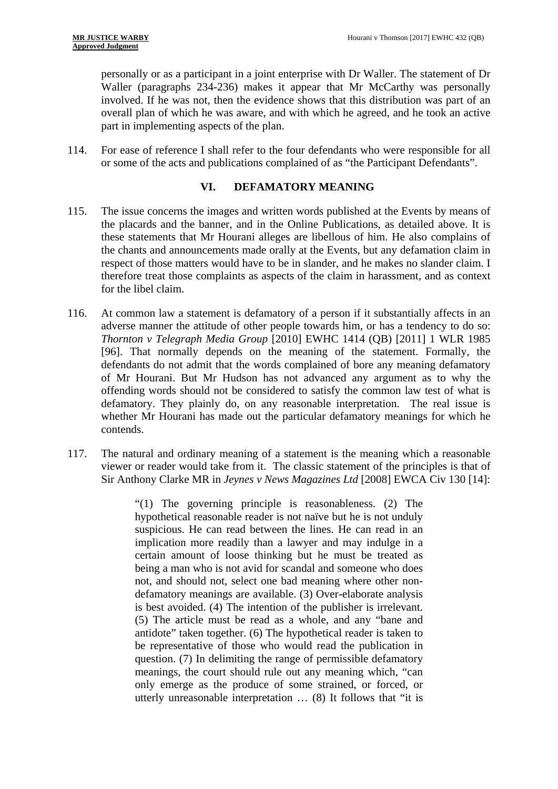personally or as a participant in a joint enterprise with Dr Waller. The statement of Dr Waller (paragraphs 234-236) makes it appear that Mr McCarthy was personally involved. If he was not, then the evidence shows that this distribution was part of an overall plan of which he was aware, and with which he agreed, and he took an active part in implementing aspects of the plan.

114. For ease of reference I shall refer to the four defendants who were responsible for all or some of the acts and publications complained of as "the Participant Defendants".

# **VI. DEFAMATORY MEANING**

- 115. The issue concerns the images and written words published at the Events by means of the placards and the banner, and in the Online Publications, as detailed above. It is these statements that Mr Hourani alleges are libellous of him. He also complains of the chants and announcements made orally at the Events, but any defamation claim in respect of those matters would have to be in slander, and he makes no slander claim. I therefore treat those complaints as aspects of the claim in harassment, and as context for the libel claim.
- 116. At common law a statement is defamatory of a person if it substantially affects in an adverse manner the attitude of other people towards him, or has a tendency to do so: *Thornton v Telegraph Media Group* [2010] EWHC 1414 (QB) [2011] 1 WLR 1985 [96]. That normally depends on the meaning of the statement. Formally, the defendants do not admit that the words complained of bore any meaning defamatory of Mr Hourani. But Mr Hudson has not advanced any argument as to why the offending words should not be considered to satisfy the common law test of what is defamatory. They plainly do, on any reasonable interpretation. The real issue is whether Mr Hourani has made out the particular defamatory meanings for which he contends.
- 117. The natural and ordinary meaning of a statement is the meaning which a reasonable viewer or reader would take from it. The classic statement of the principles is that of Sir Anthony Clarke MR in *Jeynes v News Magazines Ltd* [2008] EWCA Civ 130 [14]:

"(1) The governing principle is reasonableness. (2) The hypothetical reasonable reader is not naïve but he is not unduly suspicious. He can read between the lines. He can read in an implication more readily than a lawyer and may indulge in a certain amount of loose thinking but he must be treated as being a man who is not avid for scandal and someone who does not, and should not, select one bad meaning where other nondefamatory meanings are available. (3) Over-elaborate analysis is best avoided. (4) The intention of the publisher is irrelevant. (5) The article must be read as a whole, and any "bane and antidote" taken together. (6) The hypothetical reader is taken to be representative of those who would read the publication in question. (7) In delimiting the range of permissible defamatory meanings, the court should rule out any meaning which, "can only emerge as the produce of some strained, or forced, or utterly unreasonable interpretation … (8) It follows that "it is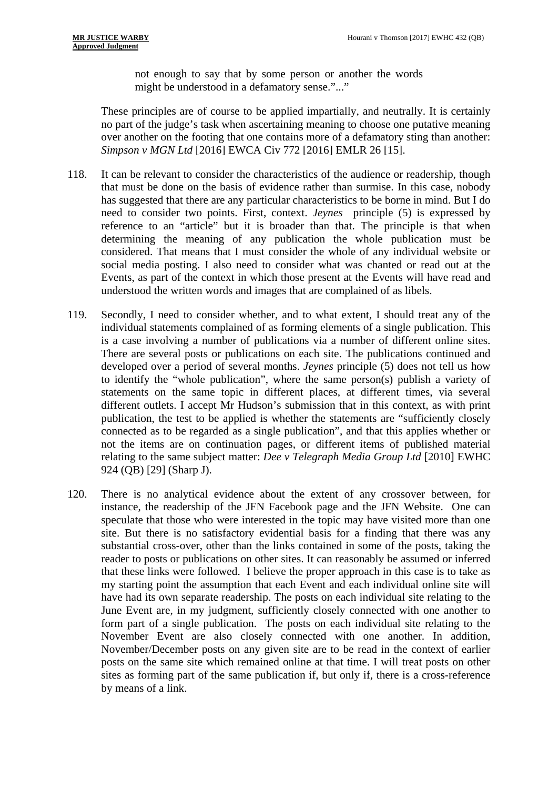not enough to say that by some person or another the words might be understood in a defamatory sense."..."

These principles are of course to be applied impartially, and neutrally. It is certainly no part of the judge's task when ascertaining meaning to choose one putative meaning over another on the footing that one contains more of a defamatory sting than another: *Simpson v MGN Ltd* [2016] EWCA Civ 772 [2016] EMLR 26 [15].

- 118. It can be relevant to consider the characteristics of the audience or readership, though that must be done on the basis of evidence rather than surmise. In this case, nobody has suggested that there are any particular characteristics to be borne in mind. But I do need to consider two points. First, context. *Jeynes* principle (5) is expressed by reference to an "article" but it is broader than that. The principle is that when determining the meaning of any publication the whole publication must be considered. That means that I must consider the whole of any individual website or social media posting. I also need to consider what was chanted or read out at the Events, as part of the context in which those present at the Events will have read and understood the written words and images that are complained of as libels.
- 119. Secondly, I need to consider whether, and to what extent, I should treat any of the individual statements complained of as forming elements of a single publication. This is a case involving a number of publications via a number of different online sites. There are several posts or publications on each site. The publications continued and developed over a period of several months. *Jeynes* principle (5) does not tell us how to identify the "whole publication", where the same person(s) publish a variety of statements on the same topic in different places, at different times, via several different outlets. I accept Mr Hudson's submission that in this context, as with print publication, the test to be applied is whether the statements are "sufficiently closely connected as to be regarded as a single publication", and that this applies whether or not the items are on continuation pages, or different items of published material relating to the same subject matter: *Dee v Telegraph Media Group Ltd* [2010] EWHC 924 (QB) [29] (Sharp J).
- 120. There is no analytical evidence about the extent of any crossover between, for instance, the readership of the JFN Facebook page and the JFN Website. One can speculate that those who were interested in the topic may have visited more than one site. But there is no satisfactory evidential basis for a finding that there was any substantial cross-over, other than the links contained in some of the posts, taking the reader to posts or publications on other sites. It can reasonably be assumed or inferred that these links were followed. I believe the proper approach in this case is to take as my starting point the assumption that each Event and each individual online site will have had its own separate readership. The posts on each individual site relating to the June Event are, in my judgment, sufficiently closely connected with one another to form part of a single publication. The posts on each individual site relating to the November Event are also closely connected with one another. In addition, November/December posts on any given site are to be read in the context of earlier posts on the same site which remained online at that time. I will treat posts on other sites as forming part of the same publication if, but only if, there is a cross-reference by means of a link.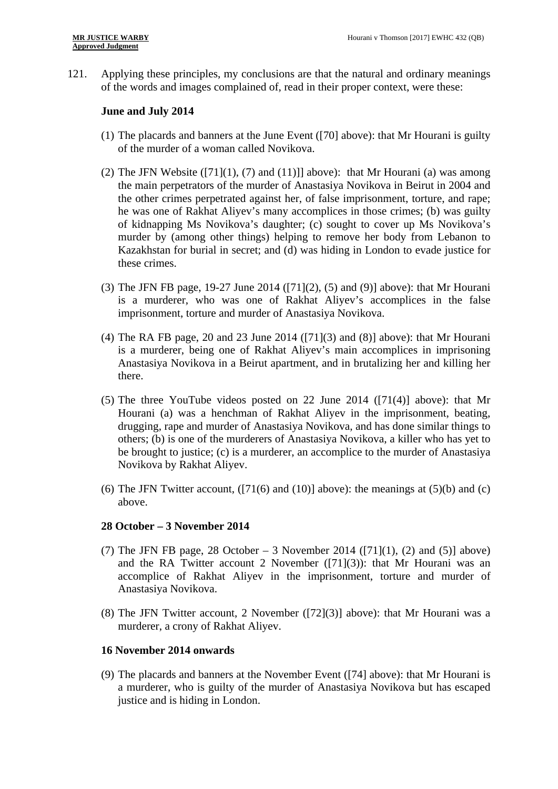121. Applying these principles, my conclusions are that the natural and ordinary meanings of the words and images complained of, read in their proper context, were these:

### **June and July 2014**

- (1) The placards and banners at the June Event ([70] above): that Mr Hourani is guilty of the murder of a woman called Novikova.
- (2) The JFN Website  $([71](1), (7)$  and  $(11)$ ]] above): that Mr Hourani (a) was among the main perpetrators of the murder of Anastasiya Novikova in Beirut in 2004 and the other crimes perpetrated against her, of false imprisonment, torture, and rape; he was one of Rakhat Aliyev's many accomplices in those crimes; (b) was guilty of kidnapping Ms Novikova's daughter; (c) sought to cover up Ms Novikova's murder by (among other things) helping to remove her body from Lebanon to Kazakhstan for burial in secret; and (d) was hiding in London to evade justice for these crimes.
- (3) The JFN FB page, 19-27 June 2014 ([71](2), (5) and (9)] above): that Mr Hourani is a murderer, who was one of Rakhat Aliyev's accomplices in the false imprisonment, torture and murder of Anastasiya Novikova.
- (4) The RA FB page, 20 and 23 June 2014 ([71](3) and (8)] above): that Mr Hourani is a murderer, being one of Rakhat Aliyev's main accomplices in imprisoning Anastasiya Novikova in a Beirut apartment, and in brutalizing her and killing her there.
- (5) The three YouTube videos posted on 22 June 2014 ([71(4)] above): that Mr Hourani (a) was a henchman of Rakhat Aliyev in the imprisonment, beating, drugging, rape and murder of Anastasiya Novikova, and has done similar things to others; (b) is one of the murderers of Anastasiya Novikova, a killer who has yet to be brought to justice; (c) is a murderer, an accomplice to the murder of Anastasiya Novikova by Rakhat Aliyev.
- (6) The JFN Twitter account,  $([71(6) \text{ and } (10)]$  above): the meanings at  $(5)(b)$  and  $(c)$ above.

### **28 October – 3 November 2014**

- (7) The JFN FB page, 28 October 3 November 2014 ([71](1), (2) and (5)] above) and the RA Twitter account 2 November  $([71](3))$ : that Mr Hourani was an accomplice of Rakhat Aliyev in the imprisonment, torture and murder of Anastasiya Novikova.
- (8) The JFN Twitter account, 2 November ([72](3)] above): that Mr Hourani was a murderer, a crony of Rakhat Aliyev.

## **16 November 2014 onwards**

(9) The placards and banners at the November Event ([74] above): that Mr Hourani is a murderer, who is guilty of the murder of Anastasiya Novikova but has escaped justice and is hiding in London.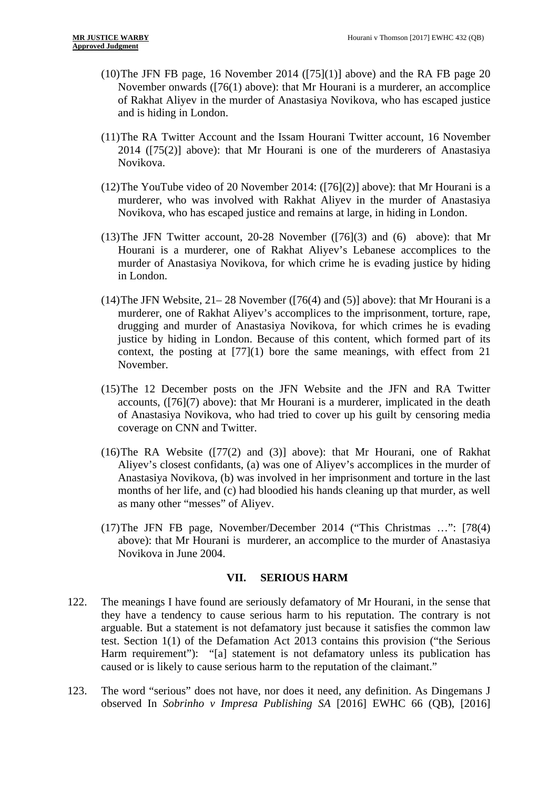- (10) The JFN FB page, 16 November 2014 ( $[75](1)$ ] above) and the RA FB page 20 November onwards ([76(1) above): that Mr Hourani is a murderer, an accomplice of Rakhat Aliyev in the murder of Anastasiya Novikova, who has escaped justice and is hiding in London.
- (11)The RA Twitter Account and the Issam Hourani Twitter account, 16 November 2014 ([75(2)] above): that Mr Hourani is one of the murderers of Anastasiya Novikova.
- (12)The YouTube video of 20 November 2014: ([76](2)] above): that Mr Hourani is a murderer, who was involved with Rakhat Aliyev in the murder of Anastasiya Novikova, who has escaped justice and remains at large, in hiding in London.
- (13)The JFN Twitter account, 20-28 November ([76](3) and (6) above): that Mr Hourani is a murderer, one of Rakhat Aliyev's Lebanese accomplices to the murder of Anastasiya Novikova, for which crime he is evading justice by hiding in London.
- (14)The JFN Website, 21– 28 November ([76(4) and (5)] above): that Mr Hourani is a murderer, one of Rakhat Aliyev's accomplices to the imprisonment, torture, rape, drugging and murder of Anastasiya Novikova, for which crimes he is evading justice by hiding in London. Because of this content, which formed part of its context, the posting at [77](1) bore the same meanings, with effect from 21 November.
- (15)The 12 December posts on the JFN Website and the JFN and RA Twitter accounts, ([76](7) above): that Mr Hourani is a murderer, implicated in the death of Anastasiya Novikova, who had tried to cover up his guilt by censoring media coverage on CNN and Twitter.
- (16)The RA Website ([77(2) and (3)] above): that Mr Hourani, one of Rakhat Aliyev's closest confidants, (a) was one of Aliyev's accomplices in the murder of Anastasiya Novikova, (b) was involved in her imprisonment and torture in the last months of her life, and (c) had bloodied his hands cleaning up that murder, as well as many other "messes" of Aliyev.
- (17)The JFN FB page, November/December 2014 ("This Christmas …": [78(4) above): that Mr Hourani is murderer, an accomplice to the murder of Anastasiya Novikova in June 2004.

### **VII. SERIOUS HARM**

- 122. The meanings I have found are seriously defamatory of Mr Hourani, in the sense that they have a tendency to cause serious harm to his reputation. The contrary is not arguable. But a statement is not defamatory just because it satisfies the common law test. Section 1(1) of the Defamation Act 2013 contains this provision ("the Serious Harm requirement"): "[a] statement is not defamatory unless its publication has caused or is likely to cause serious harm to the reputation of the claimant."
- 123. The word "serious" does not have, nor does it need, any definition. As Dingemans J observed In *Sobrinho v Impresa Publishing SA* [2016] EWHC 66 (QB), [2016]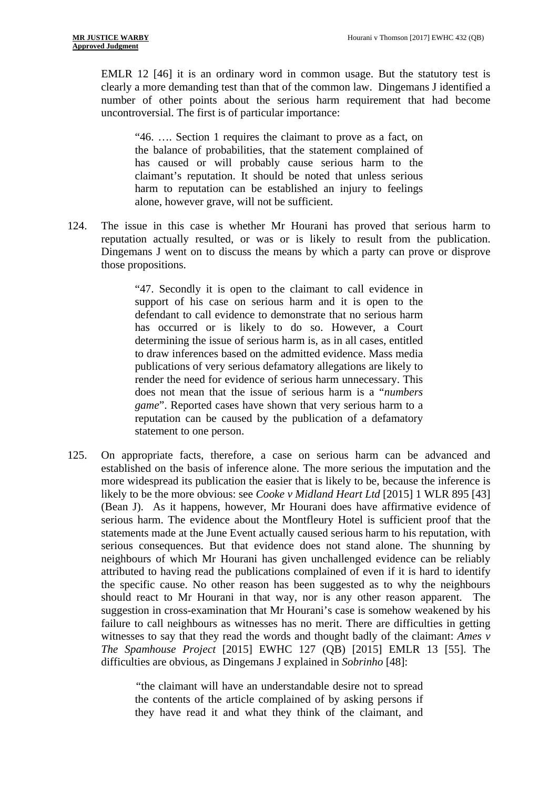EMLR 12 [46] it is an ordinary word in common usage. But the statutory test is clearly a more demanding test than that of the common law. Dingemans J identified a number of other points about the serious harm requirement that had become uncontroversial. The first is of particular importance:

"46. …. Section 1 requires the claimant to prove as a fact, on the balance of probabilities, that the statement complained of has caused or will probably cause serious harm to the claimant's reputation. It should be noted that unless serious harm to reputation can be established an injury to feelings alone, however grave, will not be sufficient.

124. The issue in this case is whether Mr Hourani has proved that serious harm to reputation actually resulted, or was or is likely to result from the publication. Dingemans J went on to discuss the means by which a party can prove or disprove those propositions.

> "47. Secondly it is open to the claimant to call evidence in support of his case on serious harm and it is open to the defendant to call evidence to demonstrate that no serious harm has occurred or is likely to do so. However, a Court determining the issue of serious harm is, as in all cases, entitled to draw inferences based on the admitted evidence. Mass media publications of very serious defamatory allegations are likely to render the need for evidence of serious harm unnecessary. This does not mean that the issue of serious harm is a "*numbers game*". Reported cases have shown that very serious harm to a reputation can be caused by the publication of a defamatory statement to one person.

125. On appropriate facts, therefore, a case on serious harm can be advanced and established on the basis of inference alone. The more serious the imputation and the more widespread its publication the easier that is likely to be, because the inference is likely to be the more obvious: see *Cooke v Midland Heart Ltd* [2015] 1 WLR 895 [43] (Bean J). As it happens, however, Mr Hourani does have affirmative evidence of serious harm. The evidence about the Montfleury Hotel is sufficient proof that the statements made at the June Event actually caused serious harm to his reputation, with serious consequences. But that evidence does not stand alone. The shunning by neighbours of which Mr Hourani has given unchallenged evidence can be reliably attributed to having read the publications complained of even if it is hard to identify the specific cause. No other reason has been suggested as to why the neighbours should react to Mr Hourani in that way, nor is any other reason apparent. The suggestion in cross-examination that Mr Hourani's case is somehow weakened by his failure to call neighbours as witnesses has no merit. There are difficulties in getting witnesses to say that they read the words and thought badly of the claimant: *Ames v The Spamhouse Project* [2015] EWHC 127 (QB) [2015] EMLR 13 [55]. The difficulties are obvious, as Dingemans J explained in *Sobrinho* [48]:

> *"*the claimant will have an understandable desire not to spread the contents of the article complained of by asking persons if they have read it and what they think of the claimant, and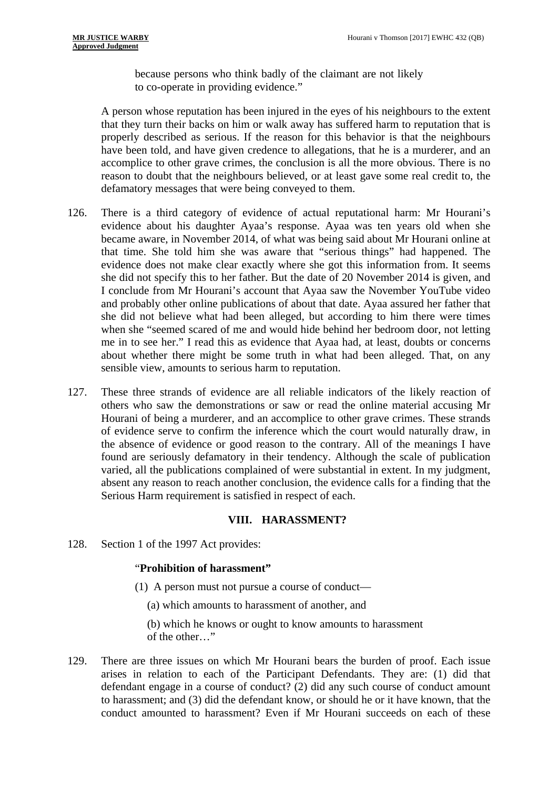because persons who think badly of the claimant are not likely to co-operate in providing evidence."

A person whose reputation has been injured in the eyes of his neighbours to the extent that they turn their backs on him or walk away has suffered harm to reputation that is properly described as serious. If the reason for this behavior is that the neighbours have been told, and have given credence to allegations, that he is a murderer, and an accomplice to other grave crimes, the conclusion is all the more obvious. There is no reason to doubt that the neighbours believed, or at least gave some real credit to, the defamatory messages that were being conveyed to them.

- 126. There is a third category of evidence of actual reputational harm: Mr Hourani's evidence about his daughter Ayaa's response. Ayaa was ten years old when she became aware, in November 2014, of what was being said about Mr Hourani online at that time. She told him she was aware that "serious things" had happened. The evidence does not make clear exactly where she got this information from. It seems she did not specify this to her father. But the date of 20 November 2014 is given, and I conclude from Mr Hourani's account that Ayaa saw the November YouTube video and probably other online publications of about that date. Ayaa assured her father that she did not believe what had been alleged, but according to him there were times when she "seemed scared of me and would hide behind her bedroom door, not letting me in to see her." I read this as evidence that Ayaa had, at least, doubts or concerns about whether there might be some truth in what had been alleged. That, on any sensible view, amounts to serious harm to reputation.
- 127. These three strands of evidence are all reliable indicators of the likely reaction of others who saw the demonstrations or saw or read the online material accusing Mr Hourani of being a murderer, and an accomplice to other grave crimes. These strands of evidence serve to confirm the inference which the court would naturally draw, in the absence of evidence or good reason to the contrary. All of the meanings I have found are seriously defamatory in their tendency. Although the scale of publication varied, all the publications complained of were substantial in extent. In my judgment, absent any reason to reach another conclusion, the evidence calls for a finding that the Serious Harm requirement is satisfied in respect of each.

# **VIII. HARASSMENT?**

128. Section 1 of the 1997 Act provides:

### "**Prohibition of harassment"**

- (1) A person must not pursue a course of conduct—
	- (a) which amounts to harassment of another, and

(b) which he knows or ought to know amounts to harassment of the other…"

129. There are three issues on which Mr Hourani bears the burden of proof. Each issue arises in relation to each of the Participant Defendants. They are: (1) did that defendant engage in a course of conduct? (2) did any such course of conduct amount to harassment; and (3) did the defendant know, or should he or it have known, that the conduct amounted to harassment? Even if Mr Hourani succeeds on each of these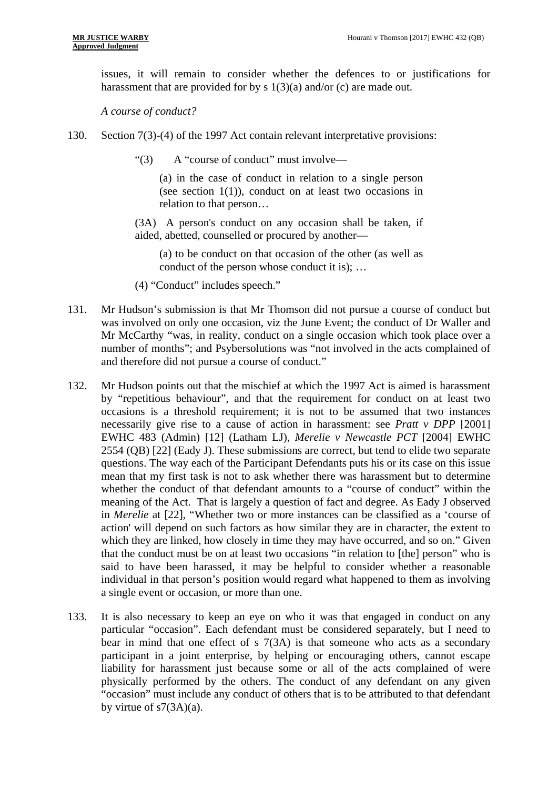issues, it will remain to consider whether the defences to or justifications for harassment that are provided for by s 1(3)(a) and/or (c) are made out.

*A course of conduct?* 

- 130. Section 7(3)-(4) of the 1997 Act contain relevant interpretative provisions:
	- "(3) A "course of conduct" must involve—

(a) in the case of conduct in relation to a single person (see section  $1(1)$ ), conduct on at least two occasions in relation to that person…

(3A) A person's conduct on any occasion shall be taken, if aided, abetted, counselled or procured by another—

(a) to be conduct on that occasion of the other (as well as conduct of the person whose conduct it is); …

- (4) "Conduct" includes speech."
- 131. Mr Hudson's submission is that Mr Thomson did not pursue a course of conduct but was involved on only one occasion, viz the June Event; the conduct of Dr Waller and Mr McCarthy "was, in reality, conduct on a single occasion which took place over a number of months"; and Psybersolutions was "not involved in the acts complained of and therefore did not pursue a course of conduct."
- 132. Mr Hudson points out that the mischief at which the 1997 Act is aimed is harassment by "repetitious behaviour", and that the requirement for conduct on at least two occasions is a threshold requirement; it is not to be assumed that two instances necessarily give rise to a cause of action in harassment: see *Pratt v DPP* [2001] EWHC 483 (Admin) [12] (Latham LJ), *Merelie v Newcastle PCT* [2004] EWHC 2554 (QB) [22] (Eady J). These submissions are correct, but tend to elide two separate questions. The way each of the Participant Defendants puts his or its case on this issue mean that my first task is not to ask whether there was harassment but to determine whether the conduct of that defendant amounts to a "course of conduct" within the meaning of the Act. That is largely a question of fact and degree. As Eady J observed in *Merelie* at [22], "Whether two or more instances can be classified as a 'course of action' will depend on such factors as how similar they are in character, the extent to which they are linked, how closely in time they may have occurred, and so on." Given that the conduct must be on at least two occasions "in relation to [the] person" who is said to have been harassed, it may be helpful to consider whether a reasonable individual in that person's position would regard what happened to them as involving a single event or occasion, or more than one.
- 133. It is also necessary to keep an eye on who it was that engaged in conduct on any particular "occasion". Each defendant must be considered separately, but I need to bear in mind that one effect of s 7(3A) is that someone who acts as a secondary participant in a joint enterprise, by helping or encouraging others, cannot escape liability for harassment just because some or all of the acts complained of were physically performed by the others. The conduct of any defendant on any given "occasion" must include any conduct of others that is to be attributed to that defendant by virtue of s7(3A)(a).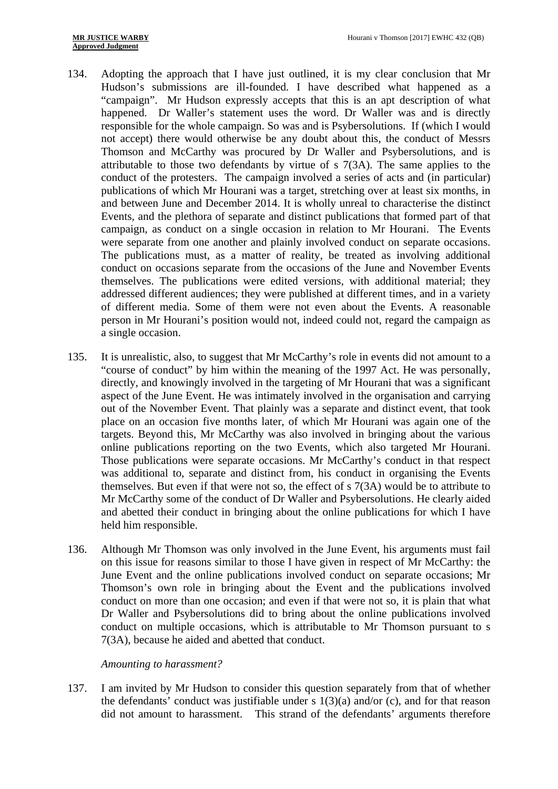- 134. Adopting the approach that I have just outlined, it is my clear conclusion that Mr Hudson's submissions are ill-founded. I have described what happened as a "campaign". Mr Hudson expressly accepts that this is an apt description of what happened. Dr Waller's statement uses the word. Dr Waller was and is directly responsible for the whole campaign. So was and is Psybersolutions. If (which I would not accept) there would otherwise be any doubt about this, the conduct of Messrs Thomson and McCarthy was procured by Dr Waller and Psybersolutions, and is attributable to those two defendants by virtue of s 7(3A). The same applies to the conduct of the protesters. The campaign involved a series of acts and (in particular) publications of which Mr Hourani was a target, stretching over at least six months, in and between June and December 2014. It is wholly unreal to characterise the distinct Events, and the plethora of separate and distinct publications that formed part of that campaign, as conduct on a single occasion in relation to Mr Hourani. The Events were separate from one another and plainly involved conduct on separate occasions. The publications must, as a matter of reality, be treated as involving additional conduct on occasions separate from the occasions of the June and November Events themselves. The publications were edited versions, with additional material; they addressed different audiences; they were published at different times, and in a variety of different media. Some of them were not even about the Events. A reasonable person in Mr Hourani's position would not, indeed could not, regard the campaign as a single occasion.
- 135. It is unrealistic, also, to suggest that Mr McCarthy's role in events did not amount to a "course of conduct" by him within the meaning of the 1997 Act. He was personally, directly, and knowingly involved in the targeting of Mr Hourani that was a significant aspect of the June Event. He was intimately involved in the organisation and carrying out of the November Event. That plainly was a separate and distinct event, that took place on an occasion five months later, of which Mr Hourani was again one of the targets. Beyond this, Mr McCarthy was also involved in bringing about the various online publications reporting on the two Events, which also targeted Mr Hourani. Those publications were separate occasions. Mr McCarthy's conduct in that respect was additional to, separate and distinct from, his conduct in organising the Events themselves. But even if that were not so, the effect of s 7(3A) would be to attribute to Mr McCarthy some of the conduct of Dr Waller and Psybersolutions. He clearly aided and abetted their conduct in bringing about the online publications for which I have held him responsible.
- 136. Although Mr Thomson was only involved in the June Event, his arguments must fail on this issue for reasons similar to those I have given in respect of Mr McCarthy: the June Event and the online publications involved conduct on separate occasions; Mr Thomson's own role in bringing about the Event and the publications involved conduct on more than one occasion; and even if that were not so, it is plain that what Dr Waller and Psybersolutions did to bring about the online publications involved conduct on multiple occasions, which is attributable to Mr Thomson pursuant to s 7(3A), because he aided and abetted that conduct.

### *Amounting to harassment?*

137. I am invited by Mr Hudson to consider this question separately from that of whether the defendants' conduct was justifiable under s  $1(3)(a)$  and/or (c), and for that reason did not amount to harassment. This strand of the defendants' arguments therefore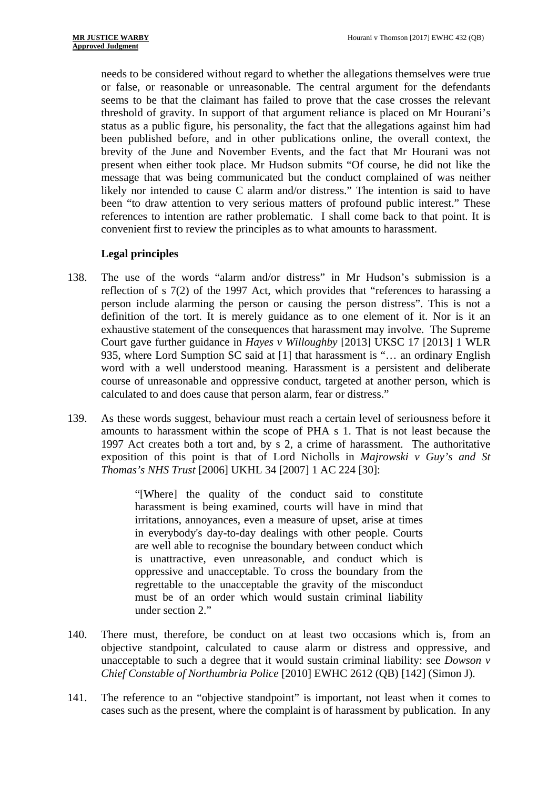needs to be considered without regard to whether the allegations themselves were true or false, or reasonable or unreasonable. The central argument for the defendants seems to be that the claimant has failed to prove that the case crosses the relevant threshold of gravity. In support of that argument reliance is placed on Mr Hourani's status as a public figure, his personality, the fact that the allegations against him had been published before, and in other publications online, the overall context, the brevity of the June and November Events, and the fact that Mr Hourani was not present when either took place. Mr Hudson submits "Of course, he did not like the message that was being communicated but the conduct complained of was neither likely nor intended to cause C alarm and/or distress." The intention is said to have been "to draw attention to very serious matters of profound public interest." These references to intention are rather problematic. I shall come back to that point. It is convenient first to review the principles as to what amounts to harassment.

## **Legal principles**

- 138. The use of the words "alarm and/or distress" in Mr Hudson's submission is a reflection of s 7(2) of the 1997 Act, which provides that "references to harassing a person include alarming the person or causing the person distress". This is not a definition of the tort. It is merely guidance as to one element of it. Nor is it an exhaustive statement of the consequences that harassment may involve. The Supreme Court gave further guidance in *Hayes v Willoughby* [2013] UKSC 17 [2013] 1 WLR 935, where Lord Sumption SC said at [1] that harassment is "… an ordinary English word with a well understood meaning. Harassment is a persistent and deliberate course of unreasonable and oppressive conduct, targeted at another person, which is calculated to and does cause that person alarm, fear or distress."
- 139. As these words suggest, behaviour must reach a certain level of seriousness before it amounts to harassment within the scope of PHA s 1. That is not least because the 1997 Act creates both a tort and, by s 2, a crime of harassment. The authoritative exposition of this point is that of Lord Nicholls in *Majrowski v Guy's and St Thomas's NHS Trust* [2006] UKHL 34 [2007] 1 AC 224 [30]:

"[Where] the quality of the conduct said to constitute harassment is being examined, courts will have in mind that irritations, annoyances, even a measure of upset, arise at times in everybody's day-to-day dealings with other people. Courts are well able to recognise the boundary between conduct which is unattractive, even unreasonable, and conduct which is oppressive and unacceptable. To cross the boundary from the regrettable to the unacceptable the gravity of the misconduct must be of an order which would sustain criminal liability under section 2."

- 140. There must, therefore, be conduct on at least two occasions which is, from an objective standpoint, calculated to cause alarm or distress and oppressive, and unacceptable to such a degree that it would sustain criminal liability: see *Dowson v Chief Constable of Northumbria Police* [2010] EWHC 2612 (QB) [142] (Simon J).
- 141. The reference to an "objective standpoint" is important, not least when it comes to cases such as the present, where the complaint is of harassment by publication. In any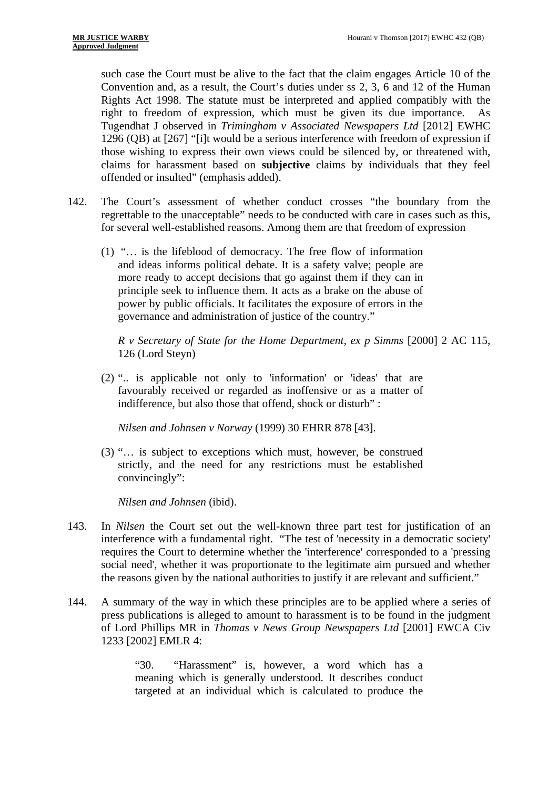such case the Court must be alive to the fact that the claim engages Article 10 of the Convention and, as a result, the Court's duties under ss 2, 3, 6 and 12 of the Human Rights Act 1998. The statute must be interpreted and applied compatibly with the right to freedom of expression, which must be given its due importance. As Tugendhat J observed in *Trimingham v Associated Newspapers Ltd* [2012] EWHC 1296 (QB) at [267] "[i]t would be a serious interference with freedom of expression if those wishing to express their own views could be silenced by, or threatened with, claims for harassment based on **subjective** claims by individuals that they feel offended or insulted" (emphasis added).

- 142. The Court's assessment of whether conduct crosses "the boundary from the regrettable to the unacceptable" needs to be conducted with care in cases such as this, for several well-established reasons. Among them are that freedom of expression
	- (1) "… is the lifeblood of democracy. The free flow of information and ideas informs political debate. It is a safety valve; people are more ready to accept decisions that go against them if they can in principle seek to influence them. It acts as a brake on the abuse of power by public officials. It facilitates the exposure of errors in the governance and administration of justice of the country."

*R v Secretary of State for the Home Department, ex p Simms* [2000] 2 AC 115, 126 (Lord Steyn)

(2) ".. is applicable not only to 'information' or 'ideas' that are favourably received or regarded as inoffensive or as a matter of indifference, but also those that offend, shock or disturb" :

*Nilsen and Johnsen v Norway* (1999) 30 EHRR 878 [43].

(3) "… is subject to exceptions which must, however, be construed strictly, and the need for any restrictions must be established convincingly":

*Nilsen and Johnsen* (ibid).

- 143. In *Nilsen* the Court set out the well-known three part test for justification of an interference with a fundamental right. "The test of 'necessity in a democratic society' requires the Court to determine whether the 'interference' corresponded to a 'pressing social need', whether it was proportionate to the legitimate aim pursued and whether the reasons given by the national authorities to justify it are relevant and sufficient."
- 144. A summary of the way in which these principles are to be applied where a series of press publications is alleged to amount to harassment is to be found in the judgment of Lord Phillips MR in *Thomas v News Group Newspapers Ltd* [2001] EWCA Civ 1233 [2002] EMLR 4:

"30. "Harassment" is, however, a word which has a meaning which is generally understood. It describes conduct targeted at an individual which is calculated to produce the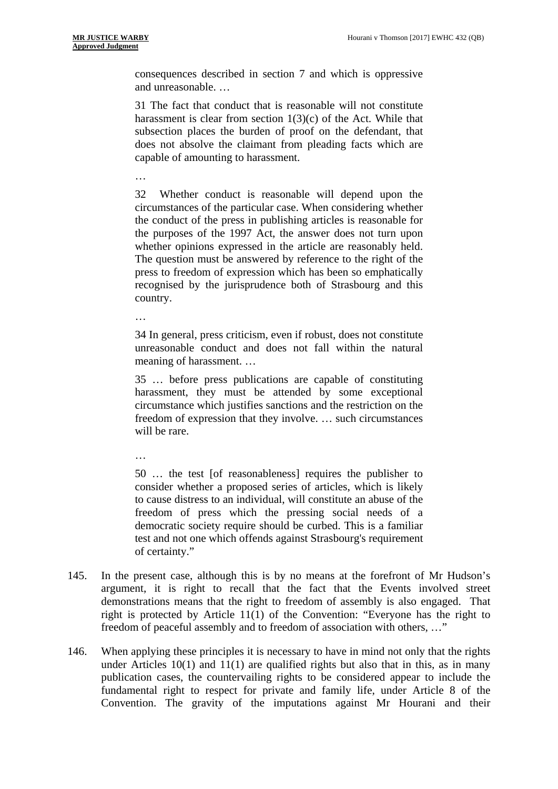consequences described in section 7 and which is oppressive and unreasonable. …

31 The fact that conduct that is reasonable will not constitute harassment is clear from section  $1(3)(c)$  of the Act. While that subsection places the burden of proof on the defendant, that does not absolve the claimant from pleading facts which are capable of amounting to harassment.

…

32 Whether conduct is reasonable will depend upon the circumstances of the particular case. When considering whether the conduct of the press in publishing articles is reasonable for the purposes of the 1997 Act, the answer does not turn upon whether opinions expressed in the article are reasonably held. The question must be answered by reference to the right of the press to freedom of expression which has been so emphatically recognised by the jurisprudence both of Strasbourg and this country.

…

34 In general, press criticism, even if robust, does not constitute unreasonable conduct and does not fall within the natural meaning of harassment. …

35 … before press publications are capable of constituting harassment, they must be attended by some exceptional circumstance which justifies sanctions and the restriction on the freedom of expression that they involve. … such circumstances will be rare.

…

50 … the test [of reasonableness] requires the publisher to consider whether a proposed series of articles, which is likely to cause distress to an individual, will constitute an abuse of the freedom of press which the pressing social needs of a democratic society require should be curbed. This is a familiar test and not one which offends against Strasbourg's requirement of certainty."

- 145. In the present case, although this is by no means at the forefront of Mr Hudson's argument, it is right to recall that the fact that the Events involved street demonstrations means that the right to freedom of assembly is also engaged. That right is protected by Article 11(1) of the Convention: "Everyone has the right to freedom of peaceful assembly and to freedom of association with others, …"
- 146. When applying these principles it is necessary to have in mind not only that the rights under Articles  $10(1)$  and  $11(1)$  are qualified rights but also that in this, as in many publication cases, the countervailing rights to be considered appear to include the fundamental right to respect for private and family life, under Article 8 of the Convention. The gravity of the imputations against Mr Hourani and their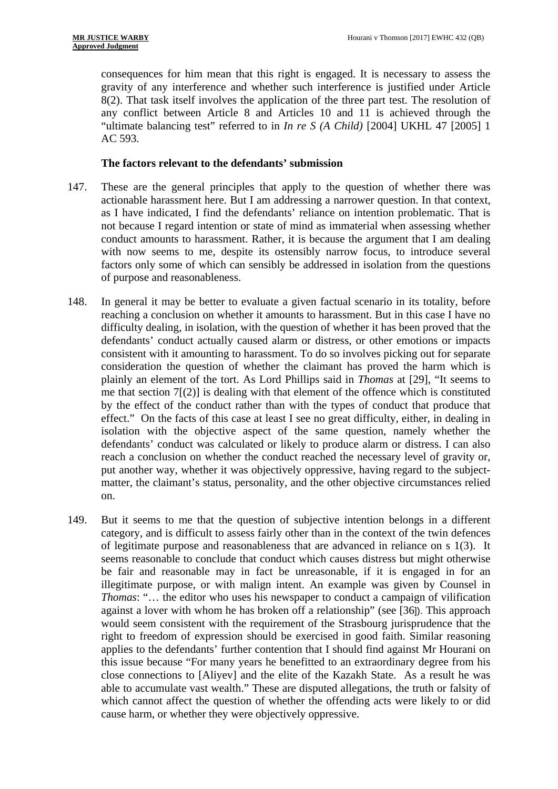consequences for him mean that this right is engaged. It is necessary to assess the gravity of any interference and whether such interference is justified under Article 8(2). That task itself involves the application of the three part test. The resolution of any conflict between Article 8 and Articles 10 and 11 is achieved through the "ultimate balancing test" referred to in *In re S (A Child)* [2004] UKHL 47 [2005] 1 AC 593.

### **The factors relevant to the defendants' submission**

- 147. These are the general principles that apply to the question of whether there was actionable harassment here. But I am addressing a narrower question. In that context, as I have indicated, I find the defendants' reliance on intention problematic. That is not because I regard intention or state of mind as immaterial when assessing whether conduct amounts to harassment. Rather, it is because the argument that I am dealing with now seems to me, despite its ostensibly narrow focus, to introduce several factors only some of which can sensibly be addressed in isolation from the questions of purpose and reasonableness.
- 148. In general it may be better to evaluate a given factual scenario in its totality, before reaching a conclusion on whether it amounts to harassment. But in this case I have no difficulty dealing, in isolation, with the question of whether it has been proved that the defendants' conduct actually caused alarm or distress, or other emotions or impacts consistent with it amounting to harassment. To do so involves picking out for separate consideration the question of whether the claimant has proved the harm which is plainly an element of the tort. As Lord Phillips said in *Thomas* at [29], "It seems to me that section  $7(2)$  is dealing with that element of the offence which is constituted by the effect of the conduct rather than with the types of conduct that produce that effect." On the facts of this case at least I see no great difficulty, either, in dealing in isolation with the objective aspect of the same question, namely whether the defendants' conduct was calculated or likely to produce alarm or distress. I can also reach a conclusion on whether the conduct reached the necessary level of gravity or, put another way, whether it was objectively oppressive, having regard to the subjectmatter, the claimant's status, personality, and the other objective circumstances relied on.
- 149. But it seems to me that the question of subjective intention belongs in a different category, and is difficult to assess fairly other than in the context of the twin defences of legitimate purpose and reasonableness that are advanced in reliance on s 1(3). It seems reasonable to conclude that conduct which causes distress but might otherwise be fair and reasonable may in fact be unreasonable, if it is engaged in for an illegitimate purpose, or with malign intent. An example was given by Counsel in *Thomas*: "… the editor who uses his newspaper to conduct a campaign of vilification against a lover with whom he has broken off a relationship" (see [36]). This approach would seem consistent with the requirement of the Strasbourg jurisprudence that the right to freedom of expression should be exercised in good faith. Similar reasoning applies to the defendants' further contention that I should find against Mr Hourani on this issue because "For many years he benefitted to an extraordinary degree from his close connections to [Aliyev] and the elite of the Kazakh State. As a result he was able to accumulate vast wealth." These are disputed allegations, the truth or falsity of which cannot affect the question of whether the offending acts were likely to or did cause harm, or whether they were objectively oppressive.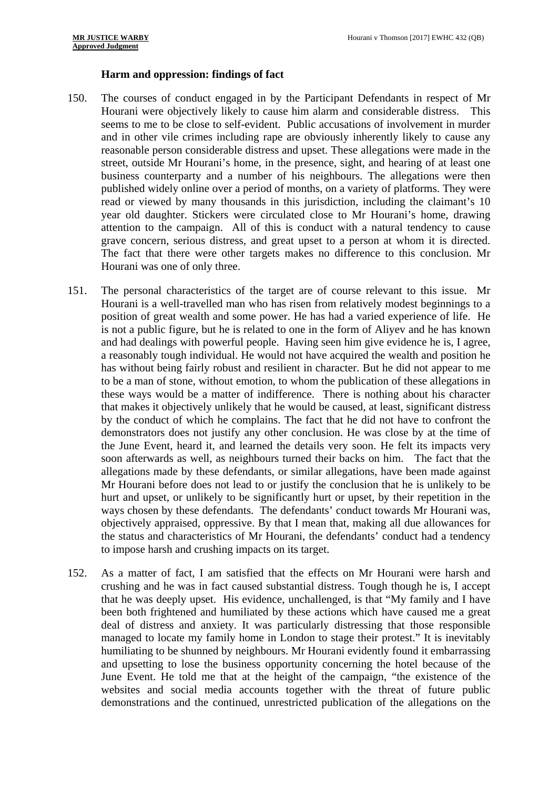### **Harm and oppression: findings of fact**

- grave concern, serious distress, and great upset to a person at whom it is directed. 150. The courses of conduct engaged in by the Participant Defendants in respect of Mr Hourani were objectively likely to cause him alarm and considerable distress. This seems to me to be close to self-evident. Public accusations of involvement in murder and in other vile crimes including rape are obviously inherently likely to cause any reasonable person considerable distress and upset. These allegations were made in the street, outside Mr Hourani's home, in the presence, sight, and hearing of at least one business counterparty and a number of his neighbours. The allegations were then published widely online over a period of months, on a variety of platforms. They were read or viewed by many thousands in this jurisdiction, including the claimant's 10 year old daughter. Stickers were circulated close to Mr Hourani's home, drawing attention to the campaign. All of this is conduct with a natural tendency to cause The fact that there were other targets makes no difference to this conclusion. Mr Hourani was one of only three.
- 151. The personal characteristics of the target are of course relevant to this issue. Mr Hourani is a well-travelled man who has risen from relatively modest beginnings to a position of great wealth and some power. He has had a varied experience of life. He is not a public figure, but he is related to one in the form of Aliyev and he has known and had dealings with powerful people. Having seen him give evidence he is, I agree, a reasonably tough individual. He would not have acquired the wealth and position he has without being fairly robust and resilient in character. But he did not appear to me to be a man of stone, without emotion, to whom the publication of these allegations in these ways would be a matter of indifference. There is nothing about his character that makes it objectively unlikely that he would be caused, at least, significant distress by the conduct of which he complains. The fact that he did not have to confront the demonstrators does not justify any other conclusion. He was close by at the time of the June Event, heard it, and learned the details very soon. He felt its impacts very soon afterwards as well, as neighbours turned their backs on him. The fact that the allegations made by these defendants, or similar allegations, have been made against Mr Hourani before does not lead to or justify the conclusion that he is unlikely to be hurt and upset, or unlikely to be significantly hurt or upset, by their repetition in the ways chosen by these defendants. The defendants' conduct towards Mr Hourani was, objectively appraised, oppressive. By that I mean that, making all due allowances for the status and characteristics of Mr Hourani, the defendants' conduct had a tendency to impose harsh and crushing impacts on its target.
- 152. As a matter of fact, I am satisfied that the effects on Mr Hourani were harsh and crushing and he was in fact caused substantial distress. Tough though he is, I accept that he was deeply upset. His evidence, unchallenged, is that "My family and I have been both frightened and humiliated by these actions which have caused me a great deal of distress and anxiety. It was particularly distressing that those responsible managed to locate my family home in London to stage their protest." It is inevitably humiliating to be shunned by neighbours. Mr Hourani evidently found it embarrassing and upsetting to lose the business opportunity concerning the hotel because of the June Event. He told me that at the height of the campaign, "the existence of the websites and social media accounts together with the threat of future public demonstrations and the continued, unrestricted publication of the allegations on the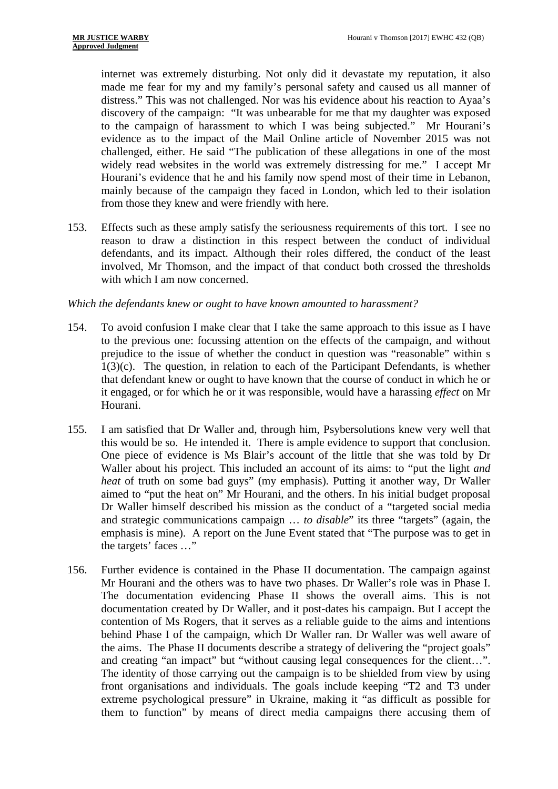internet was extremely disturbing. Not only did it devastate my reputation, it also made me fear for my and my family's personal safety and caused us all manner of distress." This was not challenged. Nor was his evidence about his reaction to Ayaa's discovery of the campaign: "It was unbearable for me that my daughter was exposed to the campaign of harassment to which I was being subjected." Mr Hourani's evidence as to the impact of the Mail Online article of November 2015 was not challenged, either. He said "The publication of these allegations in one of the most widely read websites in the world was extremely distressing for me." I accept Mr Hourani's evidence that he and his family now spend most of their time in Lebanon, mainly because of the campaign they faced in London, which led to their isolation from those they knew and were friendly with here.

153. Effects such as these amply satisfy the seriousness requirements of this tort. I see no reason to draw a distinction in this respect between the conduct of individual defendants, and its impact. Although their roles differed, the conduct of the least involved, Mr Thomson, and the impact of that conduct both crossed the thresholds with which I am now concerned.

## *Which the defendants knew or ought to have known amounted to harassment?*

- 154. To avoid confusion I make clear that I take the same approach to this issue as I have to the previous one: focussing attention on the effects of the campaign, and without prejudice to the issue of whether the conduct in question was "reasonable" within s 1(3)(c). The question, in relation to each of the Participant Defendants, is whether that defendant knew or ought to have known that the course of conduct in which he or it engaged, or for which he or it was responsible, would have a harassing *effect* on Mr Hourani.
- 155. I am satisfied that Dr Waller and, through him, Psybersolutions knew very well that this would be so. He intended it. There is ample evidence to support that conclusion. One piece of evidence is Ms Blair's account of the little that she was told by Dr Waller about his project. This included an account of its aims: to "put the light *and heat* of truth on some bad guys" (my emphasis). Putting it another way, Dr Waller aimed to "put the heat on" Mr Hourani, and the others. In his initial budget proposal Dr Waller himself described his mission as the conduct of a "targeted social media and strategic communications campaign … *to disable*" its three "targets" (again, the emphasis is mine). A report on the June Event stated that "The purpose was to get in the targets' faces …"
- 156. Further evidence is contained in the Phase II documentation. The campaign against Mr Hourani and the others was to have two phases. Dr Waller's role was in Phase I. The documentation evidencing Phase II shows the overall aims. This is not documentation created by Dr Waller, and it post-dates his campaign. But I accept the contention of Ms Rogers, that it serves as a reliable guide to the aims and intentions behind Phase I of the campaign, which Dr Waller ran. Dr Waller was well aware of the aims. The Phase II documents describe a strategy of delivering the "project goals" and creating "an impact" but "without causing legal consequences for the client…". The identity of those carrying out the campaign is to be shielded from view by using front organisations and individuals. The goals include keeping "T2 and T3 under extreme psychological pressure" in Ukraine, making it "as difficult as possible for them to function" by means of direct media campaigns there accusing them of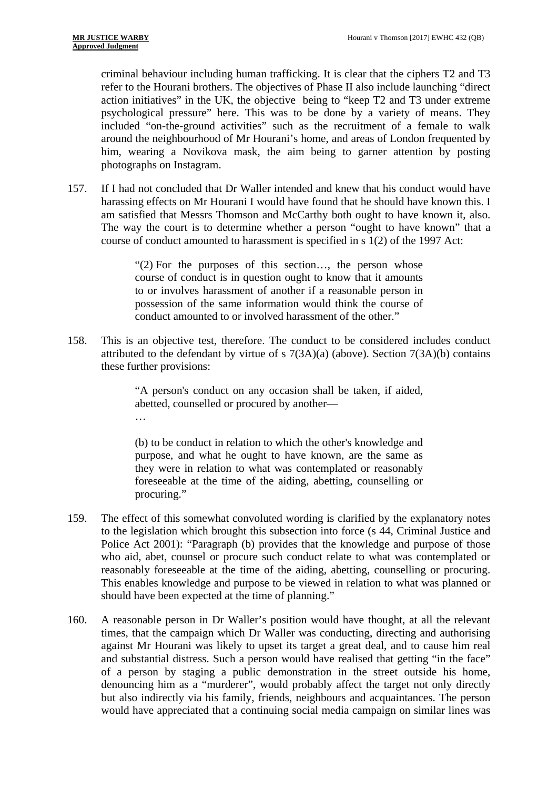criminal behaviour including human trafficking. It is clear that the ciphers T2 and T3 refer to the Hourani brothers. The objectives of Phase II also include launching "direct action initiatives" in the UK, the objective being to "keep T2 and T3 under extreme psychological pressure" here. This was to be done by a variety of means. They included "on-the-ground activities" such as the recruitment of a female to walk around the neighbourhood of Mr Hourani's home, and areas of London frequented by him, wearing a Novikova mask, the aim being to garner attention by posting photographs on Instagram.

157. If I had not concluded that Dr Waller intended and knew that his conduct would have harassing effects on Mr Hourani I would have found that he should have known this. I am satisfied that Messrs Thomson and McCarthy both ought to have known it, also. The way the court is to determine whether a person "ought to have known" that a course of conduct amounted to harassment is specified in s 1(2) of the 1997 Act:

> "(2) For the purposes of this section…, the person whose course of conduct is in question ought to know that it amounts to or involves harassment of another if a reasonable person in possession of the same information would think the course of conduct amounted to or involved harassment of the other."

158. This is an objective test, therefore. The conduct to be considered includes conduct attributed to the defendant by virtue of s  $7(3A)(a)$  (above). Section  $7(3A)(b)$  contains these further provisions:

> "A person's conduct on any occasion shall be taken, if aided, abetted, counselled or procured by another— …

> (b) to be conduct in relation to which the other's knowledge and purpose, and what he ought to have known, are the same as they were in relation to what was contemplated or reasonably foreseeable at the time of the aiding, abetting, counselling or procuring."

- 159. The effect of this somewhat convoluted wording is clarified by the explanatory notes to the legislation which brought this subsection into force (s 44, Criminal Justice and Police Act 2001): "Paragraph (b) provides that the knowledge and purpose of those who aid, abet, counsel or procure such conduct relate to what was contemplated or reasonably foreseeable at the time of the aiding, abetting, counselling or procuring. This enables knowledge and purpose to be viewed in relation to what was planned or should have been expected at the time of planning."
- 160. A reasonable person in Dr Waller's position would have thought, at all the relevant times, that the campaign which Dr Waller was conducting, directing and authorising against Mr Hourani was likely to upset its target a great deal, and to cause him real and substantial distress. Such a person would have realised that getting "in the face" of a person by staging a public demonstration in the street outside his home, denouncing him as a "murderer", would probably affect the target not only directly but also indirectly via his family, friends, neighbours and acquaintances. The person would have appreciated that a continuing social media campaign on similar lines was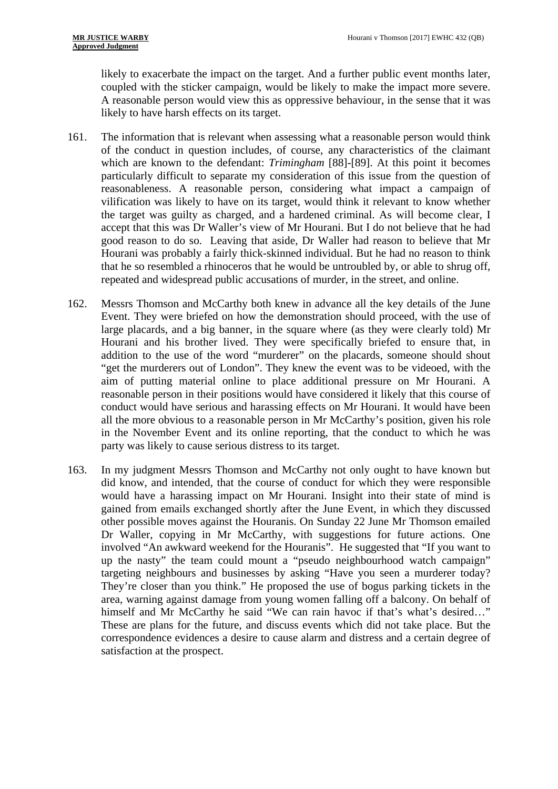likely to exacerbate the impact on the target. And a further public event months later, coupled with the sticker campaign, would be likely to make the impact more severe. A reasonable person would view this as oppressive behaviour, in the sense that it was likely to have harsh effects on its target.

- 161. The information that is relevant when assessing what a reasonable person would think of the conduct in question includes, of course, any characteristics of the claimant which are known to the defendant: *Trimingham* [88]-[89]. At this point it becomes particularly difficult to separate my consideration of this issue from the question of reasonableness. A reasonable person, considering what impact a campaign of vilification was likely to have on its target, would think it relevant to know whether the target was guilty as charged, and a hardened criminal. As will become clear, I accept that this was Dr Waller's view of Mr Hourani. But I do not believe that he had good reason to do so. Leaving that aside, Dr Waller had reason to believe that Mr Hourani was probably a fairly thick-skinned individual. But he had no reason to think that he so resembled a rhinoceros that he would be untroubled by, or able to shrug off, repeated and widespread public accusations of murder, in the street, and online.
- 162. Messrs Thomson and McCarthy both knew in advance all the key details of the June Event. They were briefed on how the demonstration should proceed, with the use of large placards, and a big banner, in the square where (as they were clearly told) Mr Hourani and his brother lived. They were specifically briefed to ensure that, in addition to the use of the word "murderer" on the placards, someone should shout "get the murderers out of London". They knew the event was to be videoed, with the aim of putting material online to place additional pressure on Mr Hourani. A reasonable person in their positions would have considered it likely that this course of conduct would have serious and harassing effects on Mr Hourani. It would have been all the more obvious to a reasonable person in Mr McCarthy's position, given his role in the November Event and its online reporting, that the conduct to which he was party was likely to cause serious distress to its target.
- 163. In my judgment Messrs Thomson and McCarthy not only ought to have known but did know, and intended, that the course of conduct for which they were responsible would have a harassing impact on Mr Hourani. Insight into their state of mind is gained from emails exchanged shortly after the June Event, in which they discussed other possible moves against the Houranis. On Sunday 22 June Mr Thomson emailed Dr Waller, copying in Mr McCarthy, with suggestions for future actions. One involved "An awkward weekend for the Houranis". He suggested that "If you want to up the nasty" the team could mount a "pseudo neighbourhood watch campaign" targeting neighbours and businesses by asking "Have you seen a murderer today? They're closer than you think." He proposed the use of bogus parking tickets in the area, warning against damage from young women falling off a balcony. On behalf of himself and Mr McCarthy he said "We can rain havoc if that's what's desired..." These are plans for the future, and discuss events which did not take place. But the correspondence evidences a desire to cause alarm and distress and a certain degree of satisfaction at the prospect.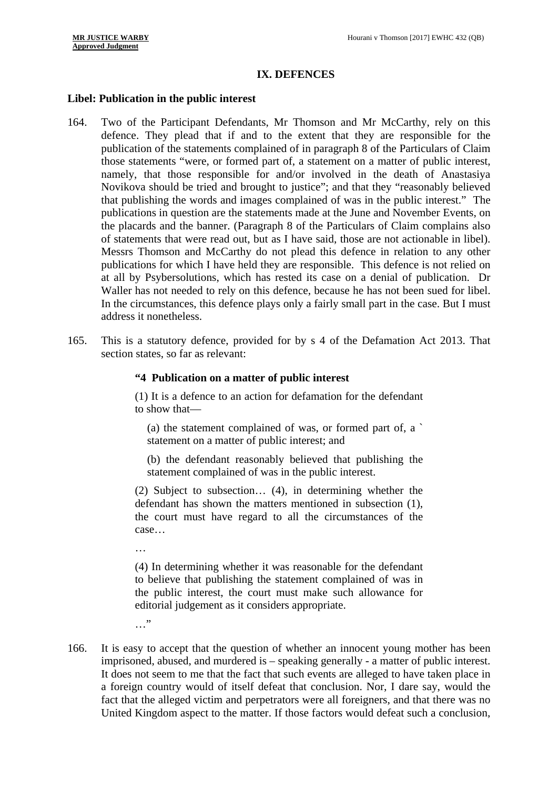# **IX. DEFENCES**

#### **Libel: Publication in the public interest**

- of statements that were read out, but as I have said, those are not actionable in libel). Waller has not needed to rely on this defence, because he has not been sued for libel. In the circumstances, this defence plays only a fairly small part in the case. But I must 164. Two of the Participant Defendants, Mr Thomson and Mr McCarthy, rely on this defence. They plead that if and to the extent that they are responsible for the publication of the statements complained of in paragraph 8 of the Particulars of Claim those statements "were, or formed part of, a statement on a matter of public interest, namely, that those responsible for and/or involved in the death of Anastasiya Novikova should be tried and brought to justice"; and that they "reasonably believed that publishing the words and images complained of was in the public interest." The publications in question are the statements made at the June and November Events, on the placards and the banner. (Paragraph 8 of the Particulars of Claim complains also Messrs Thomson and McCarthy do not plead this defence in relation to any other publications for which I have held they are responsible. This defence is not relied on at all by Psybersolutions, which has rested its case on a denial of publication. Dr address it nonetheless.
- 165. This is a statutory defence, provided for by s 4 of the Defamation Act 2013. That section states, so far as relevant:

#### **"4 Publication on a matter of public interest**

(1) It is a defence to an action for defamation for the defendant to show that—

(a) the statement complained of was, or formed part of, a ` statement on a matter of public interest; and

(b) the defendant reasonably believed that publishing the statement complained of was in the public interest.

(2) Subject to subsection… (4), in determining whether the defendant has shown the matters mentioned in subsection (1), the court must have regard to all the circumstances of the case…

…

(4) In determining whether it was reasonable for the defendant to believe that publishing the statement complained of was in the public interest, the court must make such allowance for editorial judgement as it considers appropriate.

- $\cdots$
- 166. It is easy to accept that the question of whether an innocent young mother has been imprisoned, abused, and murdered is – speaking generally - a matter of public interest. It does not seem to me that the fact that such events are alleged to have taken place in a foreign country would of itself defeat that conclusion. Nor, I dare say, would the fact that the alleged victim and perpetrators were all foreigners, and that there was no United Kingdom aspect to the matter. If those factors would defeat such a conclusion,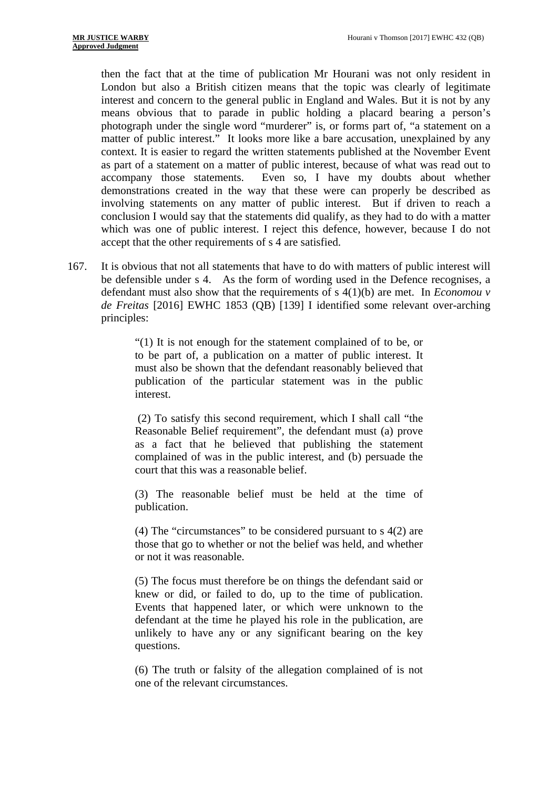involving statements on any matter of public interest. But if driven to reach a then the fact that at the time of publication Mr Hourani was not only resident in London but also a British citizen means that the topic was clearly of legitimate interest and concern to the general public in England and Wales. But it is not by any means obvious that to parade in public holding a placard bearing a person's photograph under the single word "murderer" is, or forms part of, "a statement on a matter of public interest." It looks more like a bare accusation, unexplained by any context. It is easier to regard the written statements published at the November Event as part of a statement on a matter of public interest, because of what was read out to accompany those statements. Even so, I have my doubts about whether demonstrations created in the way that these were can properly be described as conclusion I would say that the statements did qualify, as they had to do with a matter which was one of public interest. I reject this defence, however, because I do not accept that the other requirements of s 4 are satisfied.

167. It is obvious that not all statements that have to do with matters of public interest will be defensible under s 4. As the form of wording used in the Defence recognises, a defendant must also show that the requirements of s 4(1)(b) are met. In *Economou v de Freitas* [2016] EWHC 1853 (QB) [139] I identified some relevant over-arching principles:

> "(1) It is not enough for the statement complained of to be, or to be part of, a publication on a matter of public interest. It must also be shown that the defendant reasonably believed that publication of the particular statement was in the public interest.

> (2) To satisfy this second requirement, which I shall call "the Reasonable Belief requirement", the defendant must (a) prove as a fact that he believed that publishing the statement complained of was in the public interest, and (b) persuade the court that this was a reasonable belief.

> (3) The reasonable belief must be held at the time of publication.

> (4) The "circumstances" to be considered pursuant to s 4(2) are those that go to whether or not the belief was held, and whether or not it was reasonable.

> (5) The focus must therefore be on things the defendant said or knew or did, or failed to do, up to the time of publication. Events that happened later, or which were unknown to the defendant at the time he played his role in the publication, are unlikely to have any or any significant bearing on the key questions.

> (6) The truth or falsity of the allegation complained of is not one of the relevant circumstances.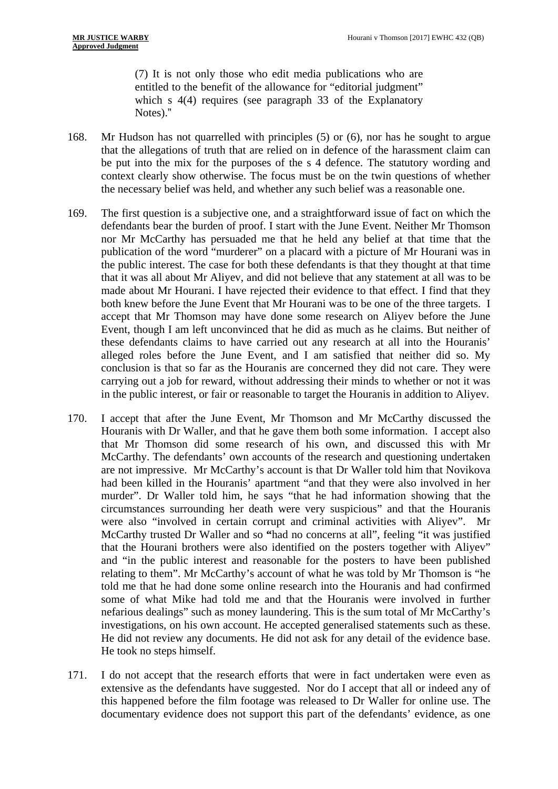(7) It is not only those who edit media publications who are entitled to the benefit of the allowance for "editorial judgment" which s 4(4) requires (see paragraph 33 of the Explanatory Notes)."

- 168. Mr Hudson has not quarrelled with principles (5) or (6), nor has he sought to argue that the allegations of truth that are relied on in defence of the harassment claim can be put into the mix for the purposes of the s 4 defence. The statutory wording and context clearly show otherwise. The focus must be on the twin questions of whether the necessary belief was held, and whether any such belief was a reasonable one.
- 169. The first question is a subjective one, and a straightforward issue of fact on which the defendants bear the burden of proof. I start with the June Event. Neither Mr Thomson nor Mr McCarthy has persuaded me that he held any belief at that time that the publication of the word "murderer" on a placard with a picture of Mr Hourani was in the public interest. The case for both these defendants is that they thought at that time that it was all about Mr Aliyev, and did not believe that any statement at all was to be made about Mr Hourani. I have rejected their evidence to that effect. I find that they both knew before the June Event that Mr Hourani was to be one of the three targets. I accept that Mr Thomson may have done some research on Aliyev before the June Event, though I am left unconvinced that he did as much as he claims. But neither of these defendants claims to have carried out any research at all into the Houranis' alleged roles before the June Event, and I am satisfied that neither did so. My conclusion is that so far as the Houranis are concerned they did not care. They were carrying out a job for reward, without addressing their minds to whether or not it was in the public interest, or fair or reasonable to target the Houranis in addition to Aliyev.
- were also "involved in certain corrupt and criminal activities with Aliyev". Mr 170. I accept that after the June Event, Mr Thomson and Mr McCarthy discussed the Houranis with Dr Waller, and that he gave them both some information. I accept also that Mr Thomson did some research of his own, and discussed this with Mr McCarthy. The defendants' own accounts of the research and questioning undertaken are not impressive. Mr McCarthy's account is that Dr Waller told him that Novikova had been killed in the Houranis' apartment "and that they were also involved in her murder". Dr Waller told him, he says "that he had information showing that the circumstances surrounding her death were very suspicious" and that the Houranis McCarthy trusted Dr Waller and so **"**had no concerns at all", feeling "it was justified that the Hourani brothers were also identified on the posters together with Aliyev" and "in the public interest and reasonable for the posters to have been published relating to them". Mr McCarthy's account of what he was told by Mr Thomson is "he told me that he had done some online research into the Houranis and had confirmed some of what Mike had told me and that the Houranis were involved in further nefarious dealings" such as money laundering. This is the sum total of Mr McCarthy's investigations, on his own account. He accepted generalised statements such as these. He did not review any documents. He did not ask for any detail of the evidence base. He took no steps himself.
- 171. I do not accept that the research efforts that were in fact undertaken were even as extensive as the defendants have suggested. Nor do I accept that all or indeed any of this happened before the film footage was released to Dr Waller for online use. The documentary evidence does not support this part of the defendants' evidence, as one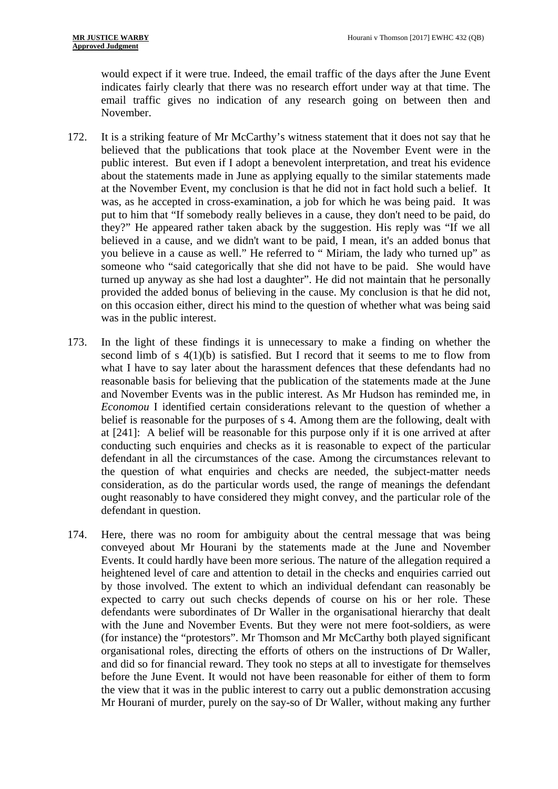would expect if it were true. Indeed, the email traffic of the days after the June Event indicates fairly clearly that there was no research effort under way at that time. The email traffic gives no indication of any research going on between then and November.

- 172. It is a striking feature of Mr McCarthy's witness statement that it does not say that he believed that the publications that took place at the November Event were in the public interest. But even if I adopt a benevolent interpretation, and treat his evidence about the statements made in June as applying equally to the similar statements made at the November Event, my conclusion is that he did not in fact hold such a belief. It was, as he accepted in cross-examination, a job for which he was being paid. It was put to him that "If somebody really believes in a cause, they don't need to be paid, do they?" He appeared rather taken aback by the suggestion. His reply was "If we all believed in a cause, and we didn't want to be paid, I mean, it's an added bonus that you believe in a cause as well." He referred to " Miriam, the lady who turned up" as someone who "said categorically that she did not have to be paid. She would have turned up anyway as she had lost a daughter". He did not maintain that he personally provided the added bonus of believing in the cause. My conclusion is that he did not, on this occasion either, direct his mind to the question of whether what was being said was in the public interest.
- 173. In the light of these findings it is unnecessary to make a finding on whether the second limb of s  $4(1)(b)$  is satisfied. But I record that it seems to me to flow from what I have to say later about the harassment defences that these defendants had no reasonable basis for believing that the publication of the statements made at the June and November Events was in the public interest. As Mr Hudson has reminded me, in *Economou* I identified certain considerations relevant to the question of whether a belief is reasonable for the purposes of s 4. Among them are the following, dealt with at [241]: A belief will be reasonable for this purpose only if it is one arrived at after conducting such enquiries and checks as it is reasonable to expect of the particular defendant in all the circumstances of the case. Among the circumstances relevant to the question of what enquiries and checks are needed, the subject-matter needs consideration, as do the particular words used, the range of meanings the defendant ought reasonably to have considered they might convey, and the particular role of the defendant in question.
- 174. Here, there was no room for ambiguity about the central message that was being conveyed about Mr Hourani by the statements made at the June and November Events. It could hardly have been more serious. The nature of the allegation required a heightened level of care and attention to detail in the checks and enquiries carried out by those involved. The extent to which an individual defendant can reasonably be expected to carry out such checks depends of course on his or her role. These defendants were subordinates of Dr Waller in the organisational hierarchy that dealt with the June and November Events. But they were not mere foot-soldiers, as were (for instance) the "protestors". Mr Thomson and Mr McCarthy both played significant organisational roles, directing the efforts of others on the instructions of Dr Waller, and did so for financial reward. They took no steps at all to investigate for themselves before the June Event. It would not have been reasonable for either of them to form the view that it was in the public interest to carry out a public demonstration accusing Mr Hourani of murder, purely on the say-so of Dr Waller, without making any further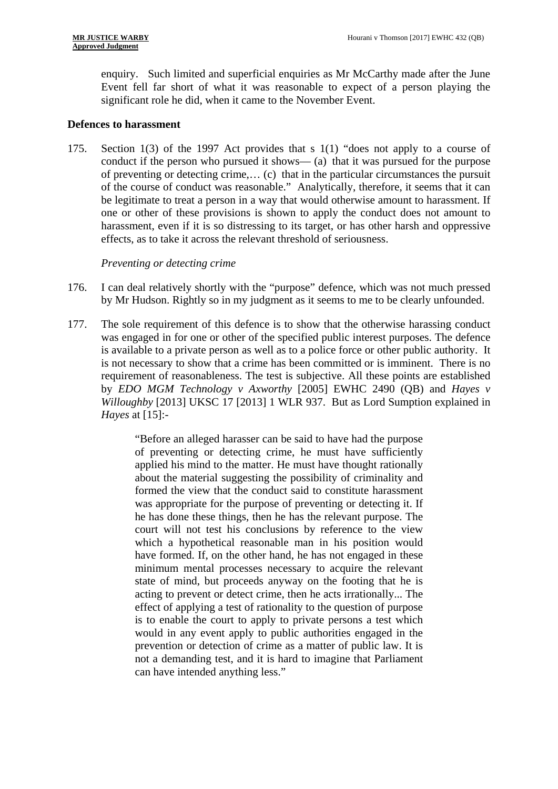enquiry. Such limited and superficial enquiries as Mr McCarthy made after the June Event fell far short of what it was reasonable to expect of a person playing the significant role he did, when it came to the November Event.

#### **Defences to harassment**

175. Section 1(3) of the 1997 Act provides that s 1(1) "does not apply to a course of conduct if the person who pursued it shows— (a) that it was pursued for the purpose of preventing or detecting crime,… (c) that in the particular circumstances the pursuit of the course of conduct was reasonable." Analytically, therefore, it seems that it can be legitimate to treat a person in a way that would otherwise amount to harassment. If one or other of these provisions is shown to apply the conduct does not amount to harassment, even if it is so distressing to its target, or has other harsh and oppressive effects, as to take it across the relevant threshold of seriousness.

### *Preventing or detecting crime*

- 176. I can deal relatively shortly with the "purpose" defence, which was not much pressed by Mr Hudson. Rightly so in my judgment as it seems to me to be clearly unfounded.
- 177. The sole requirement of this defence is to show that the otherwise harassing conduct was engaged in for one or other of the specified public interest purposes. The defence is available to a private person as well as to a police force or other public authority. It is not necessary to show that a crime has been committed or is imminent. There is no requirement of reasonableness. The test is subjective. All these points are established by *EDO MGM Technology v Axworthy* [2005] EWHC 2490 (QB) and *Hayes v Willoughby* [2013] UKSC 17 [2013] 1 WLR 937. But as Lord Sumption explained in *Hayes* at [15]:

"Before an alleged harasser can be said to have had the purpose of preventing or detecting crime, he must have sufficiently applied his mind to the matter. He must have thought rationally about the material suggesting the possibility of criminality and formed the view that the conduct said to constitute harassment was appropriate for the purpose of preventing or detecting it. If he has done these things, then he has the relevant purpose. The court will not test his conclusions by reference to the view which a hypothetical reasonable man in his position would have formed. If, on the other hand, he has not engaged in these minimum mental processes necessary to acquire the relevant state of mind, but proceeds anyway on the footing that he is acting to prevent or detect crime, then he acts irrationally... The effect of applying a test of rationality to the question of purpose is to enable the court to apply to private persons a test which would in any event apply to public authorities engaged in the prevention or detection of crime as a matter of public law. It is not a demanding test, and it is hard to imagine that Parliament can have intended anything less."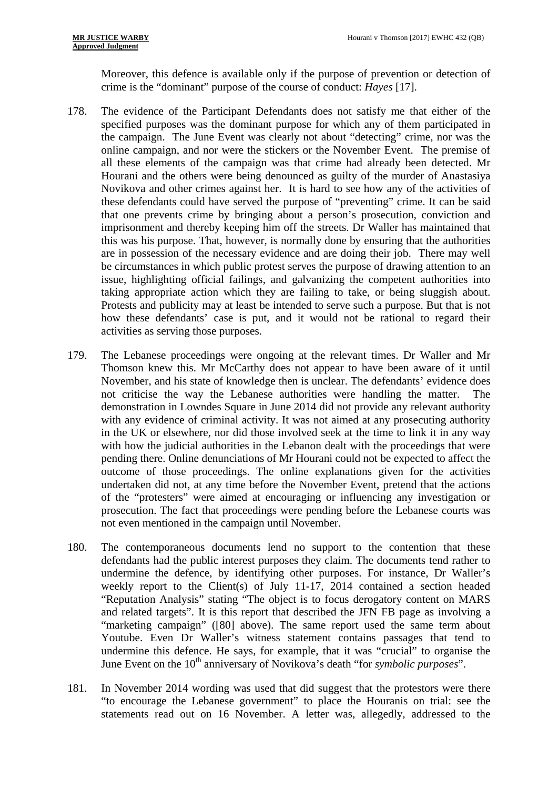Moreover, this defence is available only if the purpose of prevention or detection of crime is the "dominant" purpose of the course of conduct: *Hayes* [17].

- taking appropriate action which they are failing to take, or being sluggish about. 178. The evidence of the Participant Defendants does not satisfy me that either of the specified purposes was the dominant purpose for which any of them participated in the campaign. The June Event was clearly not about "detecting" crime, nor was the online campaign, and nor were the stickers or the November Event. The premise of all these elements of the campaign was that crime had already been detected. Mr Hourani and the others were being denounced as guilty of the murder of Anastasiya Novikova and other crimes against her. It is hard to see how any of the activities of these defendants could have served the purpose of "preventing" crime. It can be said that one prevents crime by bringing about a person's prosecution, conviction and imprisonment and thereby keeping him off the streets. Dr Waller has maintained that this was his purpose. That, however, is normally done by ensuring that the authorities are in possession of the necessary evidence and are doing their job. There may well be circumstances in which public protest serves the purpose of drawing attention to an issue, highlighting official failings, and galvanizing the competent authorities into Protests and publicity may at least be intended to serve such a purpose. But that is not how these defendants' case is put, and it would not be rational to regard their activities as serving those purposes.
- 179. The Lebanese proceedings were ongoing at the relevant times. Dr Waller and Mr Thomson knew this. Mr McCarthy does not appear to have been aware of it until November, and his state of knowledge then is unclear. The defendants' evidence does not criticise the way the Lebanese authorities were handling the matter. The demonstration in Lowndes Square in June 2014 did not provide any relevant authority with any evidence of criminal activity. It was not aimed at any prosecuting authority in the UK or elsewhere, nor did those involved seek at the time to link it in any way with how the judicial authorities in the Lebanon dealt with the proceedings that were pending there. Online denunciations of Mr Hourani could not be expected to affect the outcome of those proceedings. The online explanations given for the activities undertaken did not, at any time before the November Event, pretend that the actions of the "protesters" were aimed at encouraging or influencing any investigation or prosecution. The fact that proceedings were pending before the Lebanese courts was not even mentioned in the campaign until November.
- 180. The contemporaneous documents lend no support to the contention that these defendants had the public interest purposes they claim. The documents tend rather to undermine the defence, by identifying other purposes. For instance, Dr Waller's weekly report to the Client(s) of July 11-17, 2014 contained a section headed "Reputation Analysis" stating "The object is to focus derogatory content on MARS and related targets". It is this report that described the JFN FB page as involving a "marketing campaign" ([80] above). The same report used the same term about Youtube. Even Dr Waller's witness statement contains passages that tend to undermine this defence. He says, for example, that it was "crucial" to organise the June Event on the 10<sup>th</sup> anniversary of Novikova's death "for *symbolic purposes*".
- 181. In November 2014 wording was used that did suggest that the protestors were there "to encourage the Lebanese government" to place the Houranis on trial: see the statements read out on 16 November. A letter was, allegedly, addressed to the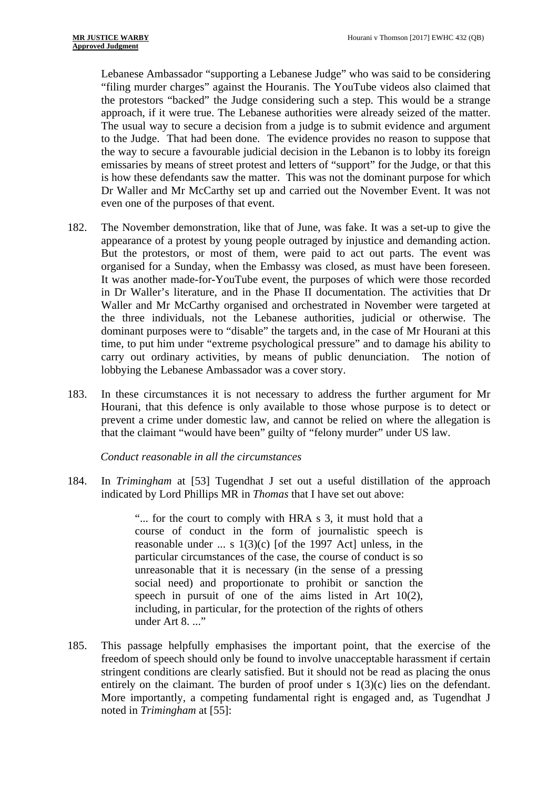Lebanese Ambassador "supporting a Lebanese Judge" who was said to be considering "filing murder charges" against the Houranis. The YouTube videos also claimed that the protestors "backed" the Judge considering such a step. This would be a strange approach, if it were true. The Lebanese authorities were already seized of the matter. The usual way to secure a decision from a judge is to submit evidence and argument to the Judge. That had been done. The evidence provides no reason to suppose that the way to secure a favourable judicial decision in the Lebanon is to lobby its foreign emissaries by means of street protest and letters of "support" for the Judge, or that this is how these defendants saw the matter. This was not the dominant purpose for which Dr Waller and Mr McCarthy set up and carried out the November Event. It was not even one of the purposes of that event.

- 182. The November demonstration, like that of June, was fake. It was a set-up to give the appearance of a protest by young people outraged by injustice and demanding action. But the protestors, or most of them, were paid to act out parts. The event was organised for a Sunday, when the Embassy was closed, as must have been foreseen. It was another made-for-YouTube event, the purposes of which were those recorded in Dr Waller's literature, and in the Phase II documentation. The activities that Dr Waller and Mr McCarthy organised and orchestrated in November were targeted at the three individuals, not the Lebanese authorities, judicial or otherwise. The dominant purposes were to "disable" the targets and, in the case of Mr Hourani at this time, to put him under "extreme psychological pressure" and to damage his ability to carry out ordinary activities, by means of public denunciation. The notion of lobbying the Lebanese Ambassador was a cover story.
- 183. In these circumstances it is not necessary to address the further argument for Mr Hourani, that this defence is only available to those whose purpose is to detect or prevent a crime under domestic law, and cannot be relied on where the allegation is that the claimant "would have been" guilty of "felony murder" under US law.

*Conduct reasonable in all the circumstances* 

184. In *Trimingham* at [53] Tugendhat J set out a useful distillation of the approach indicated by Lord Phillips MR in *Thomas* that I have set out above:

> "... for the court to comply with HRA s 3, it must hold that a course of conduct in the form of journalistic speech is reasonable under  $\ldots$  s 1(3)(c) [of the 1997 Act] unless, in the particular circumstances of the case, the course of conduct is so unreasonable that it is necessary (in the sense of a pressing social need) and proportionate to prohibit or sanction the speech in pursuit of one of the aims listed in Art 10(2), including, in particular, for the protection of the rights of others under Art 8...."

185. This passage helpfully emphasises the important point, that the exercise of the freedom of speech should only be found to involve unacceptable harassment if certain stringent conditions are clearly satisfied. But it should not be read as placing the onus entirely on the claimant. The burden of proof under s 1(3)(c) lies on the defendant. More importantly, a competing fundamental right is engaged and, as Tugendhat J noted in *Trimingham* at [55]: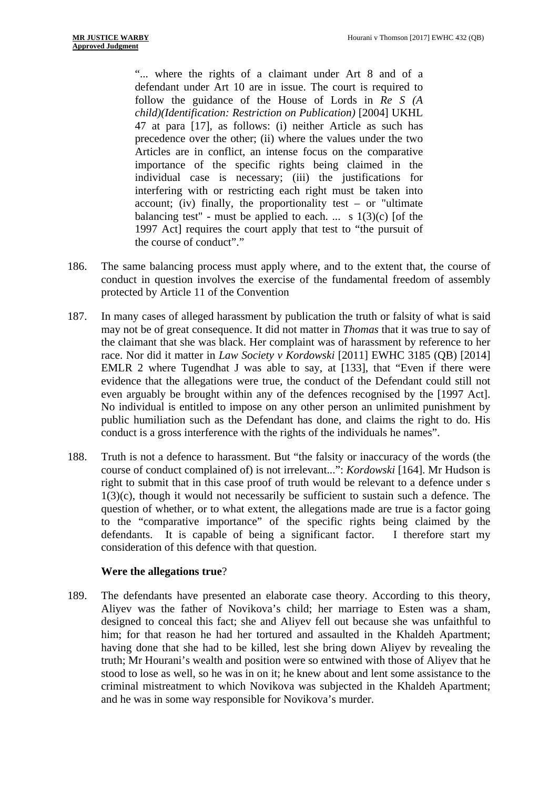"... where the rights of a claimant under Art 8 and of a defendant under Art 10 are in issue. The court is required to follow the guidance of the House of Lords in *Re S (A child)(Identification: Restriction on Publication)* [2004] UKHL 47 at para [17], as follows: (i) neither Article as such has precedence over the other; (ii) where the values under the two Articles are in conflict, an intense focus on the comparative importance of the specific rights being claimed in the individual case is necessary; (iii) the justifications for interfering with or restricting each right must be taken into account; (iv) finally, the proportionality test – or "ultimate balancing test" - must be applied to each. ... s  $1(3)(c)$  [of the 1997 Act] requires the court apply that test to "the pursuit of the course of conduct"."

- 186. The same balancing process must apply where, and to the extent that, the course of conduct in question involves the exercise of the fundamental freedom of assembly protected by Article 11 of the Convention
- 187. In many cases of alleged harassment by publication the truth or falsity of what is said may not be of great consequence. It did not matter in *Thomas* that it was true to say of the claimant that she was black. Her complaint was of harassment by reference to her race. Nor did it matter in *Law Society v Kordowski* [2011] EWHC 3185 (QB) [2014] EMLR 2 where Tugendhat J was able to say, at [133], that "Even if there were evidence that the allegations were true, the conduct of the Defendant could still not even arguably be brought within any of the defences recognised by the [1997 Act]. No individual is entitled to impose on any other person an unlimited punishment by public humiliation such as the Defendant has done, and claims the right to do. His conduct is a gross interference with the rights of the individuals he names".
- 188. Truth is not a defence to harassment. But "the falsity or inaccuracy of the words (the course of conduct complained of) is not irrelevant...": *Kordowski* [164]. Mr Hudson is right to submit that in this case proof of truth would be relevant to a defence under s 1(3)(c), though it would not necessarily be sufficient to sustain such a defence. The question of whether, or to what extent, the allegations made are true is a factor going to the "comparative importance" of the specific rights being claimed by the defendants. It is capable of being a significant factor. I therefore start my consideration of this defence with that question.

### **Were the allegations true**?

189. The defendants have presented an elaborate case theory. According to this theory, Aliyev was the father of Novikova's child; her marriage to Esten was a sham, designed to conceal this fact; she and Aliyev fell out because she was unfaithful to him; for that reason he had her tortured and assaulted in the Khaldeh Apartment; having done that she had to be killed, lest she bring down Aliyev by revealing the truth; Mr Hourani's wealth and position were so entwined with those of Aliyev that he stood to lose as well, so he was in on it; he knew about and lent some assistance to the criminal mistreatment to which Novikova was subjected in the Khaldeh Apartment; and he was in some way responsible for Novikova's murder.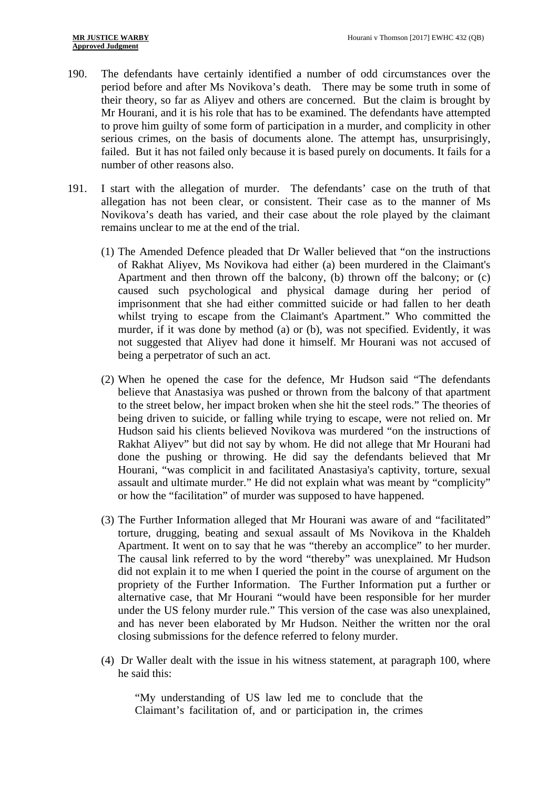- 190. The defendants have certainly identified a number of odd circumstances over the period before and after Ms Novikova's death. There may be some truth in some of their theory, so far as Aliyev and others are concerned. But the claim is brought by Mr Hourani, and it is his role that has to be examined. The defendants have attempted to prove him guilty of some form of participation in a murder, and complicity in other serious crimes, on the basis of documents alone. The attempt has, unsurprisingly, failed. But it has not failed only because it is based purely on documents. It fails for a number of other reasons also.
- 191. I start with the allegation of murder. The defendants' case on the truth of that allegation has not been clear, or consistent. Their case as to the manner of Ms Novikova's death has varied, and their case about the role played by the claimant remains unclear to me at the end of the trial.
	- (1) The Amended Defence pleaded that Dr Waller believed that "on the instructions of Rakhat Aliyev, Ms Novikova had either (a) been murdered in the Claimant's Apartment and then thrown off the balcony, (b) thrown off the balcony; or (c) caused such psychological and physical damage during her period of imprisonment that she had either committed suicide or had fallen to her death whilst trying to escape from the Claimant's Apartment." Who committed the murder, if it was done by method (a) or (b), was not specified. Evidently, it was not suggested that Aliyev had done it himself. Mr Hourani was not accused of being a perpetrator of such an act.
	- (2) When he opened the case for the defence, Mr Hudson said "The defendants believe that Anastasiya was pushed or thrown from the balcony of that apartment to the street below, her impact broken when she hit the steel rods." The theories of being driven to suicide, or falling while trying to escape, were not relied on. Mr Hudson said his clients believed Novikova was murdered "on the instructions of Rakhat Aliyev" but did not say by whom. He did not allege that Mr Hourani had done the pushing or throwing. He did say the defendants believed that Mr Hourani, "was complicit in and facilitated Anastasiya's captivity, torture, sexual assault and ultimate murder." He did not explain what was meant by "complicity" or how the "facilitation" of murder was supposed to have happened.
	- (3) The Further Information alleged that Mr Hourani was aware of and "facilitated" torture, drugging, beating and sexual assault of Ms Novikova in the Khaldeh Apartment. It went on to say that he was "thereby an accomplice" to her murder. The causal link referred to by the word "thereby" was unexplained. Mr Hudson did not explain it to me when I queried the point in the course of argument on the propriety of the Further Information. The Further Information put a further or alternative case, that Mr Hourani "would have been responsible for her murder under the US felony murder rule." This version of the case was also unexplained, and has never been elaborated by Mr Hudson. Neither the written nor the oral closing submissions for the defence referred to felony murder.
	- (4) Dr Waller dealt with the issue in his witness statement, at paragraph 100, where he said this:

"My understanding of US law led me to conclude that the Claimant's facilitation of, and or participation in, the crimes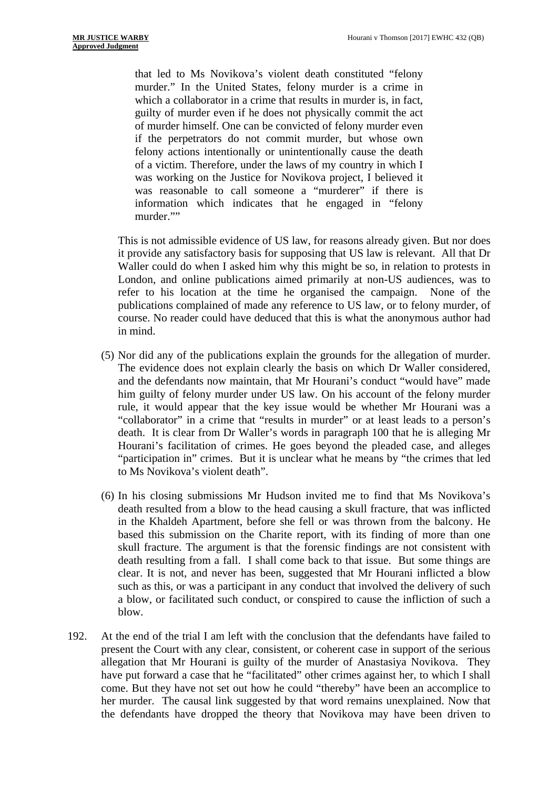that led to Ms Novikova's violent death constituted "felony murder." In the United States, felony murder is a crime in which a collaborator in a crime that results in murder is, in fact, guilty of murder even if he does not physically commit the act of murder himself. One can be convicted of felony murder even if the perpetrators do not commit murder, but whose own felony actions intentionally or unintentionally cause the death of a victim. Therefore, under the laws of my country in which I was working on the Justice for Novikova project, I believed it was reasonable to call someone a "murderer" if there is information which indicates that he engaged in "felony murder.""

This is not admissible evidence of US law, for reasons already given. But nor does it provide any satisfactory basis for supposing that US law is relevant. All that Dr Waller could do when I asked him why this might be so, in relation to protests in London, and online publications aimed primarily at non-US audiences, was to refer to his location at the time he organised the campaign. None of the publications complained of made any reference to US law, or to felony murder, of course. No reader could have deduced that this is what the anonymous author had in mind.

- (5) Nor did any of the publications explain the grounds for the allegation of murder. The evidence does not explain clearly the basis on which Dr Waller considered, and the defendants now maintain, that Mr Hourani's conduct "would have" made him guilty of felony murder under US law. On his account of the felony murder rule, it would appear that the key issue would be whether Mr Hourani was a "collaborator" in a crime that "results in murder" or at least leads to a person's death. It is clear from Dr Waller's words in paragraph 100 that he is alleging Mr Hourani's facilitation of crimes. He goes beyond the pleaded case, and alleges "participation in" crimes. But it is unclear what he means by "the crimes that led to Ms Novikova's violent death".
- (6) In his closing submissions Mr Hudson invited me to find that Ms Novikova's death resulted from a blow to the head causing a skull fracture, that was inflicted in the Khaldeh Apartment, before she fell or was thrown from the balcony. He based this submission on the Charite report, with its finding of more than one skull fracture. The argument is that the forensic findings are not consistent with death resulting from a fall. I shall come back to that issue. But some things are clear. It is not, and never has been, suggested that Mr Hourani inflicted a blow such as this, or was a participant in any conduct that involved the delivery of such a blow, or facilitated such conduct, or conspired to cause the infliction of such a blow.
- 192. At the end of the trial I am left with the conclusion that the defendants have failed to present the Court with any clear, consistent, or coherent case in support of the serious allegation that Mr Hourani is guilty of the murder of Anastasiya Novikova. They have put forward a case that he "facilitated" other crimes against her, to which I shall come. But they have not set out how he could "thereby" have been an accomplice to her murder. The causal link suggested by that word remains unexplained. Now that the defendants have dropped the theory that Novikova may have been driven to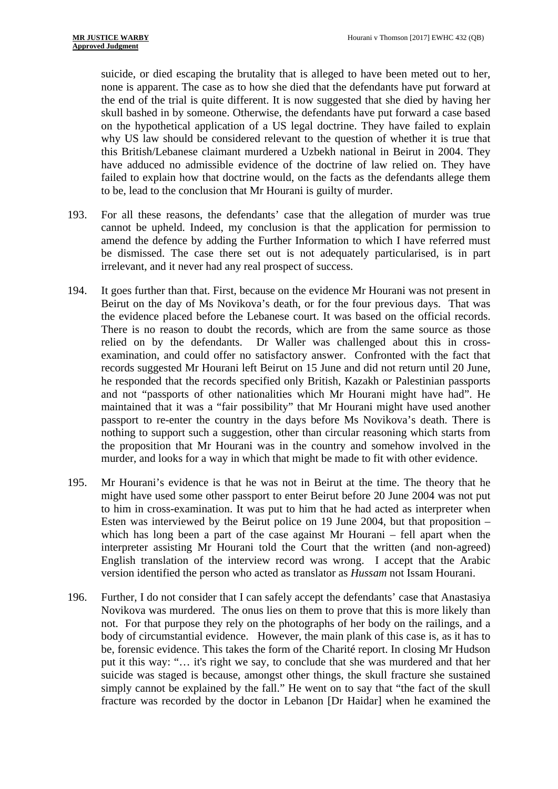suicide, or died escaping the brutality that is alleged to have been meted out to her, none is apparent. The case as to how she died that the defendants have put forward at the end of the trial is quite different. It is now suggested that she died by having her skull bashed in by someone. Otherwise, the defendants have put forward a case based on the hypothetical application of a US legal doctrine. They have failed to explain why US law should be considered relevant to the question of whether it is true that this British/Lebanese claimant murdered a Uzbekh national in Beirut in 2004. They have adduced no admissible evidence of the doctrine of law relied on. They have failed to explain how that doctrine would, on the facts as the defendants allege them to be, lead to the conclusion that Mr Hourani is guilty of murder.

- 193. For all these reasons, the defendants' case that the allegation of murder was true cannot be upheld. Indeed, my conclusion is that the application for permission to amend the defence by adding the Further Information to which I have referred must be dismissed. The case there set out is not adequately particularised, is in part irrelevant, and it never had any real prospect of success.
- 194. It goes further than that. First, because on the evidence Mr Hourani was not present in Beirut on the day of Ms Novikova's death, or for the four previous days. That was the evidence placed before the Lebanese court. It was based on the official records. There is no reason to doubt the records, which are from the same source as those relied on by the defendants. Dr Waller was challenged about this in crossexamination, and could offer no satisfactory answer. Confronted with the fact that records suggested Mr Hourani left Beirut on 15 June and did not return until 20 June, he responded that the records specified only British, Kazakh or Palestinian passports and not "passports of other nationalities which Mr Hourani might have had". He maintained that it was a "fair possibility" that Mr Hourani might have used another passport to re-enter the country in the days before Ms Novikova's death. There is nothing to support such a suggestion, other than circular reasoning which starts from the proposition that Mr Hourani was in the country and somehow involved in the murder, and looks for a way in which that might be made to fit with other evidence.
- 195. Mr Hourani's evidence is that he was not in Beirut at the time. The theory that he might have used some other passport to enter Beirut before 20 June 2004 was not put to him in cross-examination. It was put to him that he had acted as interpreter when Esten was interviewed by the Beirut police on 19 June 2004, but that proposition – which has long been a part of the case against Mr Hourani – fell apart when the interpreter assisting Mr Hourani told the Court that the written (and non-agreed) English translation of the interview record was wrong. I accept that the Arabic version identified the person who acted as translator as *Hussam* not Issam Hourani.
- 196. Further, I do not consider that I can safely accept the defendants' case that Anastasiya Novikova was murdered. The onus lies on them to prove that this is more likely than not. For that purpose they rely on the photographs of her body on the railings, and a body of circumstantial evidence. However, the main plank of this case is, as it has to be, forensic evidence. This takes the form of the Charité report. In closing Mr Hudson put it this way: "… it's right we say, to conclude that she was murdered and that her suicide was staged is because, amongst other things, the skull fracture she sustained simply cannot be explained by the fall." He went on to say that "the fact of the skull fracture was recorded by the doctor in Lebanon [Dr Haidar] when he examined the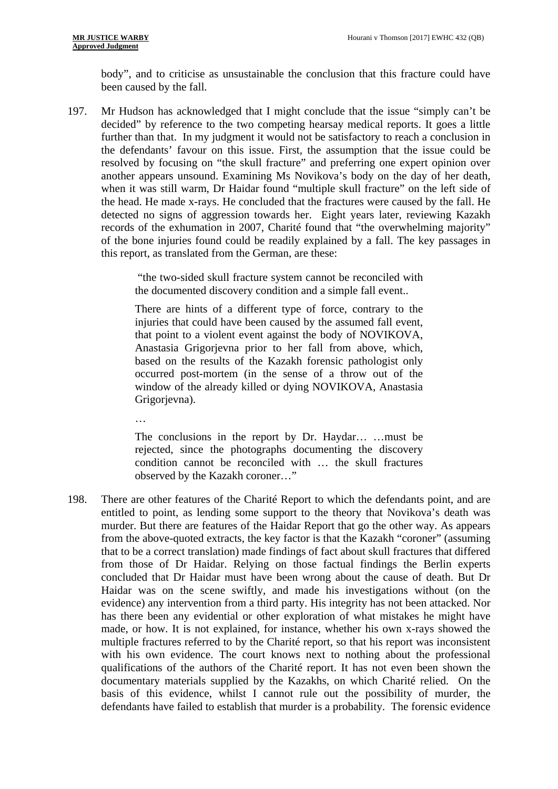body", and to criticise as unsustainable the conclusion that this fracture could have been caused by the fall.

197. Mr Hudson has acknowledged that I might conclude that the issue "simply can't be decided" by reference to the two competing hearsay medical reports. It goes a little further than that. In my judgment it would not be satisfactory to reach a conclusion in the defendants' favour on this issue. First, the assumption that the issue could be resolved by focusing on "the skull fracture" and preferring one expert opinion over another appears unsound. Examining Ms Novikova's body on the day of her death, when it was still warm, Dr Haidar found "multiple skull fracture" on the left side of the head. He made x-rays. He concluded that the fractures were caused by the fall. He detected no signs of aggression towards her. Eight years later, reviewing Kazakh records of the exhumation in 2007, Charité found that "the overwhelming majority" of the bone injuries found could be readily explained by a fall. The key passages in this report, as translated from the German, are these:

> "the two-sided skull fracture system cannot be reconciled with the documented discovery condition and a simple fall event..

> There are hints of a different type of force, contrary to the injuries that could have been caused by the assumed fall event, that point to a violent event against the body of NOVIKOVA, Anastasia Grigorjevna prior to her fall from above, which, based on the results of the Kazakh forensic pathologist only occurred post-mortem (in the sense of a throw out of the window of the already killed or dying NOVIKOVA, Anastasia Grigorjevna).

 $\mathbb{R}^2$ 

The conclusions in the report by Dr. Haydar… …must be rejected, since the photographs documenting the discovery condition cannot be reconciled with … the skull fractures observed by the Kazakh coroner…"

198. There are other features of the Charité Report to which the defendants point, and are entitled to point, as lending some support to the theory that Novikova's death was murder. But there are features of the Haidar Report that go the other way. As appears from the above-quoted extracts, the key factor is that the Kazakh "coroner" (assuming that to be a correct translation) made findings of fact about skull fractures that differed from those of Dr Haidar. Relying on those factual findings the Berlin experts concluded that Dr Haidar must have been wrong about the cause of death. But Dr Haidar was on the scene swiftly, and made his investigations without (on the evidence) any intervention from a third party. His integrity has not been attacked. Nor has there been any evidential or other exploration of what mistakes he might have made, or how. It is not explained, for instance, whether his own x-rays showed the multiple fractures referred to by the Charité report, so that his report was inconsistent with his own evidence. The court knows next to nothing about the professional qualifications of the authors of the Charité report. It has not even been shown the documentary materials supplied by the Kazakhs, on which Charité relied. On the basis of this evidence, whilst I cannot rule out the possibility of murder, the defendants have failed to establish that murder is a probability. The forensic evidence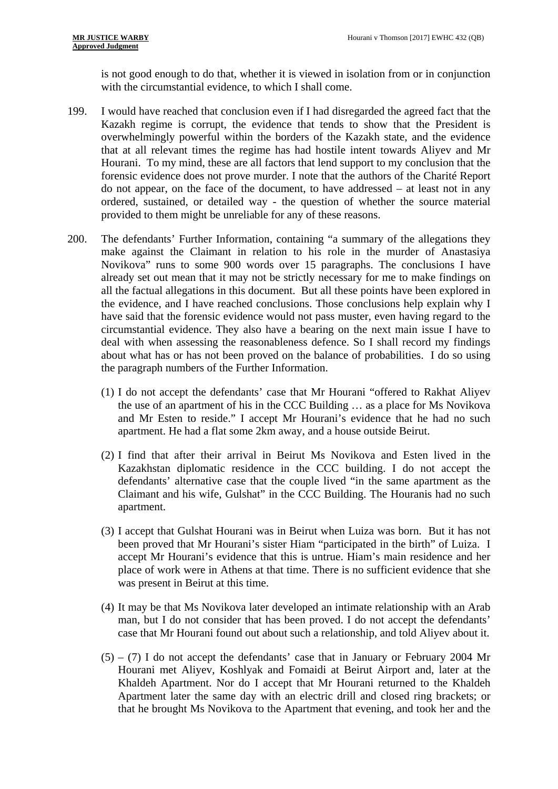is not good enough to do that, whether it is viewed in isolation from or in conjunction with the circumstantial evidence, to which I shall come.

- 199. I would have reached that conclusion even if I had disregarded the agreed fact that the Kazakh regime is corrupt, the evidence that tends to show that the President is overwhelmingly powerful within the borders of the Kazakh state, and the evidence that at all relevant times the regime has had hostile intent towards Aliyev and Mr Hourani. To my mind, these are all factors that lend support to my conclusion that the forensic evidence does not prove murder. I note that the authors of the Charité Report do not appear, on the face of the document, to have addressed – at least not in any ordered, sustained, or detailed way - the question of whether the source material provided to them might be unreliable for any of these reasons.
- 200. The defendants' Further Information, containing "a summary of the allegations they make against the Claimant in relation to his role in the murder of Anastasiya Novikova" runs to some 900 words over 15 paragraphs. The conclusions I have already set out mean that it may not be strictly necessary for me to make findings on all the factual allegations in this document. But all these points have been explored in the evidence, and I have reached conclusions. Those conclusions help explain why I have said that the forensic evidence would not pass muster, even having regard to the circumstantial evidence. They also have a bearing on the next main issue I have to deal with when assessing the reasonableness defence. So I shall record my findings about what has or has not been proved on the balance of probabilities. I do so using the paragraph numbers of the Further Information.
	- (1) I do not accept the defendants' case that Mr Hourani "offered to Rakhat Aliyev the use of an apartment of his in the CCC Building … as a place for Ms Novikova and Mr Esten to reside." I accept Mr Hourani's evidence that he had no such apartment. He had a flat some 2km away, and a house outside Beirut.
	- (2) I find that after their arrival in Beirut Ms Novikova and Esten lived in the Kazakhstan diplomatic residence in the CCC building. I do not accept the defendants' alternative case that the couple lived "in the same apartment as the Claimant and his wife, Gulshat" in the CCC Building. The Houranis had no such apartment.
	- (3) I accept that Gulshat Hourani was in Beirut when Luiza was born. But it has not been proved that Mr Hourani's sister Hiam "participated in the birth" of Luiza. I accept Mr Hourani's evidence that this is untrue. Hiam's main residence and her place of work were in Athens at that time. There is no sufficient evidence that she was present in Beirut at this time.
	- (4) It may be that Ms Novikova later developed an intimate relationship with an Arab man, but I do not consider that has been proved. I do not accept the defendants' case that Mr Hourani found out about such a relationship, and told Aliyev about it.
	- $(5) (7)$  I do not accept the defendants' case that in January or February 2004 Mr Hourani met Aliyev, Koshlyak and Fomaidi at Beirut Airport and, later at the Khaldeh Apartment. Nor do I accept that Mr Hourani returned to the Khaldeh Apartment later the same day with an electric drill and closed ring brackets; or that he brought Ms Novikova to the Apartment that evening, and took her and the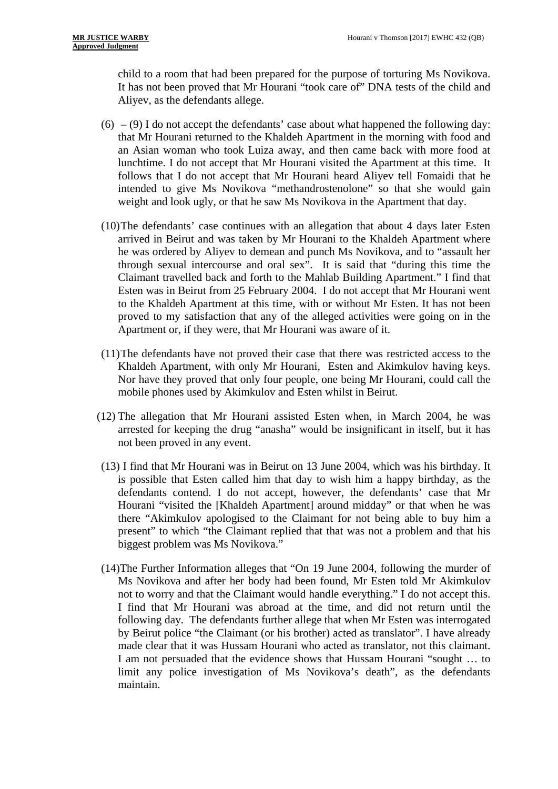child to a room that had been prepared for the purpose of torturing Ms Novikova. It has not been proved that Mr Hourani "took care of" DNA tests of the child and Aliyev, as the defendants allege.

- $(6)$   $(9)$  I do not accept the defendants' case about what happened the following day: that Mr Hourani returned to the Khaldeh Apartment in the morning with food and an Asian woman who took Luiza away, and then came back with more food at lunchtime. I do not accept that Mr Hourani visited the Apartment at this time. It follows that I do not accept that Mr Hourani heard Aliyev tell Fomaidi that he intended to give Ms Novikova "methandrostenolone" so that she would gain weight and look ugly, or that he saw Ms Novikova in the Apartment that day.
- (10)The defendants' case continues with an allegation that about 4 days later Esten arrived in Beirut and was taken by Mr Hourani to the Khaldeh Apartment where he was ordered by Aliyev to demean and punch Ms Novikova, and to "assault her through sexual intercourse and oral sex". It is said that "during this time the Claimant travelled back and forth to the Mahlab Building Apartment." I find that Esten was in Beirut from 25 February 2004. I do not accept that Mr Hourani went to the Khaldeh Apartment at this time, with or without Mr Esten. It has not been proved to my satisfaction that any of the alleged activities were going on in the Apartment or, if they were, that Mr Hourani was aware of it.
- (11)The defendants have not proved their case that there was restricted access to the Khaldeh Apartment, with only Mr Hourani, Esten and Akimkulov having keys. Nor have they proved that only four people, one being Mr Hourani, could call the mobile phones used by Akimkulov and Esten whilst in Beirut.
- (12) The allegation that Mr Hourani assisted Esten when, in March 2004, he was arrested for keeping the drug "anasha" would be insignificant in itself, but it has not been proved in any event.
- (13) I find that Mr Hourani was in Beirut on 13 June 2004, which was his birthday. It is possible that Esten called him that day to wish him a happy birthday, as the defendants contend. I do not accept, however, the defendants' case that Mr Hourani "visited the [Khaldeh Apartment] around midday" or that when he was there "Akimkulov apologised to the Claimant for not being able to buy him a present" to which "the Claimant replied that that was not a problem and that his biggest problem was Ms Novikova."
- (14)The Further Information alleges that "On 19 June 2004, following the murder of Ms Novikova and after her body had been found, Mr Esten told Mr Akimkulov not to worry and that the Claimant would handle everything." I do not accept this. I find that Mr Hourani was abroad at the time, and did not return until the following day. The defendants further allege that when Mr Esten was interrogated by Beirut police "the Claimant (or his brother) acted as translator". I have already made clear that it was Hussam Hourani who acted as translator, not this claimant. I am not persuaded that the evidence shows that Hussam Hourani "sought … to limit any police investigation of Ms Novikova's death", as the defendants maintain.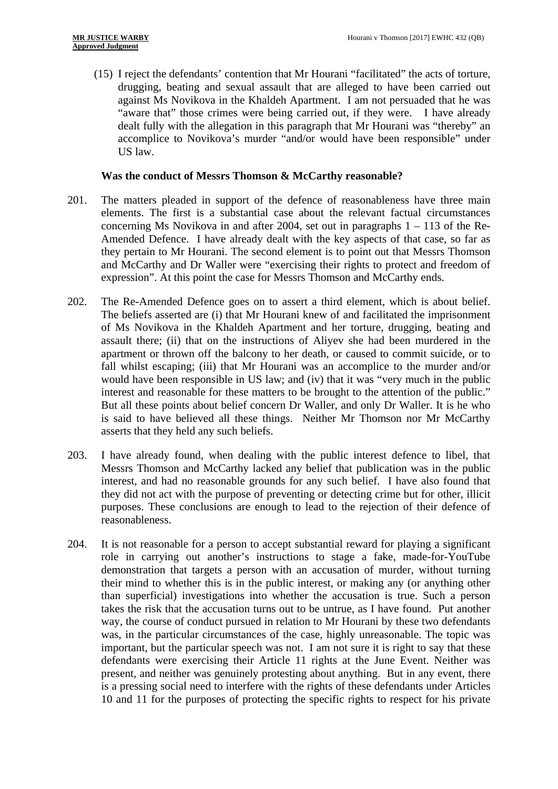(15) I reject the defendants' contention that Mr Hourani "facilitated" the acts of torture, drugging, beating and sexual assault that are alleged to have been carried out against Ms Novikova in the Khaldeh Apartment. I am not persuaded that he was "aware that" those crimes were being carried out, if they were. I have already dealt fully with the allegation in this paragraph that Mr Hourani was "thereby" an accomplice to Novikova's murder "and/or would have been responsible" under US law.

### **Was the conduct of Messrs Thomson & McCarthy reasonable?**

- 201. The matters pleaded in support of the defence of reasonableness have three main elements. The first is a substantial case about the relevant factual circumstances concerning Ms Novikova in and after 2004, set out in paragraphs  $1 - 113$  of the Re-Amended Defence. I have already dealt with the key aspects of that case, so far as they pertain to Mr Hourani. The second element is to point out that Messrs Thomson and McCarthy and Dr Waller were "exercising their rights to protect and freedom of expression". At this point the case for Messrs Thomson and McCarthy ends.
- 202. The Re-Amended Defence goes on to assert a third element, which is about belief. The beliefs asserted are (i) that Mr Hourani knew of and facilitated the imprisonment of Ms Novikova in the Khaldeh Apartment and her torture, drugging, beating and assault there; (ii) that on the instructions of Aliyev she had been murdered in the apartment or thrown off the balcony to her death, or caused to commit suicide, or to fall whilst escaping; (iii) that Mr Hourani was an accomplice to the murder and/or would have been responsible in US law; and (iv) that it was "very much in the public interest and reasonable for these matters to be brought to the attention of the public." But all these points about belief concern Dr Waller, and only Dr Waller. It is he who is said to have believed all these things. Neither Mr Thomson nor Mr McCarthy asserts that they held any such beliefs.
- 203. I have already found, when dealing with the public interest defence to libel, that Messrs Thomson and McCarthy lacked any belief that publication was in the public interest, and had no reasonable grounds for any such belief. I have also found that they did not act with the purpose of preventing or detecting crime but for other, illicit purposes. These conclusions are enough to lead to the rejection of their defence of reasonableness.
- 204. It is not reasonable for a person to accept substantial reward for playing a significant role in carrying out another's instructions to stage a fake, made-for-YouTube demonstration that targets a person with an accusation of murder, without turning their mind to whether this is in the public interest, or making any (or anything other than superficial) investigations into whether the accusation is true. Such a person takes the risk that the accusation turns out to be untrue, as I have found. Put another way, the course of conduct pursued in relation to Mr Hourani by these two defendants was, in the particular circumstances of the case, highly unreasonable. The topic was important, but the particular speech was not. I am not sure it is right to say that these defendants were exercising their Article 11 rights at the June Event. Neither was present, and neither was genuinely protesting about anything. But in any event, there is a pressing social need to interfere with the rights of these defendants under Articles 10 and 11 for the purposes of protecting the specific rights to respect for his private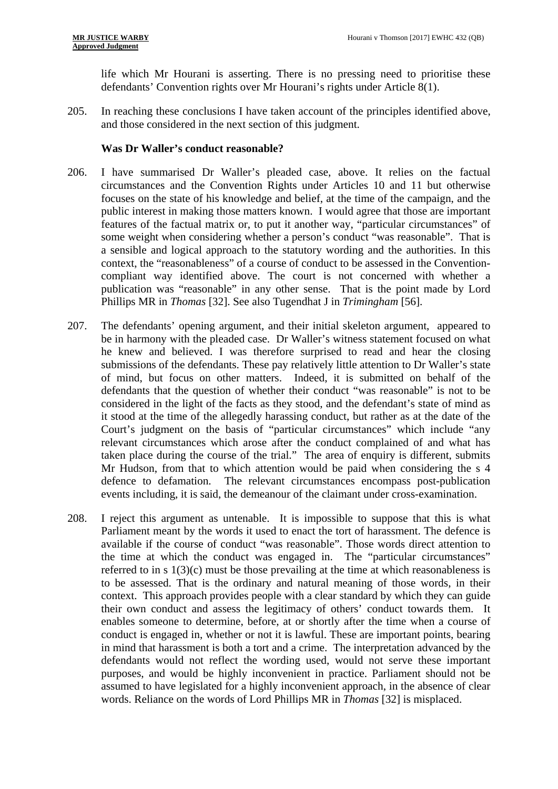life which Mr Hourani is asserting. There is no pressing need to prioritise these defendants' Convention rights over Mr Hourani's rights under Article 8(1).

205. In reaching these conclusions I have taken account of the principles identified above, and those considered in the next section of this judgment.

## **Was Dr Waller's conduct reasonable?**

- 206. I have summarised Dr Waller's pleaded case, above. It relies on the factual circumstances and the Convention Rights under Articles 10 and 11 but otherwise focuses on the state of his knowledge and belief, at the time of the campaign, and the public interest in making those matters known. I would agree that those are important features of the factual matrix or, to put it another way, "particular circumstances" of some weight when considering whether a person's conduct "was reasonable". That is a sensible and logical approach to the statutory wording and the authorities. In this context, the "reasonableness" of a course of conduct to be assessed in the Conventioncompliant way identified above. The court is not concerned with whether a publication was "reasonable" in any other sense. That is the point made by Lord Phillips MR in *Thomas* [32]. See also Tugendhat J in *Trimingham* [56].
- 207. The defendants' opening argument, and their initial skeleton argument, appeared to be in harmony with the pleaded case. Dr Waller's witness statement focused on what he knew and believed. I was therefore surprised to read and hear the closing submissions of the defendants. These pay relatively little attention to Dr Waller's state of mind, but focus on other matters. Indeed, it is submitted on behalf of the defendants that the question of whether their conduct "was reasonable" is not to be considered in the light of the facts as they stood, and the defendant's state of mind as it stood at the time of the allegedly harassing conduct, but rather as at the date of the Court's judgment on the basis of "particular circumstances" which include "any relevant circumstances which arose after the conduct complained of and what has taken place during the course of the trial." The area of enquiry is different, submits Mr Hudson, from that to which attention would be paid when considering the s 4 defence to defamation. The relevant circumstances encompass post-publication events including, it is said, the demeanour of the claimant under cross-examination.
- 208. I reject this argument as untenable. It is impossible to suppose that this is what Parliament meant by the words it used to enact the tort of harassment. The defence is available if the course of conduct "was reasonable". Those words direct attention to the time at which the conduct was engaged in. The "particular circumstances" referred to in s 1(3)(c) must be those prevailing at the time at which reasonableness is to be assessed. That is the ordinary and natural meaning of those words, in their context. This approach provides people with a clear standard by which they can guide their own conduct and assess the legitimacy of others' conduct towards them. It enables someone to determine, before, at or shortly after the time when a course of conduct is engaged in, whether or not it is lawful. These are important points, bearing in mind that harassment is both a tort and a crime. The interpretation advanced by the defendants would not reflect the wording used, would not serve these important purposes, and would be highly inconvenient in practice. Parliament should not be assumed to have legislated for a highly inconvenient approach, in the absence of clear words. Reliance on the words of Lord Phillips MR in *Thomas* [32] is misplaced.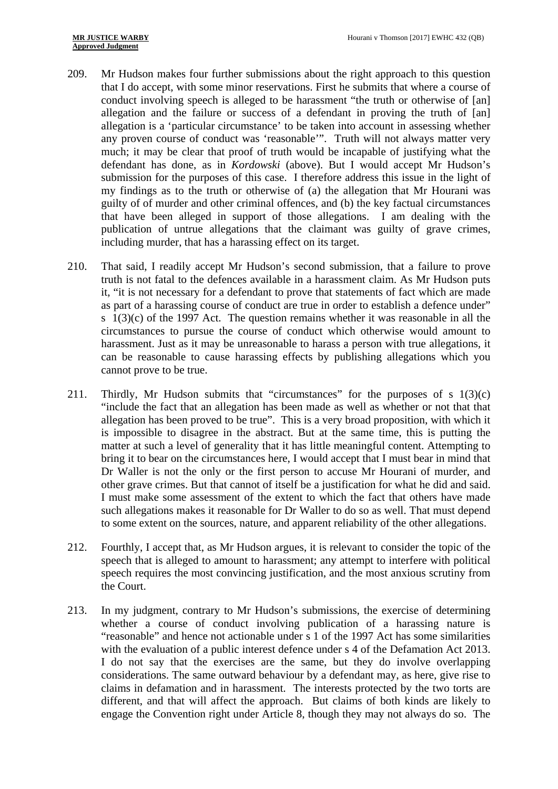- 209. Mr Hudson makes four further submissions about the right approach to this question that I do accept, with some minor reservations. First he submits that where a course of conduct involving speech is alleged to be harassment "the truth or otherwise of [an] allegation and the failure or success of a defendant in proving the truth of [an] allegation is a 'particular circumstance' to be taken into account in assessing whether any proven course of conduct was 'reasonable'". Truth will not always matter very much; it may be clear that proof of truth would be incapable of justifying what the defendant has done, as in *Kordowski* (above). But I would accept Mr Hudson's submission for the purposes of this case. I therefore address this issue in the light of my findings as to the truth or otherwise of (a) the allegation that Mr Hourani was guilty of of murder and other criminal offences, and (b) the key factual circumstances that have been alleged in support of those allegations. I am dealing with the publication of untrue allegations that the claimant was guilty of grave crimes, including murder, that has a harassing effect on its target.
- 210. That said, I readily accept Mr Hudson's second submission, that a failure to prove truth is not fatal to the defences available in a harassment claim. As Mr Hudson puts it, "it is not necessary for a defendant to prove that statements of fact which are made as part of a harassing course of conduct are true in order to establish a defence under" s  $1(3)(c)$  of the 1997 Act. The question remains whether it was reasonable in all the circumstances to pursue the course of conduct which otherwise would amount to harassment. Just as it may be unreasonable to harass a person with true allegations, it can be reasonable to cause harassing effects by publishing allegations which you cannot prove to be true.
- 211. Thirdly, Mr Hudson submits that "circumstances" for the purposes of s  $1(3)(c)$ "include the fact that an allegation has been made as well as whether or not that that allegation has been proved to be true". This is a very broad proposition, with which it is impossible to disagree in the abstract. But at the same time, this is putting the matter at such a level of generality that it has little meaningful content. Attempting to bring it to bear on the circumstances here, I would accept that I must bear in mind that Dr Waller is not the only or the first person to accuse Mr Hourani of murder, and other grave crimes. But that cannot of itself be a justification for what he did and said. I must make some assessment of the extent to which the fact that others have made such allegations makes it reasonable for Dr Waller to do so as well. That must depend to some extent on the sources, nature, and apparent reliability of the other allegations.
- 212. Fourthly, I accept that, as Mr Hudson argues, it is relevant to consider the topic of the speech that is alleged to amount to harassment; any attempt to interfere with political speech requires the most convincing justification, and the most anxious scrutiny from the Court.
- 213. In my judgment, contrary to Mr Hudson's submissions, the exercise of determining whether a course of conduct involving publication of a harassing nature is "reasonable" and hence not actionable under s 1 of the 1997 Act has some similarities with the evaluation of a public interest defence under s 4 of the Defamation Act 2013. I do not say that the exercises are the same, but they do involve overlapping considerations. The same outward behaviour by a defendant may, as here, give rise to claims in defamation and in harassment. The interests protected by the two torts are different, and that will affect the approach. But claims of both kinds are likely to engage the Convention right under Article 8, though they may not always do so. The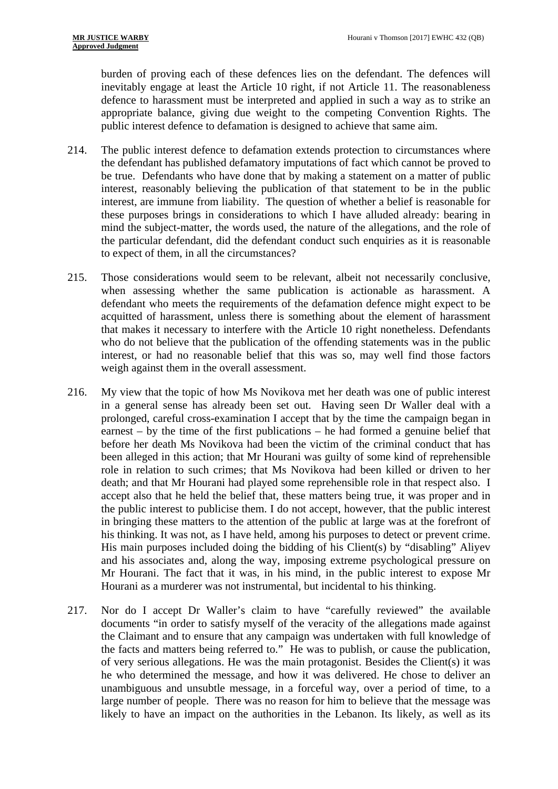public interest defence to defamation is designed to achieve that same aim. burden of proving each of these defences lies on the defendant. The defences will inevitably engage at least the Article 10 right, if not Article 11. The reasonableness defence to harassment must be interpreted and applied in such a way as to strike an appropriate balance, giving due weight to the competing Convention Rights. The

- to expect of them, in all the circumstances? 214. The public interest defence to defamation extends protection to circumstances where the defendant has published defamatory imputations of fact which cannot be proved to be true. Defendants who have done that by making a statement on a matter of public interest, reasonably believing the publication of that statement to be in the public interest, are immune from liability. The question of whether a belief is reasonable for these purposes brings in considerations to which I have alluded already: bearing in mind the subject-matter, the words used, the nature of the allegations, and the role of the particular defendant, did the defendant conduct such enquiries as it is reasonable
- 215. Those considerations would seem to be relevant, albeit not necessarily conclusive, when assessing whether the same publication is actionable as harassment. A defendant who meets the requirements of the defamation defence might expect to be acquitted of harassment, unless there is something about the element of harassment that makes it necessary to interfere with the Article 10 right nonetheless. Defendants who do not believe that the publication of the offending statements was in the public interest, or had no reasonable belief that this was so, may well find those factors weigh against them in the overall assessment.
- 216. My view that the topic of how Ms Novikova met her death was one of public interest in a general sense has already been set out. Having seen Dr Waller deal with a prolonged, careful cross-examination I accept that by the time the campaign began in earnest – by the time of the first publications – he had formed a genuine belief that before her death Ms Novikova had been the victim of the criminal conduct that has been alleged in this action; that Mr Hourani was guilty of some kind of reprehensible role in relation to such crimes; that Ms Novikova had been killed or driven to her death; and that Mr Hourani had played some reprehensible role in that respect also. I accept also that he held the belief that, these matters being true, it was proper and in the public interest to publicise them. I do not accept, however, that the public interest in bringing these matters to the attention of the public at large was at the forefront of his thinking. It was not, as I have held, among his purposes to detect or prevent crime. His main purposes included doing the bidding of his Client(s) by "disabling" Aliyev and his associates and, along the way, imposing extreme psychological pressure on Mr Hourani. The fact that it was, in his mind, in the public interest to expose Mr Hourani as a murderer was not instrumental, but incidental to his thinking.
- 217. Nor do I accept Dr Waller's claim to have "carefully reviewed" the available documents "in order to satisfy myself of the veracity of the allegations made against the Claimant and to ensure that any campaign was undertaken with full knowledge of the facts and matters being referred to." He was to publish, or cause the publication, of very serious allegations. He was the main protagonist. Besides the Client(s) it was he who determined the message, and how it was delivered. He chose to deliver an unambiguous and unsubtle message, in a forceful way, over a period of time, to a large number of people. There was no reason for him to believe that the message was likely to have an impact on the authorities in the Lebanon. Its likely, as well as its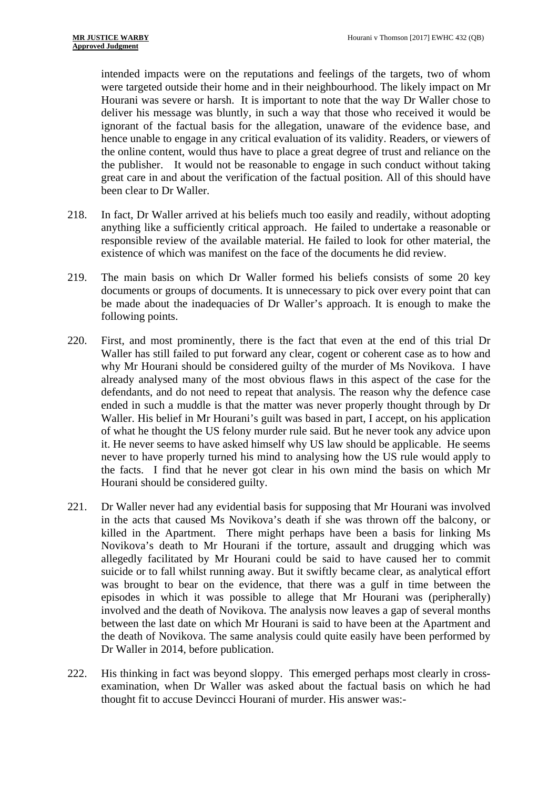intended impacts were on the reputations and feelings of the targets, two of whom were targeted outside their home and in their neighbourhood. The likely impact on Mr Hourani was severe or harsh. It is important to note that the way Dr Waller chose to deliver his message was bluntly, in such a way that those who received it would be ignorant of the factual basis for the allegation, unaware of the evidence base, and hence unable to engage in any critical evaluation of its validity. Readers, or viewers of the online content, would thus have to place a great degree of trust and reliance on the the publisher. It would not be reasonable to engage in such conduct without taking great care in and about the verification of the factual position. All of this should have been clear to Dr Waller.

- 218. In fact, Dr Waller arrived at his beliefs much too easily and readily, without adopting anything like a sufficiently critical approach. He failed to undertake a reasonable or responsible review of the available material. He failed to look for other material, the existence of which was manifest on the face of the documents he did review.
- 219. The main basis on which Dr Waller formed his beliefs consists of some 20 key documents or groups of documents. It is unnecessary to pick over every point that can be made about the inadequacies of Dr Waller's approach. It is enough to make the following points.
- 220. First, and most prominently, there is the fact that even at the end of this trial Dr Waller has still failed to put forward any clear, cogent or coherent case as to how and why Mr Hourani should be considered guilty of the murder of Ms Novikova. I have already analysed many of the most obvious flaws in this aspect of the case for the defendants, and do not need to repeat that analysis. The reason why the defence case ended in such a muddle is that the matter was never properly thought through by Dr Waller. His belief in Mr Hourani's guilt was based in part, I accept, on his application of what he thought the US felony murder rule said. But he never took any advice upon it. He never seems to have asked himself why US law should be applicable. He seems never to have properly turned his mind to analysing how the US rule would apply to the facts. I find that he never got clear in his own mind the basis on which Mr Hourani should be considered guilty.
- 221. Dr Waller never had any evidential basis for supposing that Mr Hourani was involved in the acts that caused Ms Novikova's death if she was thrown off the balcony, or killed in the Apartment. There might perhaps have been a basis for linking Ms Novikova's death to Mr Hourani if the torture, assault and drugging which was allegedly facilitated by Mr Hourani could be said to have caused her to commit suicide or to fall whilst running away. But it swiftly became clear, as analytical effort was brought to bear on the evidence, that there was a gulf in time between the episodes in which it was possible to allege that Mr Hourani was (peripherally) involved and the death of Novikova. The analysis now leaves a gap of several months between the last date on which Mr Hourani is said to have been at the Apartment and the death of Novikova. The same analysis could quite easily have been performed by Dr Waller in 2014, before publication.
- 222. His thinking in fact was beyond sloppy. This emerged perhaps most clearly in crossexamination, when Dr Waller was asked about the factual basis on which he had thought fit to accuse Devincci Hourani of murder. His answer was:-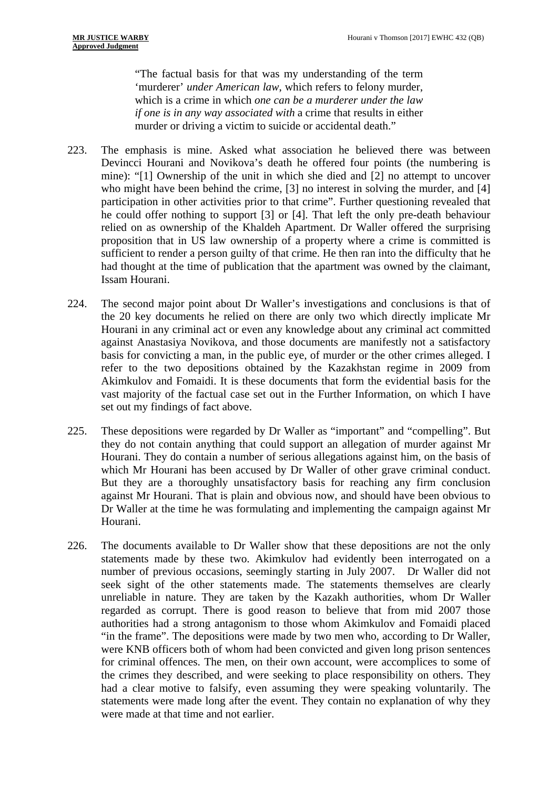"The factual basis for that was my understanding of the term 'murderer' *under American law*, which refers to felony murder, which is a crime in which *one can be a murderer under the law if one is in any way associated with* a crime that results in either murder or driving a victim to suicide or accidental death."

- 223. The emphasis is mine. Asked what association he believed there was between Devincci Hourani and Novikova's death he offered four points (the numbering is mine): "[1] Ownership of the unit in which she died and [2] no attempt to uncover who might have been behind the crime, [3] no interest in solving the murder, and [4] participation in other activities prior to that crime". Further questioning revealed that he could offer nothing to support [3] or [4]. That left the only pre-death behaviour relied on as ownership of the Khaldeh Apartment. Dr Waller offered the surprising proposition that in US law ownership of a property where a crime is committed is sufficient to render a person guilty of that crime. He then ran into the difficulty that he had thought at the time of publication that the apartment was owned by the claimant, Issam Hourani.
- 224. The second major point about Dr Waller's investigations and conclusions is that of the 20 key documents he relied on there are only two which directly implicate Mr Hourani in any criminal act or even any knowledge about any criminal act committed against Anastasiya Novikova, and those documents are manifestly not a satisfactory basis for convicting a man, in the public eye, of murder or the other crimes alleged. I refer to the two depositions obtained by the Kazakhstan regime in 2009 from Akimkulov and Fomaidi. It is these documents that form the evidential basis for the vast majority of the factual case set out in the Further Information, on which I have set out my findings of fact above.
- 225. These depositions were regarded by Dr Waller as "important" and "compelling". But they do not contain anything that could support an allegation of murder against Mr Hourani. They do contain a number of serious allegations against him, on the basis of which Mr Hourani has been accused by Dr Waller of other grave criminal conduct. But they are a thoroughly unsatisfactory basis for reaching any firm conclusion against Mr Hourani. That is plain and obvious now, and should have been obvious to Dr Waller at the time he was formulating and implementing the campaign against Mr Hourani.
- 226. The documents available to Dr Waller show that these depositions are not the only statements made by these two. Akimkulov had evidently been interrogated on a number of previous occasions, seemingly starting in July 2007. Dr Waller did not seek sight of the other statements made. The statements themselves are clearly unreliable in nature. They are taken by the Kazakh authorities, whom Dr Waller regarded as corrupt. There is good reason to believe that from mid 2007 those authorities had a strong antagonism to those whom Akimkulov and Fomaidi placed "in the frame". The depositions were made by two men who, according to Dr Waller, were KNB officers both of whom had been convicted and given long prison sentences for criminal offences. The men, on their own account, were accomplices to some of the crimes they described, and were seeking to place responsibility on others. They had a clear motive to falsify, even assuming they were speaking voluntarily. The statements were made long after the event. They contain no explanation of why they were made at that time and not earlier.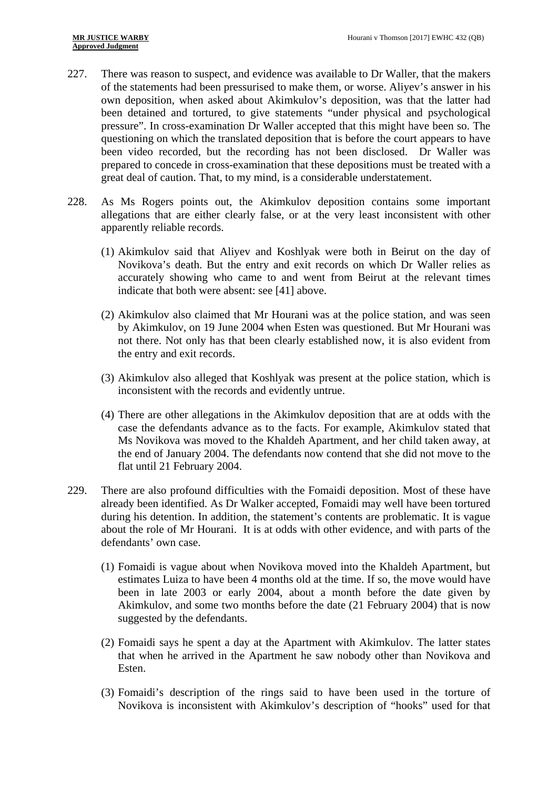- 227. There was reason to suspect, and evidence was available to Dr Waller, that the makers of the statements had been pressurised to make them, or worse. Aliyev's answer in his own deposition, when asked about Akimkulov's deposition, was that the latter had been detained and tortured, to give statements "under physical and psychological pressure". In cross-examination Dr Waller accepted that this might have been so. The questioning on which the translated deposition that is before the court appears to have been video recorded, but the recording has not been disclosed. Dr Waller was prepared to concede in cross-examination that these depositions must be treated with a great deal of caution. That, to my mind, is a considerable understatement.
- 228. As Ms Rogers points out, the Akimkulov deposition contains some important allegations that are either clearly false, or at the very least inconsistent with other apparently reliable records.
	- (1) Akimkulov said that Aliyev and Koshlyak were both in Beirut on the day of Novikova's death. But the entry and exit records on which Dr Waller relies as accurately showing who came to and went from Beirut at the relevant times indicate that both were absent: see [41] above.
	- (2) Akimkulov also claimed that Mr Hourani was at the police station, and was seen by Akimkulov, on 19 June 2004 when Esten was questioned. But Mr Hourani was not there. Not only has that been clearly established now, it is also evident from the entry and exit records.
	- (3) Akimkulov also alleged that Koshlyak was present at the police station, which is inconsistent with the records and evidently untrue.
	- (4) There are other allegations in the Akimkulov deposition that are at odds with the case the defendants advance as to the facts. For example, Akimkulov stated that Ms Novikova was moved to the Khaldeh Apartment, and her child taken away, at the end of January 2004. The defendants now contend that she did not move to the flat until 21 February 2004.
- 229. There are also profound difficulties with the Fomaidi deposition. Most of these have already been identified. As Dr Walker accepted, Fomaidi may well have been tortured during his detention. In addition, the statement's contents are problematic. It is vague about the role of Mr Hourani. It is at odds with other evidence, and with parts of the defendants' own case.
	- (1) Fomaidi is vague about when Novikova moved into the Khaldeh Apartment, but estimates Luiza to have been 4 months old at the time. If so, the move would have been in late 2003 or early 2004, about a month before the date given by Akimkulov, and some two months before the date (21 February 2004) that is now suggested by the defendants.
	- (2) Fomaidi says he spent a day at the Apartment with Akimkulov. The latter states that when he arrived in the Apartment he saw nobody other than Novikova and Esten.
	- (3) Fomaidi's description of the rings said to have been used in the torture of Novikova is inconsistent with Akimkulov's description of "hooks" used for that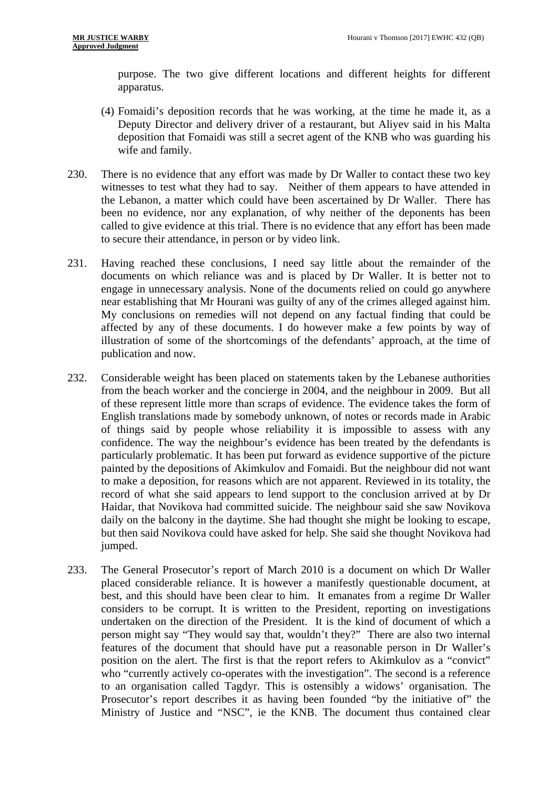purpose. The two give different locations and different heights for different apparatus.

- (4) Fomaidi's deposition records that he was working, at the time he made it, as a Deputy Director and delivery driver of a restaurant, but Aliyev said in his Malta deposition that Fomaidi was still a secret agent of the KNB who was guarding his wife and family.
- 230. There is no evidence that any effort was made by Dr Waller to contact these two key witnesses to test what they had to say. Neither of them appears to have attended in the Lebanon, a matter which could have been ascertained by Dr Waller. There has been no evidence, nor any explanation, of why neither of the deponents has been called to give evidence at this trial. There is no evidence that any effort has been made to secure their attendance, in person or by video link.
- 231. Having reached these conclusions, I need say little about the remainder of the documents on which reliance was and is placed by Dr Waller. It is better not to engage in unnecessary analysis. None of the documents relied on could go anywhere near establishing that Mr Hourani was guilty of any of the crimes alleged against him. My conclusions on remedies will not depend on any factual finding that could be affected by any of these documents. I do however make a few points by way of illustration of some of the shortcomings of the defendants' approach, at the time of publication and now.
- 232. Considerable weight has been placed on statements taken by the Lebanese authorities from the beach worker and the concierge in 2004, and the neighbour in 2009. But all of these represent little more than scraps of evidence. The evidence takes the form of English translations made by somebody unknown, of notes or records made in Arabic of things said by people whose reliability it is impossible to assess with any confidence. The way the neighbour's evidence has been treated by the defendants is particularly problematic. It has been put forward as evidence supportive of the picture painted by the depositions of Akimkulov and Fomaidi. But the neighbour did not want to make a deposition, for reasons which are not apparent. Reviewed in its totality, the record of what she said appears to lend support to the conclusion arrived at by Dr Haidar, that Novikova had committed suicide. The neighbour said she saw Novikova daily on the balcony in the daytime. She had thought she might be looking to escape, but then said Novikova could have asked for help. She said she thought Novikova had jumped.
- 233. The General Prosecutor's report of March 2010 is a document on which Dr Waller placed considerable reliance. It is however a manifestly questionable document, at best, and this should have been clear to him. It emanates from a regime Dr Waller considers to be corrupt. It is written to the President, reporting on investigations undertaken on the direction of the President. It is the kind of document of which a person might say "They would say that, wouldn't they?" There are also two internal features of the document that should have put a reasonable person in Dr Waller's position on the alert. The first is that the report refers to Akimkulov as a "convict" who "currently actively co-operates with the investigation". The second is a reference to an organisation called Tagdyr. This is ostensibly a widows' organisation. The Prosecutor's report describes it as having been founded "by the initiative of" the Ministry of Justice and "NSC", ie the KNB. The document thus contained clear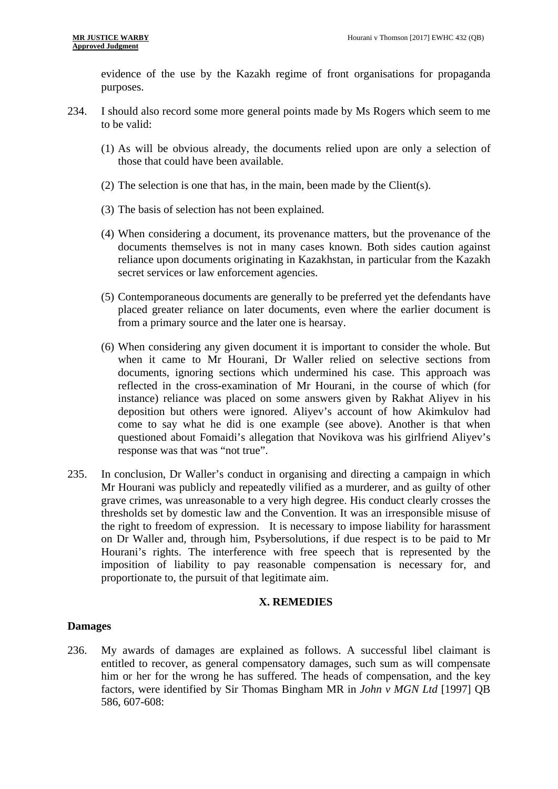evidence of the use by the Kazakh regime of front organisations for propaganda purposes.

- 234. I should also record some more general points made by Ms Rogers which seem to me to be valid:
	- (1) As will be obvious already, the documents relied upon are only a selection of those that could have been available.
	- (2) The selection is one that has, in the main, been made by the Client(s).
	- (3) The basis of selection has not been explained.
	- (4) When considering a document, its provenance matters, but the provenance of the documents themselves is not in many cases known. Both sides caution against reliance upon documents originating in Kazakhstan, in particular from the Kazakh secret services or law enforcement agencies.
	- (5) Contemporaneous documents are generally to be preferred yet the defendants have placed greater reliance on later documents, even where the earlier document is from a primary source and the later one is hearsay.
	- (6) When considering any given document it is important to consider the whole. But when it came to Mr Hourani, Dr Waller relied on selective sections from documents, ignoring sections which undermined his case. This approach was reflected in the cross-examination of Mr Hourani, in the course of which (for instance) reliance was placed on some answers given by Rakhat Aliyev in his deposition but others were ignored. Aliyev's account of how Akimkulov had come to say what he did is one example (see above). Another is that when questioned about Fomaidi's allegation that Novikova was his girlfriend Aliyev's response was that was "not true".
- 235. In conclusion, Dr Waller's conduct in organising and directing a campaign in which Mr Hourani was publicly and repeatedly vilified as a murderer, and as guilty of other grave crimes, was unreasonable to a very high degree. His conduct clearly crosses the thresholds set by domestic law and the Convention. It was an irresponsible misuse of the right to freedom of expression. It is necessary to impose liability for harassment on Dr Waller and, through him, Psybersolutions, if due respect is to be paid to Mr Hourani's rights. The interference with free speech that is represented by the imposition of liability to pay reasonable compensation is necessary for, and proportionate to, the pursuit of that legitimate aim.

### **X. REMEDIES**

### **Damages**

236. My awards of damages are explained as follows. A successful libel claimant is entitled to recover, as general compensatory damages, such sum as will compensate him or her for the wrong he has suffered. The heads of compensation, and the key factors, were identified by Sir Thomas Bingham MR in *John v MGN Ltd* [1997] QB 586, 607-608: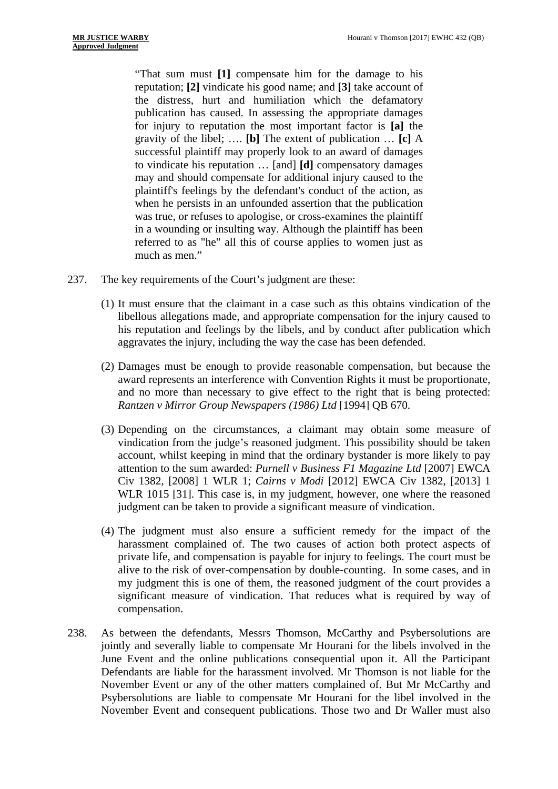"That sum must **[1]** compensate him for the damage to his reputation; **[2]** vindicate his good name; and **[3]** take account of the distress, hurt and humiliation which the defamatory publication has caused. In assessing the appropriate damages for injury to reputation the most important factor is **[a]** the gravity of the libel; …. **[b]** The extent of publication … **[c]** A successful plaintiff may properly look to an award of damages to vindicate his reputation … [and] **[d]** compensatory damages may and should compensate for additional injury caused to the plaintiff's feelings by the defendant's conduct of the action, as when he persists in an unfounded assertion that the publication was true, or refuses to apologise, or cross-examines the plaintiff in a wounding or insulting way. Although the plaintiff has been referred to as "he" all this of course applies to women just as much as men."

- 237. The key requirements of the Court's judgment are these:
	- (1) It must ensure that the claimant in a case such as this obtains vindication of the libellous allegations made, and appropriate compensation for the injury caused to his reputation and feelings by the libels, and by conduct after publication which aggravates the injury, including the way the case has been defended.
	- (2) Damages must be enough to provide reasonable compensation, but because the award represents an interference with Convention Rights it must be proportionate, and no more than necessary to give effect to the right that is being protected: *Rantzen v Mirror Group Newspapers (1986) Ltd* [1994] QB 670.
	- (3) Depending on the circumstances, a claimant may obtain some measure of vindication from the judge's reasoned judgment. This possibility should be taken account, whilst keeping in mind that the ordinary bystander is more likely to pay attention to the sum awarded: *Purnell v Business F1 Magazine Ltd* [2007] EWCA Civ 1382, [2008] 1 WLR 1; *Cairns v Modi* [2012] EWCA Civ 1382, [2013] 1 WLR 1015 [31]. This case is, in my judgment, however, one where the reasoned judgment can be taken to provide a significant measure of vindication.
	- (4) The judgment must also ensure a sufficient remedy for the impact of the harassment complained of. The two causes of action both protect aspects of private life, and compensation is payable for injury to feelings. The court must be alive to the risk of over-compensation by double-counting. In some cases, and in my judgment this is one of them, the reasoned judgment of the court provides a significant measure of vindication. That reduces what is required by way of compensation.
- 238. As between the defendants, Messrs Thomson, McCarthy and Psybersolutions are jointly and severally liable to compensate Mr Hourani for the libels involved in the June Event and the online publications consequential upon it. All the Participant Defendants are liable for the harassment involved. Mr Thomson is not liable for the November Event or any of the other matters complained of. But Mr McCarthy and Psybersolutions are liable to compensate Mr Hourani for the libel involved in the November Event and consequent publications. Those two and Dr Waller must also